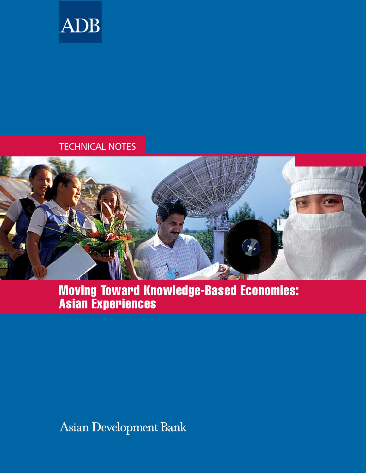

## TECHNICAL NOTES



# Moving Toward Knowledge-Based Economies: Asian Experiences

Asian Development Bank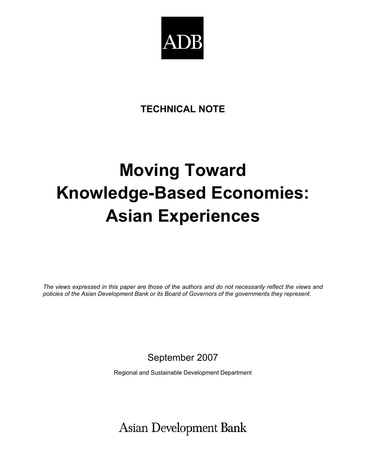

# **TECHNICAL NOTE**

# **Moving Toward Knowledge-Based Economies: Asian Experiences**

*The views expressed in this paper are those of the authors and do not necessarily reflect the views and policies of the Asian Development Bank or its Board of Governors of the governments they represent.* 

September 2007

Regional and Sustainable Development Department

**Asian Development Bank**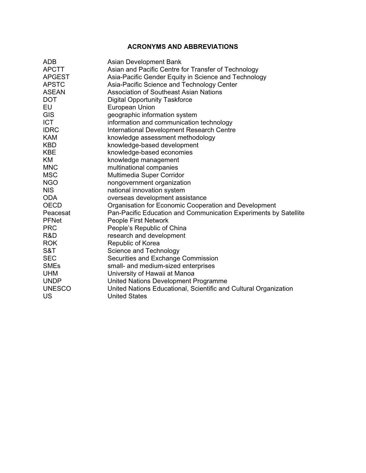#### **ACRONYMS AND ABBREVIATIONS**

| <b>ADB</b>    | <b>Asian Development Bank</b>                                    |
|---------------|------------------------------------------------------------------|
| <b>APCTT</b>  | Asian and Pacific Centre for Transfer of Technology              |
| <b>APGEST</b> | Asia-Pacific Gender Equity in Science and Technology             |
| <b>APSTC</b>  | Asia-Pacific Science and Technology Center                       |
| <b>ASEAN</b>  | <b>Association of Southeast Asian Nations</b>                    |
| <b>DOT</b>    | <b>Digital Opportunity Taskforce</b>                             |
| EU            | European Union                                                   |
| <b>GIS</b>    | geographic information system                                    |
| <b>ICT</b>    | information and communication technology                         |
| <b>IDRC</b>   | <b>International Development Research Centre</b>                 |
| <b>KAM</b>    | knowledge assessment methodology                                 |
| <b>KBD</b>    | knowledge-based development                                      |
| <b>KBE</b>    | knowledge-based economies                                        |
| KM            | knowledge management                                             |
| <b>MNC</b>    | multinational companies                                          |
| <b>MSC</b>    | Multimedia Super Corridor                                        |
| <b>NGO</b>    | nongovernment organization                                       |
| <b>NIS</b>    | national innovation system                                       |
| <b>ODA</b>    | overseas development assistance                                  |
| <b>OECD</b>   | Organisation for Economic Cooperation and Development            |
| Peacesat      | Pan-Pacific Education and Communication Experiments by Satellite |
| <b>PFNet</b>  | People First Network                                             |
| <b>PRC</b>    | People's Republic of China                                       |
| R&D           | research and development                                         |
| <b>ROK</b>    | Republic of Korea                                                |
| S&T           | Science and Technology                                           |
| <b>SEC</b>    | Securities and Exchange Commission                               |
| <b>SMEs</b>   | small- and medium-sized enterprises                              |
| <b>UHM</b>    | University of Hawaii at Manoa                                    |
| <b>UNDP</b>   | United Nations Development Programme                             |
| <b>UNESCO</b> | United Nations Educational, Scientific and Cultural Organization |
| US            | <b>United States</b>                                             |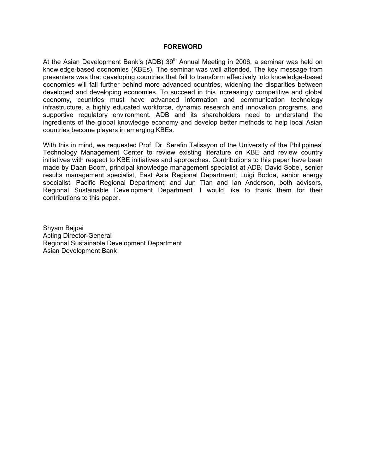#### **FOREWORD**

At the Asian Development Bank's (ADB) 39<sup>th</sup> Annual Meeting in 2006, a seminar was held on knowledge-based economies (KBEs). The seminar was well attended. The key message from presenters was that developing countries that fail to transform effectively into knowledge-based economies will fall further behind more advanced countries, widening the disparities between developed and developing economies. To succeed in this increasingly competitive and global economy, countries must have advanced information and communication technology infrastructure, a highly educated workforce, dynamic research and innovation programs, and supportive regulatory environment. ADB and its shareholders need to understand the ingredients of the global knowledge economy and develop better methods to help local Asian countries become players in emerging KBEs.

With this in mind, we requested Prof. Dr. Serafin Talisayon of the University of the Philippines' Technology Management Center to review existing literature on KBE and review country initiatives with respect to KBE initiatives and approaches. Contributions to this paper have been made by Daan Boom, principal knowledge management specialist at ADB; David Sobel, senior results management specialist, East Asia Regional Department; Luigi Bodda, senior energy specialist, Pacific Regional Department; and Jun Tian and Ian Anderson, both advisors, Regional Sustainable Development Department. I would like to thank them for their contributions to this paper.

Shyam Bajpai Acting Director-General Regional Sustainable Development Department Asian Development Bank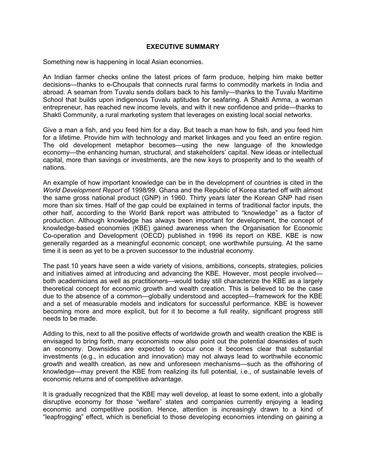#### **EXECUTIVE SUMMARY**

Something new is happening in local Asian economies.

An Indian farmer checks online the latest prices of farm produce, helping him make better decisions—thanks to e-Choupals that connects rural farms to commodity markets in India and abroad. A seaman from Tuvalu sends dollars back to his family—thanks to the Tuvalu Maritime School that builds upon indigenous Tuvalu aptitudes for seafaring. A Shakti Amma, a woman entrepreneur, has reached new income levels, and with it new confidence and pride—thanks to Shakti Community, a rural marketing system that leverages on existing local social networks.

Give a man a fish, and you feed him for a day. But teach a man how to fish, and you feed him for a lifetime. Provide him with technology and market linkages and you feed an entire region. The old development metaphor becomes—using the new language of the knowledge economy—the enhancing human, structural, and stakeholders' capital. New ideas or intellectual capital, more than savings or investments, are the new keys to prosperity and to the wealth of nations.

An example of how important knowledge can be in the development of countries is cited in the *World Development Report* of 1998/99. Ghana and the Republic of Korea started off with almost the same gross national product (GNP) in 1960. Thirty years later the Korean GNP had risen more than six times. Half of the gap could be explained in terms of traditional factor inputs, the other half, according to the World Bank report was attributed to "knowledge" as a factor of production. Although knowledge has always been important for development, the concept of knowledge-based economies (KBE) gained awareness when the Organisation for Economic Co-operation and Development (OECD) published in 1996 its report on KBE. KBE is now generally regarded as a meaningful economic concept, one worthwhile pursuing. At the same time it is seen as yet to be a proven successor to the industrial economy.

The past 10 years have seen a wide variety of visions, ambitions, concepts, strategies, policies and initiatives aimed at introducing and advancing the KBE. However, most people involved both academicians as well as practitioners—would today still characterize the KBE as a largely theoretical concept for economic growth and wealth creation. This is believed to be the case due to the absence of a common—globally understood and accepted—framework for the KBE and a set of measurable models and indicators for successful performance. KBE is however becoming more and more explicit, but for it to become a full reality, significant progress still needs to be made.

Adding to this, next to all the positive effects of worldwide growth and wealth creation the KBE is envisaged to bring forth, many economists now also point out the potential downsides of such an economy. Downsides are expected to occur once it becomes clear that substantial investments (e.g., in education and innovation) may not always lead to worthwhile economic growth and wealth creation, as new and unforeseen mechanisms—such as the offshoring of knowledge—may prevent the KBE from realizing its full potential, i.e., of sustainable levels of economic returns and of competitive advantage.

It is gradually recognized that the KBE may well develop, at least to some extent, into a globally disruptive economy for those "welfare" states and companies currently enjoying a leading economic and competitive position. Hence, attention is increasingly drawn to a kind of "leapfrogging" effect, which is beneficial to those developing economies intending on gaining a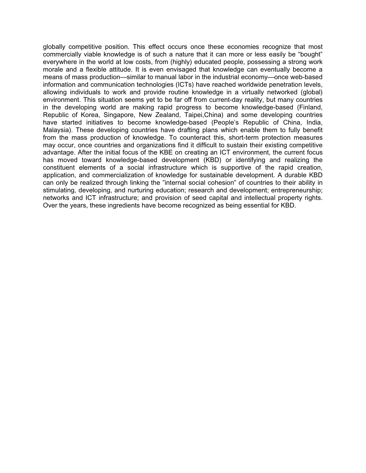globally competitive position. This effect occurs once these economies recognize that most commercially viable knowledge is of such a nature that it can more or less easily be "bought" everywhere in the world at low costs, from (highly) educated people, possessing a strong work morale and a flexible attitude. It is even envisaged that knowledge can eventually become a means of mass production—similar to manual labor in the industrial economy—once web-based information and communication technologies (ICTs) have reached worldwide penetration levels, allowing individuals to work and provide routine knowledge in a virtually networked (global) environment. This situation seems yet to be far off from current-day reality, but many countries in the developing world are making rapid progress to become knowledge-based (Finland, Republic of Korea, Singapore, New Zealand, Taipei,China) and some developing countries have started initiatives to become knowledge-based (People's Republic of China, India, Malaysia). These developing countries have drafting plans which enable them to fully benefit from the mass production of knowledge. To counteract this, short-term protection measures may occur, once countries and organizations find it difficult to sustain their existing competitive advantage. After the initial focus of the KBE on creating an ICT environment, the current focus has moved toward knowledge-based development (KBD) or identifying and realizing the constituent elements of a social infrastructure which is supportive of the rapid creation, application, and commercialization of knowledge for sustainable development. A durable KBD can only be realized through linking the "internal social cohesion" of countries to their ability in stimulating, developing, and nurturing education; research and development; entrepreneurship; networks and ICT infrastructure; and provision of seed capital and intellectual property rights. Over the years, these ingredients have become recognized as being essential for KBD.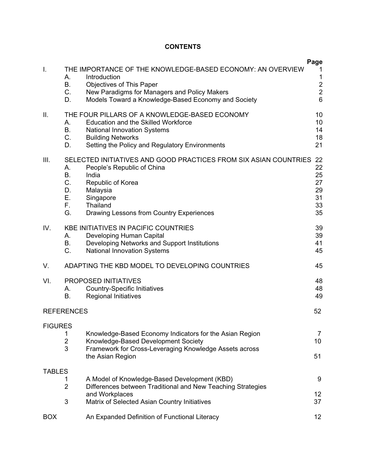#### **CONTENTS**

| I.             | А.<br>В.<br>C.<br>D.                   | THE IMPORTANCE OF THE KNOWLEDGE-BASED ECONOMY: AN OVERVIEW<br>Introduction<br><b>Objectives of This Paper</b><br>New Paradigms for Managers and Policy Makers<br>Models Toward a Knowledge-Based Economy and Society | Page<br>1<br>1<br>$\frac{2}{2}$<br>$6\phantom{a}$ |
|----------------|----------------------------------------|----------------------------------------------------------------------------------------------------------------------------------------------------------------------------------------------------------------------|---------------------------------------------------|
| ΙΙ.            | А.<br>В.<br>$C_{1}$<br>D.              | THE FOUR PILLARS OF A KNOWLEDGE-BASED ECONOMY<br><b>Education and the Skilled Workforce</b><br><b>National Innovation Systems</b><br><b>Building Networks</b><br>Setting the Policy and Regulatory Environments      | 10<br>10<br>14<br>18<br>21                        |
| III.           | А.<br>В.<br>C.<br>D.<br>Е.<br>F.<br>G. | SELECTED INITIATIVES AND GOOD PRACTICES FROM SIX ASIAN COUNTRIES<br>People's Republic of China<br>India<br>Republic of Korea<br>Malaysia<br>Singapore<br>Thailand<br>Drawing Lessons from Country Experiences        | 22<br>22<br>25<br>27<br>29<br>31<br>33<br>35      |
| IV.            | А.<br>В.<br>C.                         | <b>KBE INITIATIVES IN PACIFIC COUNTRIES</b><br>Developing Human Capital<br>Developing Networks and Support Institutions<br><b>National Innovation Systems</b>                                                        | 39<br>39<br>41<br>45                              |
| V.             |                                        | ADAPTING THE KBD MODEL TO DEVELOPING COUNTRIES                                                                                                                                                                       | 45                                                |
| VI.            | А.<br>В.                               | PROPOSED INITIATIVES<br><b>Country-Specific Initiatives</b><br><b>Regional Initiatives</b>                                                                                                                           | 48<br>48<br>49                                    |
|                | <b>REFERENCES</b>                      |                                                                                                                                                                                                                      | 52                                                |
| <b>FIGURES</b> | 1<br>$\overline{\mathbf{c}}$<br>3      | Knowledge-Based Economy Indicators for the Asian Region<br>Knowledge-Based Development Society<br>Framework for Cross-Leveraging Knowledge Assets across<br>the Asian Region                                         | 7<br>10<br>51                                     |
| <b>TABLES</b>  | 1<br>$\overline{2}$                    | A Model of Knowledge-Based Development (KBD)<br>Differences between Traditional and New Teaching Strategies<br>and Workplaces                                                                                        | 9<br>12                                           |
|                | 3                                      | Matrix of Selected Asian Country Initiatives                                                                                                                                                                         | 37                                                |
| <b>BOX</b>     |                                        | An Expanded Definition of Functional Literacy                                                                                                                                                                        | 12                                                |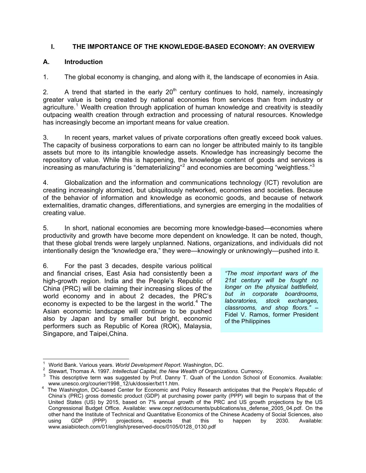#### **I. THE IMPORTANCE OF THE KNOWLEDGE-BASED ECONOMY: AN OVERVIEW**

#### **A. Introduction**

1. The global economy is changing, and along with it, the landscape of economies in Asia.

2. A trend that started in the early  $20<sup>th</sup>$  century continues to hold, namely, increasingly greater value is being created by national economies from services than from industry or agriculture.<sup>1</sup> Wealth creation through application of human knowledge and creativity is steadily outpacing wealth creation through extraction and processing of natural resources. Knowledge has increasingly become an important means for value creation.

3. In recent years, market values of private corporations often greatly exceed book values. The capacity of business corporations to earn can no longer be attributed mainly to its tangible assets but more to its intangible knowledge assets. Knowledge has increasingly become the repository of value*.* While this is happening, the knowledge content of goods and services is increasing as manufacturing is "dematerializing"<sup>2</sup> and economies are becoming "weightless."<sup>3</sup>

4. Globalization and the information and communications technology (ICT) revolution are creating increasingly atomized, but ubiquitously networked, economies and societies. Because of the behavior of information and knowledge as economic goods, and because of network externalities, dramatic changes, differentiations, and synergies are emerging in the modalities of creating value.

5. In short, national economies are becoming more knowledge-based—economies where productivity and growth have become more dependent on knowledge. It can be noted, though, that these global trends were largely unplanned. Nations, organizations, and individuals did not intentionally design the "knowledge era," they were—knowingly or unknowingly—pushed into it.

6. For the past 3 decades, despite various political and financial crises, East Asia had consistently been a high-growth region. India and the People's Republic of China (PRC) will be claiming their increasing slices of the world economy and in about 2 decades, the PRC's economy is expected to be the largest in the world.<sup>4</sup> The Asian economic landscape will continue to be pushed also by Japan and by smaller but bright, economic performers such as Republic of Korea (ROK), Malaysia, Singapore, and Taipei,China.

*"The most important wars of the 21st century will be fought no longer on the physical battlefield, but in corporate boardrooms, laboratories, stock exchanges, classrooms, and shop floors."* – Fidel V. Ramos, former President of the Philippines

 1

World Bank. Various years. *World Development Report*. Washington, DC. 2

 $^{\prime}$  Stewart, Thomas A. 1997. *Intellectual Capital, the New Wealth of Organizations.* Currency.<br><sup>3</sup> This descriptive term was suggested by Prof. Danny T. Quah of the London School of Economics. Available: www.unesco.org/courier/1998\_12/uk/dossier/txt11.htm. 4

<sup>&</sup>lt;sup>4</sup> The Washington, DC-based Center for Economic and Policy Research anticipates that the People's Republic of China's (PRC) gross domestic product (GDP) at purchasing power parity (PPP) will begin to surpass that of the United States (US) by 2015, based on 7% annual growth of the PRC and US growth projections by the US Congressional Budget Office. Available: www.cepr.net/documents/publications/ss\_defense\_2005\_04.pdf. On the other hand the Institute of Technical and Quantitative Economics of the Chinese Academy of Social Sciences, also<br>using GDP (PPP) projections, expects that this to happen by 2030. Available: using GDP (PPP) projections, expects that this to happen by 2030. Available: www.asiabiotech.com/01/english/preserved-docs/0105/0128\_0130.pdf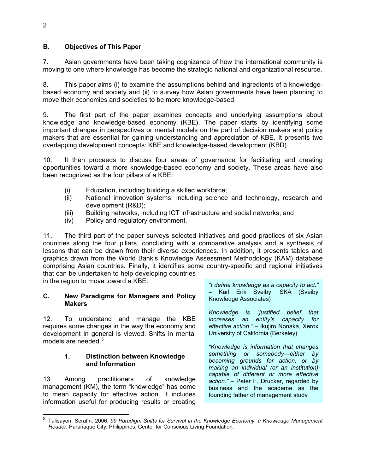#### **B. Objectives of This Paper**

7. Asian governments have been taking cognizance of how the international community is moving to one where knowledge has become the strategic national and organizational resource.

8. This paper aims (i) to examine the assumptions behind and ingredients of a knowledgebased economy and society and (ii) to survey how Asian governments have been planning to move their economies and societies to be more knowledge-based.

9. The first part of the paper examines concepts and underlying assumptions about knowledge and knowledge-based economy (KBE). The paper starts by identifying some important changes in perspectives or mental models on the part of decision makers and policy makers that are essential for gaining understanding and appreciation of KBE. It presents two overlapping development concepts: KBE and knowledge-based development (KBD).

10. It then proceeds to discuss four areas of governance for facilitating and creating opportunities toward a more knowledge-based economy and society. These areas have also been recognized as the four pillars of a KBE:

- (i) Education, including building a skilled workforce;
- (ii) National innovation systems, including science and technology, research and development (R&D);
- (iii) Building networks, including ICT infrastructure and social networks; and
- (iv) Policy and regulatory environment.

11. The third part of the paper surveys selected initiatives and good practices of six Asian countries along the four pillars, concluding with a comparative analysis and a synthesis of lessons that can be drawn from their diverse experiences. In addition, it presents tables and graphics drawn from the World Bank's Knowledge Assessment Methodology (KAM) database comprising Asian countries. Finally, it identifies some country-specific and regional initiatives that can be undertaken to help developing countries

in the region to move toward a KBE.

#### **C. New Paradigms for Managers and Policy Makers**

12. To understand and manage the KBE requires some changes in the way the economy and development in general is viewed. Shifts in mental models are needed. $5$ 

#### **1. Distinction between Knowledge and Information**

13. Among practitioners of knowledge management (KM), the term "knowledge" has come to mean capacity for effective action. It includes information useful for producing results or creating *"I define knowledge as a capacity to act."* – Karl Erik Sveiby, SKA (Sveiby Knowledge Associates)

*Knowledge is "justified belief that increases an entity's capacity for effective action."* – Ikujiro Nonaka, Xerox University of California (Berkeley)

*"Knowledge is information that changes something or somebody—either by becoming grounds for action, or by making an individual (or an institution) capable of different or more effective action."* – Peter F. Drucker, regarded by business and the academe as the founding father of management study

 5 Talisayon, Serafin. 2006. *99 Paradigm Shifts for Survival in the Knowledge Economy, a Knowledge Management Reader.* Parañaque City: Philippines: Center for Conscious Living Foundation.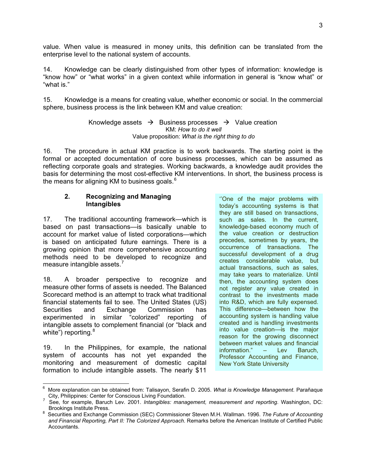value. When value is measured in money units, this definition can be translated from the enterprise level to the national system of accounts.

14. Knowledge can be clearly distinguished from other types of information: knowledge is "know how" or "what works" in a given context while information in general is "know what" or "what is."

15. Knowledge is a means for creating value, whether economic or social. In the commercial sphere, business process is the link between KM and value creation:

> Knowledge assets  $\rightarrow$  Business processes  $\rightarrow$  Value creation KM: *How to do it well* Value proposition: *What is the right thing to do*

16. The procedure in actual KM practice is to work backwards. The starting point is the formal or accepted documentation of core business processes, which can be assumed as reflecting corporate goals and strategies. Working backwards, a knowledge audit provides the basis for determining the most cost-effective KM interventions. In short, the business process is the means for aligning KM to business goals.<sup>6</sup>

#### **2. Recognizing and Managing Intangibles**

17. The traditional accounting framework—which is based on past transactions—is basically unable to account for market value of listed corporations—which is based on anticipated future earnings. There is a growing opinion that more comprehensive accounting methods need to be developed to recognize and measure intangible assets.<sup>7</sup>

18. A broader perspective to recognize and measure other forms of assets is needed. The Balanced Scorecard method is an attempt to track what traditional financial statements fail to see. The United States (US) Securities and Exchange Commission has experimented in similar "colorized" reporting of intangible assets to complement financial (or "black and white") reporting.<sup>8</sup>

19. In the Philippines, for example, the national system of accounts has not yet expanded the monitoring and measurement of domestic capital formation to include intangible assets. The nearly \$11

''One of the major problems with today's accounting systems is that they are still based on transactions, such as sales. In the current, knowledge-based economy much of the value creation or destruction precedes, sometimes by years, the occurrence of transactions. The successful development of a drug creates considerable value, but actual transactions, such as sales, may take years to materialize. Until then, the accounting system does not register any value created in contrast to the investments made into R&D, which are fully expensed. This difference—between how the accounting system is handling value created and is handling investments into value creation—is the major reason for the growing disconnect between market values and financial information." – Lev Baruch, Professor Accounting and Finance, New York State University

 $\overline{a}$ 6 More explanation can be obtained from: Talisayon, Serafin D. 2005. *What is Knowledge Management*. Parañaque

City, Philippines: Center for Conscious Living Foundation. 7 See, for example, Baruch Lev. 2001. *Intangibles: management, measurement and reporting*. Washington, DC:

Brookings Institute Press. 8 Securities and Exchange Commission (SEC) Commissioner Steven M.H. Wallman. 1996. *The Future of Accounting and Financial Reporting, Part II: The Colorized Approach*. Remarks before the American Institute of Certified Public Accountants.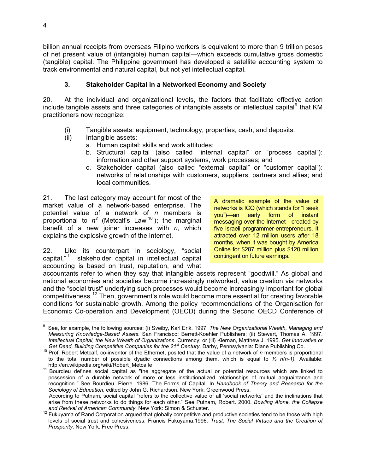billion annual receipts from overseas Filipino workers is equivalent to more than 9 trillion pesos of net present value of (intangible) human capital—which exceeds cumulative gross domestic (tangible) capital. The Philippine government has developed a satellite accounting system to track environmental and natural capital, but not yet intellectual capital.

#### **3. Stakeholder Capital in a Networked Economy and Society**

20. At the individual and organizational levels, the factors that facilitate effective action include tangible assets and three categories of intangible assets or intellectual capital<sup>9</sup> that KM practitioners now recognize:

- (i) Tangible assets: equipment, technology, properties, cash, and deposits.
- (ii) Intangible assets:
	- a. Human capital: skills and work attitudes;
	- b. Structural capital (also called "internal capital" or "process capital"): information and other support systems, work processes; and
	- c. Stakeholder capital (also called "external capital" or "customer capital"): networks of relationships with customers, suppliers, partners and allies; and local communities.

21. The last category may account for most of the market value of a network-based enterprise. The potential value of a network of *n* members is proportional to  $n^2$  (Metcalf's Law<sup>10</sup>); the marginal benefit of a new joiner increases with *n*, which explains the explosive growth of the Internet.

22. Like its counterpart in sociology, "social capital," 11 stakeholder capital in intellectual capital accounting is based on trust, reputation, and what A dramatic example of the value of networks is ICQ (which stands for "I seek you")—an early form of instant messaging over the Internet—created by five Israeli programmer-entrepreneurs. It attracted over 12 million users after 18 months, when it was bought by America Online for \$287 million plus \$120 million contingent on future earnings.

accountants refer to when they say that intangible assets represent "goodwill." As global and national economies and societies become increasingly networked, value creation via networks and the "social trust" underlying such processes would become increasingly important for global competitiveness.12 Then, government's role would become more essential for creating favorable conditions for sustainable growth. Among the policy recommendations of the Organisation for Economic Co-operation and Development (OECD) during the Second OECD Conference of

 $\frac{1}{2}$ 9 See, for example, the following sources: (i) Sveiby, Karl Erik. 1997. *The New Organizational Wealth, Managing and Measuring Knowledge-Based Assets*. San Francisco: Berrett-Koehler Publishers; (ii) Stewart, Thomas A. 1997. *Intellectual Capital, the New Wealth of Organizations*. Currency; or (iii) Kiernan, Matthew J. 1995. *Get Innovative or* 

<sup>&</sup>lt;sup>10</sup> Prof. Robert Metcalf, co-inventor of the Ethernet, posited that the value of a network of *n* members is proportional to the total number of possible dyadic connections among them, which is equal to  $\frac{1}{2}$  n(n-1). Available:<br>http://en.wikipedia.org/wiki/Robert\_Metcalfe

<sup>11</sup> Bourdieu defines social capital as "the aggregate of the actual or potential resources which are linked to possession of a durable network of more or less institutionalized relationships of mutual acquaintance and recognition*."* See Bourdieu, Pierre. 1986. The Forms of Capital. In *Handbook of Theory and Research for the Sociology of Education*, edited by John G. Richardson. New York: Greenwood Press.

According to Putnam, social capital "refers to the collective value of all 'social networks' and the inclinations that arise from these networks to do things for each other." See Putnam, Robert. 2000. *Bowling Alone, the Collapse* 

and Revival of American Community. New York: Simon & Schuster.<br><sup>12</sup> Fukuyama of Rand Corporation argued that globally competitive and productive societies tend to be those with high levels of social trust and cohesiveness. Francis Fukuyama.1996. *Trust, The Social Virtues and the Creation of Prosperity*. New York: Free Press.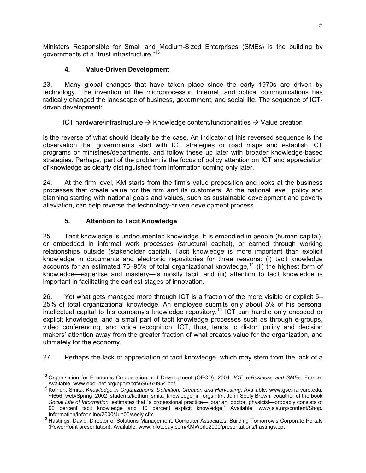Ministers Responsible for Small and Medium-Sized Enterprises (SMEs) is the building by governments of a "trust infrastructure."<sup>13</sup>

#### **4. Value-Driven Development**

23. Many global changes that have taken place since the early 1970s are driven by technology. The invention of the microprocessor, Internet, and optical communications has radically changed the landscape of business, government, and social life. The sequence of ICTdriven development:

ICT hardware/infrastructure  $\rightarrow$  Knowledge content/functionalities  $\rightarrow$  Value creation

is the reverse of what should ideally be the case. An indicator of this reversed sequence is the observation that governments start with ICT strategies or road maps and establish ICT programs or ministries/departments, and follow these up later with broader knowledge-based strategies. Perhaps, part of the problem is the focus of policy attention on ICT and appreciation of knowledge as clearly distinguished from information coming only later.

24. At the firm level, KM starts from the firm's value proposition and looks at the business processes that create value for the firm and its customers. At the national level, policy and planning starting with national goals and values, such as sustainable development and poverty alleviation, can help reverse the technology-driven development process.

#### **5. Attention to Tacit Knowledge**

25. Tacit knowledge is undocumented knowledge. It is embodied in people (human capital), or embedded in informal work processes (structural capital), or earned through working relationships outside (stakeholder capital). Tacit knowledge is more important than explicit knowledge in documents and electronic repositories for three reasons: (i) tacit knowledge accounts for an estimated 75–95% of total organizational knowledge,<sup>14</sup> (ii) the highest form of knowledge—expertise and mastery—is mostly tacit, and (iii) attention to tacit knowledge is important in facilitating the earliest stages of innovation.

26. Yet what gets managed more through ICT is a fraction of the more visible or explicit 5– 25% of total organizational knowledge. An employee submits only about 5% of his personal intellectual capital to his company's knowledge repository.<sup>15</sup> ICT can handle only encoded or explicit knowledge, and a small part of tacit knowledge processes such as through e-groups, video conferencing, and voice recognition. ICT, thus, tends to distort policy and decision makers' attention away from the greater fraction of what creates value for the organization, and ultimately for the economy.

27. Perhaps the lack of appreciation of tacit knowledge, which may stem from the lack of a

<sup>-</sup>13 Organisation for Economic Co-operation and Development (OECD). 2004. *ICT, e-Business and SMEs*. France.

<sup>&</sup>lt;sup>14</sup> Kothuri, Smita. *Knowledge in Organizations, Definition, Creation and Harvesting*. Available: www.gse.harvard.edu/ ~t656\_web/Spring\_2002\_students/kothuri\_smita\_knowledge\_in\_orgs.htm. John Seely Brown, coauthor of the book *Social Life of Information*, estimates that "a professional practice—librarian, doctor, physicist—probably consists of 90 percent tacit knowledge and 10 percent explicit knowledge." Available: www.sla.org/content/Shop/<br>Information/infoonline/2000/Jun00/seely.cfm

Information/infoorline/2000/Junio0/2000/Junnement, Computer Associates: Building Tomorrow's Corporate Portals (PowerPoint presentation). Available: www.infotoday.com/KMWorld2000/presentations/hastings.ppt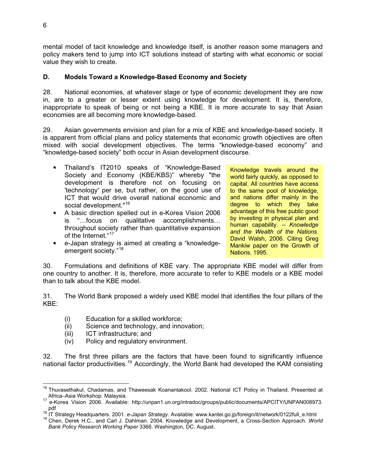mental model of tacit knowledge and knowledge itself, is another reason some managers and policy makers tend to jump into ICT solutions instead of starting with what economic or social value they wish to create.

#### **D. Models Toward a Knowledge-Based Economy and Society**

28. National economies, at whatever stage or type of economic development they are now in, are to a greater or lesser extent using knowledge for development. It is, therefore, inappropriate to speak of being or not being a KBE. It is more accurate to say that Asian economies are all becoming more knowledge-based.

29. Asian governments envision and plan for a mix of KBE and knowledge-based society. It is apparent from official plans and policy statements that economic growth objectives are often mixed with social development objectives. The terms "knowledge-based economy" and "knowledge-based society" both occur in Asian development discourse.

- Thailand's IT2010 speaks of "Knowledge-Based Society and Economy (KBE/KBS)" whereby "the development is therefore not on focusing on 'technology' per se, but rather, on the good use of ICT that would drive overall national economic and social development."<sup>16</sup>
- A basic direction spelled out in e-Korea Vision 2006 is "…focus on qualitative accomplishments… throughout society rather than quantitative expansion of the Internet."<sup>17</sup>
- $\bullet$ e-Japan strategy is aimed at creating a "knowledgeemergent society."<sup>18</sup>

Knowledge travels around the world fairly quickly, as opposed to capital. All countries have access to the same pool of knowledge, and nations differ mainly in the degree to which they take advantage of this free public good by investing in physical plan and human capability. *– Knowledge and the Wealth of the Nations*. David Walsh, 2006. Citing Greg Mankiw paper on the Growth of Nations. 1995.

30. Formulations and definitions of KBE vary. The appropriate KBE model will differ from one country to another. It is, therefore, more accurate to refer to KBE models or a KBE model than to talk about the KBE model.

31. The World Bank proposed a widely used KBE model that identifies the four pillars of the KBE:

- (i) Education for a skilled workforce;
- (ii) Science and technology, and innovation;
- (iii) ICT infrastructure; and
- (iv) Policy and regulatory environment.

32. The first three pillars are the factors that have been found to significantly influence national factor productivities.<sup>19</sup> Accordingly, the World Bank had developed the KAM consisting

 $\frac{1}{2}$ 

<sup>&</sup>lt;sup>16</sup> Thuvasethakul, Chadamas, and Thaweesak Koanantakool. 2002. National ICT Policy in Thailand. Presented at

Africa–Asia Workshop. Malaysia.<br><sup>17</sup> e-Korea Vision 2006. Available: http://unpan1.un.org/intradoc/groups/public/documents/APCITY/UNPAN008973. pdf<br><sup>18</sup> IT Strategy Headquarters. 2001. *e-Japan Strategy*. Available: www.kantei.go.jp/foreign/it/network/0122full\_e.html<br><sup>19</sup> Chen, Derek H.C., and Carl J. Dahlman. 2004. Knowledge and Development, a Cross-Section Appro

*Bank Policy Research Working Paper* 3366. Washington, DC. August.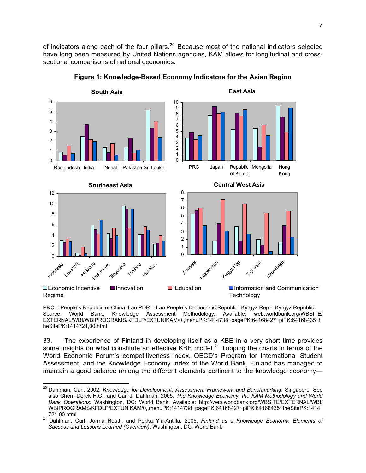of indicators along each of the four pillars.<sup>20</sup> Because most of the national indicators selected have long been measured by United Nations agencies, KAM allows for longitudinal and crosssectional comparisons of national economies.





PRC = People's Republic of China; Lao PDR = Lao People's Democratic Republic; Kyrgyz Rep = Kyrgyz Republic. Source: World Bank, Knowledge Assessment Methodology. Available: web.worldbank.org/WBSITE/ EXTERNAL/WBI/WBIPROGRAMS/KFDLP/EXTUNIKAM/0,,menuPK:1414738~pagePK:64168427~piPK:64168435~t heSitePK:1414721,00.html

33. The experience of Finland in developing itself as a KBE in a very short time provides some insights on what constitute an effective KBE model.<sup>21</sup> Topping the charts in terms of the World Economic Forum's competitiveness index, OECD's Program for International Student Assessment, and the Knowledge Economy Index of the World Bank, Finland has managed to maintain a good balance among the different elements pertinent to the knowledge economy—

 $\overline{a}$ 

<sup>&</sup>lt;sup>20</sup> Dahlman, Carl. 2002. *Knowledge for Development, Assessment Framework and Benchmarking*. Singapore. See also Chen, Derek H.C., and Carl J. Dahlman. 2005. *The Knowledge Economy, the KAM Methodology and World Bank Operations.* Washington, DC: World Bank. Available: http://web.worldbank.org/WBSITE/EXTERNAL/WBI/ WBIPROGRAMS/KFDLP/EXTUNIKAM/0,,menuPK:1414738~pagePK:64168427~piPK:64168435~theSitePK:1414

<sup>721,00.</sup>html 21 Dahlman, Carl, Jorma Routti, and Pekka Yla-Antilla. 2005. *Finland as a Knowledge Economy: Elements of Success and Lessons Learned (Overview)*. Washington, DC: World Bank.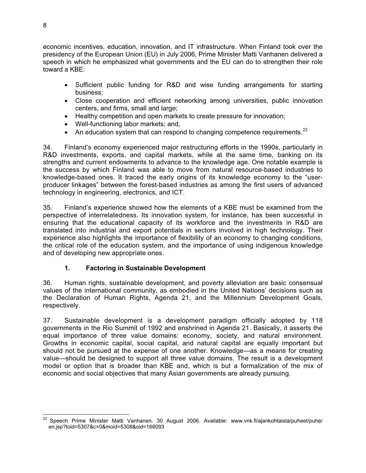economic incentives, education, innovation, and IT infrastructure. When Finland took over the presidency of the European Union (EU) in July 2006, Prime Minister Matti Vanhanen delivered a speech in which he emphasized what governments and the EU can do to strengthen their role toward a KBE:

- Sufficient public funding for R&D and wise funding arrangements for starting business;
- Close cooperation and efficient networking among universities, public innovation centers, and firms, small and large;
- Healthy competition and open markets to create pressure for innovation;
- Well-functioning labor markets; and,
- An education system that can respond to changing competence requirements. $^{22}$

34. Finland's economy experienced major restructuring efforts in the 1990s, particularly in R&D investments, exports, and capital markets, while at the same time, banking on its strengths and current endowments to advance to the knowledge age. One notable example is the success by which Finland was able to move from natural resource-based industries to knowledge-based ones. It traced the early origins of its knowledge economy to the "userproducer linkages" between the forest-based industries as among the first users of advanced technology in engineering, electronics, and ICT.

35. Finland's experience showed how the elements of a KBE must be examined from the perspective of interrelatedness. Its innovation system, for instance, has been successful in ensuring that the educational capacity of its workforce and the investments in R&D are translated into industrial and export potentials in sectors involved in high technology. Their experience also highlights the importance of flexibility of an economy to changing conditions, the critical role of the education system, and the importance of using indigenous knowledge and of developing new appropriate ones.

#### **1. Factoring in Sustainable Development**

36. Human rights, sustainable development, and poverty alleviation are basic consensual values of the international community, as embodied in the United Nations' decisions such as the Declaration of Human Rights, Agenda 21, and the Millennium Development Goals, respectively.

37. Sustainable development is a development paradigm officially adopted by 118 governments in the Rio Summit of 1992 and enshrined in Agenda 21. Basically, it asserts the equal importance of three value domains: economy, society, and natural environment. Growths in economic capital, social capital, and natural capital are equally important but should not be pursued at the expense of one another. Knowledge—as a means for creating value—should be designed to support all three value domains. The result is a development model or option that is broader than KBE and, which is but a formalization of the mix of economic and social objectives that many Asian governments are already pursuing.

 <sup>22</sup> Speech Prime Minister Matti Vanhanen. 30 August 2006. Available: www.vnk.fi/ajankohtaista/puheet/puhe/ en.jsp?toid=5307&c=0&moid=5308&oid=166093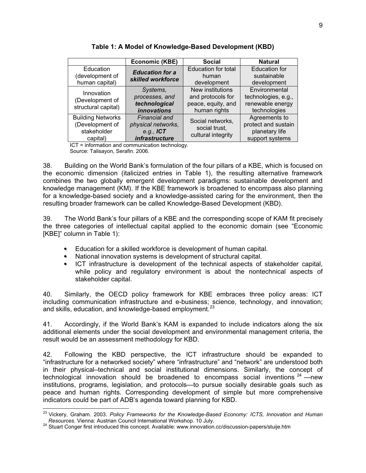|                          | <b>Economic (KBE)</b>     | <b>Social</b>              | <b>Natural</b>       |
|--------------------------|---------------------------|----------------------------|----------------------|
| Education                | <b>Education for a</b>    | <b>Education for total</b> | <b>Education for</b> |
| (development of          | skilled workforce         | human                      | sustainable          |
| human capital)           |                           | development                | development          |
| Innovation               | Systems,                  | New institutions           | Environmental        |
| (Development of          | processes, and            | and protocols for          | technologies, e.g.,  |
| structural capital)      | technological             | peace, equity, and         | renewable energy     |
|                          | <i><b>innovations</b></i> | human rights               | technologies         |
| <b>Building Networks</b> | Financial and             | Social networks,           | Agreements to        |
| (Development of          | physical networks,        | social trust,              | protect and sustain  |
| stakeholder              | e.g., $ICT$               | cultural integrity         | planetary life       |
| capital)                 | infrastructure            |                            | support systems      |

**Table 1: A Model of Knowledge-Based Development (KBD)** 

ICT = information and communication technology. Source: Talisayon, Serafin. 2006.

38. Building on the World Bank's formulation of the four pillars of a KBE, which is focused on the economic dimension (italicized entries in Table 1), the resulting alternative framework combines the two globally emergent development paradigms: sustainable development and knowledge management (KM). If the KBE framework is broadened to encompass also planning for a knowledge-based society and a knowledge-assisted caring for the environment, then the resulting broader framework can be called Knowledge-Based Development (KBD).

39. The World Bank's four pillars of a KBE and the corresponding scope of KAM fit precisely the three categories of intellectual capital applied to the economic domain (see "Economic [KBE]" column in Table 1):

- Education for a skilled workforce is development of human capital.
- National innovation systems is development of structural capital.
- ICT infrastructure is development of the technical aspects of stakeholder capital, while policy and regulatory environment is about the nontechnical aspects of stakeholder capital.

40. Similarly, the OECD policy framework for KBE embraces three policy areas: ICT including communication infrastructure and e-business; science, technology, and innovation; and skills, education, and knowledge-based employment.<sup>23</sup>

41. Accordingly, if the World Bank's KAM is expanded to include indicators along the six additional elements under the social development and environmental management criteria, the result would be an assessment methodology for KBD.

indicators could be part of ADB's agenda toward planning for KBD. 42. Following the KBD perspective, the ICT infrastructure should be expanded to "infrastructure for a networked society" where "infrastructure" and "network" are understood both in their physical–technical and social institutional dimensions. Similarly, the concept of technological innovation should be broadened to encompass social inventions  $24$  —new institutions, programs, legislation, and protocols—to pursue socially desirable goals such as peace and human rights. Corresponding development of simple but more comprehensive

 $\overline{a}$ 

<sup>23</sup> Vickery, Graham. 2003. *Policy Frameworks for the Knowledge-Based Economy: ICTS, Innovation and Human Resources.* Vienna: Austrian Council International Workshop. 10 July. 24 Stuart Conger first introduced this concept. Available: www.innovation.cc/discussion-papers/stuije.htm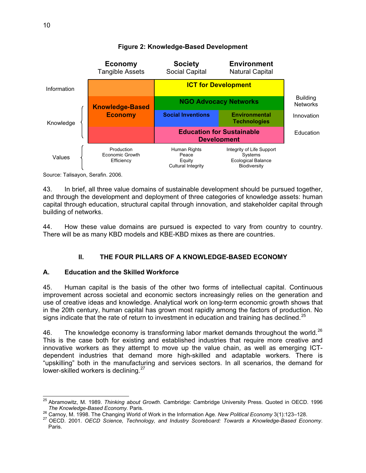

#### **Figure 2: Knowledge-Based Development**

Source: Talisayon, Serafin. 2006.

In brief, all three value domains of sustainable development should be pursued together, 43 and through the development and deployment of three categories of knowledge assets: human capital through education, structural capital through innovation, and stakeholder capital through building of networks.

4. How these value domains are pursued is expected to vary from country to country. 44. There will be as many KBD models and KBE-KBD mixes as there are countries.

#### **II. THE FOUR PILLARS OF A KNOWLEDGE-BASED ECONOMY**

#### **. Education and the Skilled Workforce A**

5. Human capital is the basis of the other two forms of intellectual capital. Continuous  $45.$ improvement across societal and economic sectors increasingly relies on the generation and use of creative ideas and knowledge. Analytical work on long-term economic growth shows that in the 20th century, human capital has grown most rapidly among the factors of production. No signs indicate that the rate of return to investment in education and training has declined.<sup>25</sup>

The knowledge economy is transforming labor market demands throughout the world.<sup>26</sup> 46. This is the case both for existing and established industries that require more creative and innovative workers as they attempt to move up the value chain, as well as emerging ICTdependent industries that demand more high-skilled and adaptable workers. There is "upskilling" both in the manufacturing and services sectors. In all scenarios, the demand for lower-skilled workers is declining.<sup>27</sup>

 $\overline{a}$ 25 Abramowitz, M. 1989. *Thinking about Growth*. Cambridge: Cambridge University Press. Quoted in OECD. 1996

The Knowledge-Based Economy. Paris.<br><sup>26</sup> Carnoy, M. 1998. The Changing World of Work in the Information Age. New Political Economy 3(1):123–128.<br><sup>27</sup> OECD. 2001. OECD Science, Technology, and Industry Scoreboard: Towards a Paris.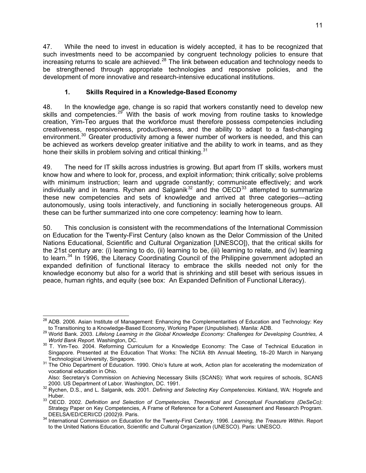47. While the need to invest in education is widely accepted, it has to be recognized that such investments need to be accompanied by congruent technology policies to ensure that increasing returns to scale are achieved. $^{28}$  The link between education and technology needs to be strengthened through appropriate technologies and responsive policies, and the development of more innovative and research-intensive educational institutions.

#### **1. Skills Required in a Knowledge-Based Economy**

48. In the knowledge age, change is so rapid that workers constantly need to develop new skills and competencies.<sup>29</sup> With the basis of work moving from routine tasks to knowledge creation, Yim-Teo argues that the workforce must therefore possess competencies including creativeness, responsiveness, productiveness, and the ability to adapt to a fast-changing environment.<sup>30</sup> Greater productivity among a fewer number of workers is needed, and this can be achieved as workers develop greater initiative and the ability to work in teams, and as they hone their skills in problem solving and critical thinking.<sup>31</sup>

The need for IT skills across industries is growing. But apart from IT skills, workers must 49. know how and where to look for, process, and exploit information; think critically; solve problems with minimum instruction; learn and upgrade constantly; communicate effectively; and work individually and in teams. Rychen and Salganik $32$  and the OECD $33$  attempted to summarize these new competencies and sets of knowledge and arrived at three categories—acting autonomously, using tools interactively, and functioning in socially heterogeneous groups. All these can be further summarized into one core competency: learning how to learn.

0. This conclusion is consistent with the recommendations of the International Commission 50. on Education for the Twenty-First Century (also known as the Delor Commission of the United Nations Educational, Scientific and Cultural Organization [UNESCO]), that the critical skills for the 21st century are: (i) learning to do, (ii) learning to be, (iii) learning to relate, and (iv) learning to learn.<sup>34</sup> In 1996, the Literacy Coordinating Council of the Philippine government adopted an expanded definition of functional literacy to embrace the skills needed not only for the knowledge economy but also for a world that is shrinking and still beset with serious issues in peace, human rights, and equity (see box: An Expanded Definition of Functional Literacy).

 $\overline{a}$ <sup>28</sup> ADB. 2006. Asian Institute of Management: Enhancing the Complementarities of Education and Technology: Key

to Transitioning to a Knowledge-Based Economy, Working Paper (Unpublished). Manila: ADB. 29 World Bank. 2003. *Lifelong Learning in the Global Knowledge Economy: Challenges for Developing Countries, A* 

*World Bank Report*. Washington, DC. 30 T. Yim-Teo. 2004. Reforming Curriculum for a Knowledge Economy: The Case of Technical Education in Singapore. Presented at the Education That Works: The NCIIA 8th Annual Meeting, 18–20 March in Nanyang<br>Technological University, Singapore.

<sup>&</sup>lt;sup>31</sup> The Ohio Department of Education. 1990. Ohio's future at work, Action plan for accelerating the modernization of vocational education in Ohio.

Also: Secretary's Commission on Achieving Necessary Skills (SCANS): What work requires of schools, SCANS 2000. US Department of Labor. Washington, DC. 1991.

<sup>2000.</sup> US Department of Labor. Washington, DC. 1991. 32 Rychen, D.S., and L. Salganik, eds. 2001. *Defining and Selecting Key Competencies*. Kirkland, WA: Hogrefe and

Huber. 33 OECD. 2002. *Definition and Selection of Competencies, Theoretical and Conceptual Foundations (DeSeCo)*: Strategy Paper on Key Competencies, A Frame of Reference for a Coherent Assessment and Research Program. DEELSA/ED/CERI/CD (2002)9. Paris. 34 International Commission on Education for the Twenty-First Century. 1996. *Learning, the Treasure Within*. Report

to the United Nations Education, Scientific and Cultural Organization (UNESCO). Paris: UNESCO.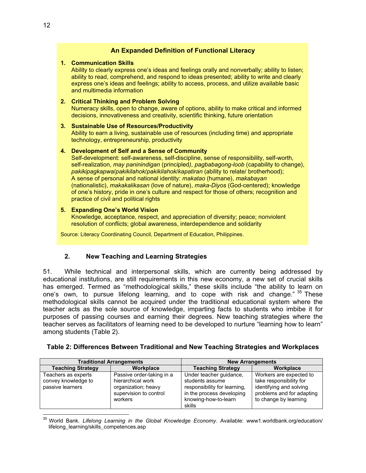#### **An Expanded Definition of Functional Literacy**

#### **1. Communication Skills**

Ability to clearly express one's ideas and feelings orally and nonverbally; ability to listen; ability to read, comprehend, and respond to ideas presented; ability to write and clearly express one's ideas and feelings; ability to access, process, and utilize available basic and multimedia information

#### **2. Critical Thinking and Problem Solving**

Numeracy skills, open to change, aware of options, ability to make critical and informed decisions, innovativeness and creativity, scientific thinking, future orientation

#### **3. Sustainable Use of Resources/Productivity**

Ability to earn a living, sustainable use of resources (including time) and appropriate technology, entrepreneurship, productivity

#### **4. Development of Self and a Sense of Community**

Self-development: self-awareness, self-discipline, sense of responsibility, self-worth, self-realization, *may paninindigan* (principled*), pagbabagong-loob* (capability to change), *pakikipagkapwa/pakikilahok/pakikilahok/kapatiran* (ability to relate/ brotherhood); A sense of personal and national identity: *makatao* (humane), *makabayan* (nationalistic), *makakalikasan* (love of nature), *maka-Diyos* (God-centered); knowledge of one's history, pride in one's culture and respect for those of others; recognition and practice of civil and political rights

#### **5. Expanding One's World Vision**

Knowledge, acceptance, respect, and appreciation of diversity; peace; nonviolent resolution of conflicts; global awareness, interdependence and solidarity

Source: Literacy Coordinating Council, Department of Education, Philippines.

#### **2. New Teaching and Learning Strategies**

While technical and interpersonal skills, which are currently being addressed by  $51<sub>1</sub>$ educational institutions, are still requirements in this new economy, a new set of crucial skills has emerged. Termed as "methodological skills," these skills include "the ability to learn on one's own, to pursue lifelong learning, and to cope with risk and change." <sup>35</sup> These methodological skills cannot be acquired under the traditional educational system where the teacher acts as the sole source of knowledge, imparting facts to students who imbibe it for purposes of passing courses and earning their degrees. New teaching strategies where the teacher serves as facilitators of learning need to be developed to nurture "learning how to learn" among students (Table 2).

|                                                                | <b>Traditional Arrangements</b>                                                                            |                                                                                                                                           | <b>New Arrangements</b>                                                                                                             |
|----------------------------------------------------------------|------------------------------------------------------------------------------------------------------------|-------------------------------------------------------------------------------------------------------------------------------------------|-------------------------------------------------------------------------------------------------------------------------------------|
| <b>Teaching Strategy</b>                                       | Workplace                                                                                                  | <b>Teaching Strategy</b>                                                                                                                  | Workplace                                                                                                                           |
| Teachers as experts<br>convey knowledge to<br>passive learners | Passive order-taking in a<br>hierarchical work<br>organization; heavy<br>supervision to control<br>workers | Under teacher guidance,<br>students assume<br>responsibility for learning,<br>in the process developing<br>knowing-how-to-learn<br>skills | Workers are expected to<br>take responsibility for<br>identifying and solving<br>problems and for adapting<br>to change by learning |

#### **Table 2: Differences Between Traditional and New Teaching Strategies and Workplaces**

 35 World Bank. *Lifelong Learning in the Global Knowledge Economy*. Available: www1.worldbank.org/education/ lifelong\_learning/skills\_competences.asp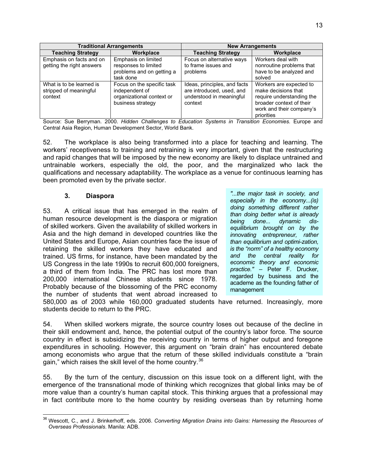|                                                               | <b>Traditional Arrangements</b>                                                                |                                                                                                  | <b>New Arrangements</b>                                                                                                                           |
|---------------------------------------------------------------|------------------------------------------------------------------------------------------------|--------------------------------------------------------------------------------------------------|---------------------------------------------------------------------------------------------------------------------------------------------------|
| <b>Teaching Strategy</b>                                      | Workplace                                                                                      | <b>Teaching Strategy</b>                                                                         | Workplace                                                                                                                                         |
| Emphasis on facts and on                                      | Emphasis on limited                                                                            | Focus on alternative ways                                                                        | Workers deal with                                                                                                                                 |
| getting the right answers                                     | responses to limited                                                                           | to frame issues and                                                                              | nonroutine problems that                                                                                                                          |
|                                                               | problems and on getting a                                                                      | problems                                                                                         | have to be analyzed and                                                                                                                           |
|                                                               | task done                                                                                      |                                                                                                  | solved                                                                                                                                            |
| What is to be learned is<br>stripped of meaningful<br>context | Focus on the specific task<br>independent of<br>organizational context or<br>business strategy | Ideas, principles, and facts<br>are introduced, used, and<br>understood in meaningful<br>context | Workers are expected to<br>make decisions that<br>require understanding the<br>broader context of their<br>work and their company's<br>priorities |

Source: Sue Berryman. 2000. Hidden Challenges to Education Systems in Transition Economies. Europe and Central Asia Region, Human Development Sector, World Bank.

52. The workplace is also being transformed into a place for teaching and learning. The workers' receptiveness to training and retraining is very important, given that the restructuring and rapid changes that will be imposed by the new economy are likely to displace untrained and untrainable workers, especially the old, the poor, and the marginalized who lack the qualifications and necessary adaptability. The workplace as a venue for continuous learning has been promoted even by the private sector.

A critical issue that has emerged in the realm of human resource development is the diaspora or migration 53. of skilled workers. Given the availability of skilled workers in Asia and the high demand in developed countries like the United States and Europe, Asian countries face the issue of retaining the skilled workers they have educated and trained. US firms, for instance, have been mandated by the US Congress in the late 1990s to recruit 600,000 foreigners, a third of them from India. The PRC has lost more than 200,000 international Chinese students since 1978. Probably because of the blossoming of the PRC economy the number of students that went abroad increased to

**3. Diaspora** *"...the major task in society, and especially in the economy...(is) doing something different rather than doing better what is already being done... dynamic disequilibrium brought on by the innovating entrepreneur, rather than equilibrium and optimi-zation, is the "norm" of a healthy economy and the central reality for economic theory and economic practice." –* Peter F. Drucker, regarded by business and the academe as the founding father of management

580,000 as of 2003 while 160,000 graduated students have returned. Increasingly, more students decide to return to the PRC.

54. When skilled workers migrate, the source country loses out because of the decline in their skill endowment and, hence, the potential output of the country's labor force. The source country in effect is subsidizing the receiving country in terms of higher output and foregone expenditures in schooling. However, this argument on "brain drain" has encountered debate among economists who argue that the return of these skilled individuals constitute a "brain gain," which raises the skill level of the home country. $36$ 

55. By the turn of the century, discussion on this issue took on a different light, with the emergence of the transnational mode of thinking which recognizes that global links may be of more value than a country's human capital stock. This thinking argues that a professional may in fact contribute more to the home country by residing overseas than by returning home

 36 Wescott, C., and J. Brinkerhoff, eds. 2006. *Converting Migration Drains into Gains: Harnessing the Resources of Overseas Professionals*. Manila: ADB.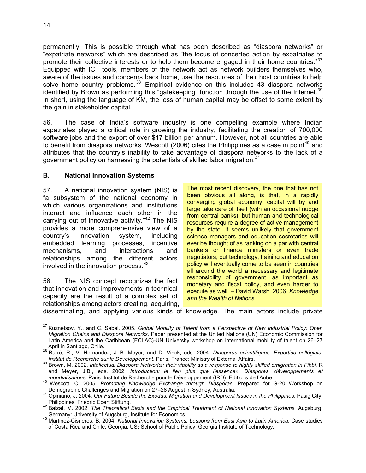permanently. This is possible through what has been described as "diaspora networks" or "expatriate networks" which are described as "the locus of concerted action by expatriates to promote their collective interests or to help them become engaged in their home countries."<sup>37</sup> Equipped with ICT tools, members of the network act as network builders themselves who, aware of the issues and concerns back home, use the resources of their host countries to help solve home country problems.  $38$  Empirical evidence on this includes 43 diaspora networks identified by Brown as performing this "gatekeeping" function through the use of the Internet.<sup>39</sup> In short, using the language of KM, the loss of human capital may be offset to some extent by the gain in stakeholder capital.

56. The case of India's software industry is one compelling example where Indian expatriates played a critical role in growing the industry, facilitating the creation of 700,000 software jobs and the export of over \$17 billion per annum. However, not all countries are able to benefit from diaspora networks. Wescott (2006) cites the Philippines as a case in point<sup>40</sup> and attributes that the country's inability to take advantage of diaspora networks to the lack of a government policy on harnessing the potentials of skilled labor migration.<sup>41</sup>

#### **. National Innovation Systems B**

7. A national innovation system (NIS) is 57. "a subsystem of the national economy in which various organizations and institutions interact and influence each other in the carrying out of innovative activity."<sup>42</sup> The NIS provides a more comprehensive view of a country's innovation system, including embedded learning processes, incentive mechanisms, and interactions and relationships among the different actors involved in the innovation process.<sup>43</sup>

The NIS concept recognizes the fact 58 that innovation and improvements in technical capacity are the result of a complex set of relationships among actors creating, acquiring, The most recent discovery, the one that has not been obvious all along, is that, in a rapidly converging global economy, capital will by and large take care of itself (with an occasional nudge from central banks), but human and technological resources require a degree of active management by the state. It seems unlikely that government science managers and education secretaries will ever be thought of as ranking on a par with central bankers or finance ministers or even trade negotiators, but technology, training and education policy will eventually come to be seen in countries all around the world a necessary and legitimate responsibility of government, as important as monetary and fiscal policy, and even harder to execute as well. *–* David Warsh. 2006. *Knowledge and the Wealth of Nations*.

disseminating, and applying various kinds of knowledge. The main actors include private

 $\frac{1}{2}$ 37 Kuznetsov, Y., and C. Sabel. 2005. *Global Mobility of Talent from a Perspective of New Industrial Policy: Open Migration Chains and Diaspora Networks*. Paper presented at the United Nations (UN) Economic Commission for Latin America and the Caribbean (ECLAC)-UN University workshop on international mobility of talent on 26–27

April in Santiago, Chile. 38 Barré, R., V. Hernandez, J.-B. Meyer, and D. Vinck, eds. 2004. *Diasporas scientifiques, Expertise collégiale:* 

*Institut de Recherche sur le Développement*. Paris, France: Ministry of External Affairs. 39 Brown, M. 2002. *Intellectual Diaspora Networks: their viability as a response to highly skilled emigration in Fibbi.* <sup>R</sup> and Meyer, J.B., eds. 2002. *Introduction: le lien plus que l'essence», Diasporas, développements et* 

mondialisations. Paris: Institut de Recherche pour le Développement (IRD), Institute (IRD), INDISCOTT, 2005. Promoting Knowledge Exchange through Diasporas. Prepared for G-20 Workshop on<br>Demographic Challenges and Migratio

Demographic Challenges and Migration on 27–28 August in Sydney, Australia. 41 Opiniano, J. 2004. *Our Future Beside the Exodus: Migration and Development Issues in the Philippines*. Pasig City,

Philippines: Friedric Ebert Stiftung. 42 Balzat, M. 2002. *The Theoretical Basis and the Empirical Treatment of National Innovation Systems.* Augsburg,

Germany: University of Augsburg, Institute for Economics. 43 Martinez-Cisneros, B. 2004. *National Innovation Systems: Lessons from East Asia to Latin America*, Case studies of Costa Rica and Chile. Georgia, US**:** School of Public Policy, Georgia Institute of Technology.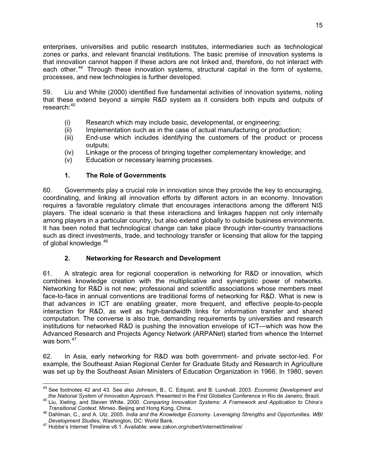enterprises, universities and public research institutes, intermediaries such as technological zones or parks, and relevant financial institutions. The basic premise of innovation systems is that innovation cannot happen if these actors are not linked and, therefore, do not interact with each other.<sup>44</sup> Through these innovation systems, structural capital in the form of systems, processes, and new technologies is further developed.

59. Liu and White (2000) identified five fundamental activities of innovation systems, noting that these extend beyond a simple R&D system as it considers both inputs and outputs of research:<sup>45</sup>

- (i) Research which may include basic, developmental, or engineering;
- (ii) Implementation such as in the case of actual manufacturing or production;
- (iii) End-use which includes identifying the customers of the product or process outputs;
- (iv) r the process of bringing together complementary knowledge; and Linkage o
- (v) Education or necessary learning processes.

#### **1. The Role of Governments**

Governments play a crucial role in innovation since they provide the key to encouraging, 60. coordinating, and linking all innovation efforts by different actors in an economy. Innovation requires a favorable regulatory climate that encourages interactions among the different NIS players. The ideal scenario is that these interactions and linkages happen not only internally among players in a particular country, but also extend globally to outside business environments. It has been noted that technological change can take place through inter-country transactions such as direct investments, trade, and technology transfer or licensing that allow for the tapping of global knowledge.<sup>46</sup>

#### **2. Networking for Research and Development**

A strategic area for regional cooperation is networking for R&D or innovation, which 61. combines knowledge creation with the multiplicative and synergistic power of networks. Networking for R&D is not new; professional and scientific associations whose members meet face-to-face in annual conventions are traditional forms of networking for R&D. What is new is that advances in ICT are enabling greater, more frequent, and effective people-to-people interaction for R&D, as well as high-bandwidth links for information transfer and shared computation. The converse is also true, demanding requirements by universities and research institutions for networked R&D is pushing the innovation envelope of ICT—which was how the Advanced Research and Projects Agency Network (ARPANet) started from whence the Internet was born. $47$ 

2. In Asia, early networking for R&D was both government- and private sector-led. For 62. example, the Southeast Asian Regional Center for Graduate Study and Research in Agriculture was set up by the Southeast Asian Ministers of Education Organization in 1966. In 1980, seven

 44 See footnotes 42 and 43. See also Johnson, B., C. Edquist, and B. Lundvall. 2003. *Economic Development and* 

the National System of Innovation Approach. Presented in the First Globelics Conference in Rio de Janeiro, Brazil.<br><sup>45</sup> Liu, Xieling, and Steven White. 2000. Comparing Innovation Systems: A Framework and Application to Chi

<sup>&</sup>lt;sup>46</sup> Dahlman, C., and A. Utz. 2005. *India and the Knowledge Economy. Leveraging Strengths and Opportunities. WBI*<br>Development Studies, Washington, DC: World Bank.

<sup>&</sup>lt;sup>47</sup> Hobbe's Internet Timeline v8.1. Available: www.zakon.org/robert/internet/timeline/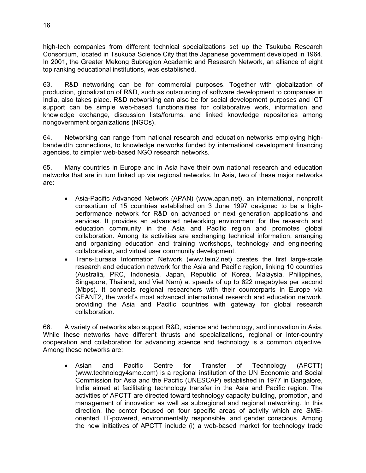high-tech companies from different technical specializations set up the Tsukuba Research Consortium, located in Tsukuba Science City that the Japanese government developed in 1964. In 2001, the Greater Mekong Subregion Academic and Research Network, an alliance of eight top ranking educational institutions, was established.

63. R&D networking can be for commercial purposes. Together with globalization of production, globalization of R&D, such as outsourcing of software development to companies in India, also takes place. R&D networking can also be for social development purposes and ICT support can be simple web-based functionalities for collaborative work, information and knowledge exchange, discussion lists/forums, and linked knowledge repositories among nongovernment organizations (NGOs).

Networking can range from national research and education networks employing high-64. bandwidth connections, to knowledge networks funded by international development financing agencies, to simpler web-based NGO research networks.

Many countries in Europe and in Asia have their own national research and education 65. networks that are in turn linked up via regional networks. In Asia, two of these major networks are:

- Asia-Pacific Advanced Network (APAN) (www.apan.net), an international, nonprofit consortium of 15 countries established on 3 June 1997 designed to be a highperformance network for R&D on advanced or next generation applications and services. It provides an advanced networking environment for the research and education community in the Asia and Pacific region and promotes global collaboration. Among its activities are exchanging technical information, arranging and organizing education and training workshops, technology and engineering collaboration, and virtual user community development.
- Trans-Eurasia Information Network (www.tein2.net) creates the first large-scale research and education network for the Asia and Pacific region, linking 10 countries (Australia, PRC, Indonesia, Japan, Republic of Korea, Malaysia, Philippines, Singapore, Thailand, and Viet Nam) at speeds of up to 622 megabytes per second (Mbps). It connects regional researchers with their counterparts in Europe via GEANT2, the world's most advanced international research and education network, providing the Asia and Pacific countries with gateway for global research collaboration.

6. A variety of networks also support R&D, science and technology, and innovation in Asia. 66. While these networks have different thrusts and specializations, regional or inter-country cooperation and collaboration for advancing science and technology is a common objective. Among these networks are:

x Asian and Pacific Centre for Transfer of Technology (APCTT) (www.technology4sme.com) is a regional institution of the UN Economic and Social Commission for Asia and the Pacific (UNESCAP) established in 1977 in Bangalore, India aimed at facilitating technology transfer in the Asia and Pacific region. The activities of APCTT are directed toward technology capacity building, promotion, and management of innovation as well as subregional and regional networking. In this direction, the center focused on four specific areas of activity which are SMEoriented, IT-powered, environmentally responsible, and gender conscious. Among the new initiatives of APCTT include (i) a web-based market for technology trade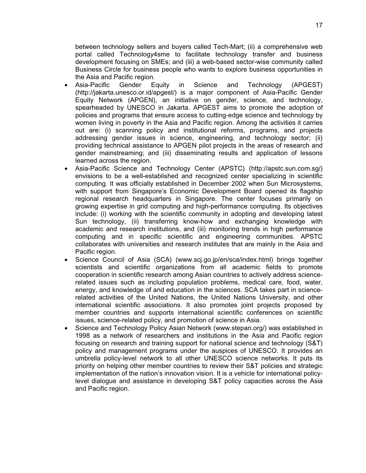between technology sellers and buyers called Tech-Mart; (ii) a comprehensive web portal called Technology4sme to facilitate technology transfer and business development focusing on SMEs; and (iii) a web-based sector-wise community called Business Circle for business people who wants to explore business opportunities in the Asia and Pacific region.

- Asia-Pacific Gender Equity in Science and Technology (APGEST) (http://jakarta.unesco.or.id/apgest/) is a major component of Asia-Pacific Gender Equity Network (APGEN), an initiative on gender, science, and technology, spearheaded by UNESCO in Jakarta. APGEST aims to promote the adoption of policies and programs that ensure access to cutting-edge science and technology by women living in poverty in the Asia and Pacific region. Among the activities it carries out are: (i) scanning policy and institutional reforms, programs, and projects addressing gender issues in science, engineering, and technology sector; (ii) providing technical assistance to APGEN pilot projects in the areas of research and gender mainstreaming; and (iii) disseminating results and application of lessons learned across the region.
- Asia-Pacific Science and Technology Center (APSTC) (http://apstc.sun.com.sg/) envisions to be a well-established and recognized center specializing in scientific computing. It was officially established in December 2002 when Sun Microsystems, with support from Singapore's Economic Development Board opened its flagship regional research headquarters in Singapore. The center focuses primarily on growing expertise in grid computing and high-performance computing. Its objectives include: (i) working with the scientific community in adopting and developing latest Sun technology, (ii) transferring know-how and exchanging knowledge with academic and research institutions, and (iii) monitoring trends in high performance computing and in specific scientific and engineering communities. APSTC collaborates with universities and research institutes that are mainly in the Asia and Pacific region.
- Science Council of Asia (SCA) (www.scj.go.jp/en/sca/index.html) brings together scientists and scientific organizations from all academic fields to promote cooperation in scientific research among Asian countries to actively address sciencerelated issues such as including population problems, medical care, food, water, energy, and knowledge of and education in the sciences. SCA takes part in sciencerelated activities of the United Nations, the United Nations University, and other international scientific associations. It also promotes joint projects proposed by member countries and supports international scientific conferences on scientific issues, science-related policy, and promotion of science in Asia.
- Science and Technology Policy Asian Network (www.stepan.org/) was established in 1998 as a network of researchers and institutions in the Asia and Pacific region focusing on research and training support for national science and technology (S&T) policy and management programs under the auspices of UNESCO. It provides an umbrella policy-level network to all other UNESCO science networks. It puts its priority on helping other member countries to review their S&T policies and strategic implementation of the nation's innovation vision. It is a vehicle for international policylevel dialogue and assistance in developing S&T policy capacities across the Asia and Pacific region.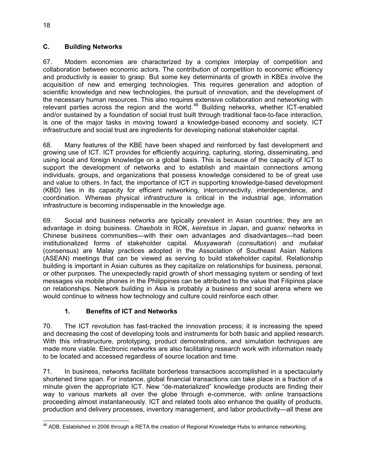#### **C. Building Networks**

67. Modern economies are characterized by a complex interplay of competition and collaboration between economic actors. The contribution of competition to economic efficiency and productivity is easier to grasp. But some key determinants of growth in KBEs involve the acquisition of new and emerging technologies. This requires generation and adoption of scientific knowledge and new technologies, the pursuit of innovation, and the development of the necessary human resources. This also requires extensive collaboration and networking with relevant parties across the region and the world.<sup>48</sup> Building networks, whether ICT-enabled and/or sustained by a foundation of social trust built through traditional face-to-face interaction, is one of the major tasks in moving toward a knowledge-based economy and society. ICT infrastructure and social trust are ingredients for developing national stakeholder capital.

68. Many features of the KBE have been shaped and reinforced by fast development and growing use of ICT. ICT provides for efficiently acquiring, capturing, storing, disseminating, and using local and foreign knowledge on a global basis. This is because of the capacity of ICT to support the development of networks and to establish and maintain connections among individuals, groups, and organizations that possess knowledge considered to be of great use and value to others. In fact, the importance of ICT in supporting knowledge-based development (KBD) lies in its capacity for efficient networking, interconnectivity, interdependence, and coordination. Whereas physical infrastructure is critical in the industrial age, information infrastructure is becoming indispensable in the knowledge age.

69. Social and business networks are typically prevalent in Asian countries; they are an advantage in doing business. *Chaebols* in ROK, *keiretsus* in Japan, and *guanxi* networks in Chinese business communities—with their own advantages and disadvantages—had been institutionalized forms of stakeholder capital*. Musyawarah* (consultation) and *mufakat* (consensus) are Malay practices adopted in the Association of Southeast Asian Nations (ASEAN) meetings that can be viewed as serving to build stakeholder capital. Relationship building is important in Asian cultures as they capitalize on relationships for business, personal, or other purposes. The unexpectedly rapid growth of short messaging system or sending of text messages via mobile phones in the Philippines can be attributed to the value that Filipinos place on relationships. Network building in Asia is probably a business and social arena where we would continue to witness how technology and culture could reinforce each other.

#### **1. Benefits of ICT and Networks**

70. The ICT revolution has fast-tracked the innovation process; it is increasing the speed and decreasing the cost of developing tools and instruments for both basic and applied research. With this infrastructure, prototyping, product demonstrations, and simulation techniques are made more viable. Electronic networks are also facilitating research work with information ready to be located and accessed regardless of source location and time.

71. In business, networks facilitate borderless transactions accomplished in a spectacularly shortened time span. For instance, global financial transactions can take place in a fraction of a minute given the appropriate ICT. New "de-materialized" knowledge products are finding their way to various markets all over the globe through e-commerce, with online transactions proceeding almost instantaneously. ICT and related tools also enhance the quality of products, production and delivery processes, inventory management, and labor productivity—all these are

  $^{48}$  ADB. Established in 2006 through a RETA the creation of Regional Knowledge Hubs to enhance networking.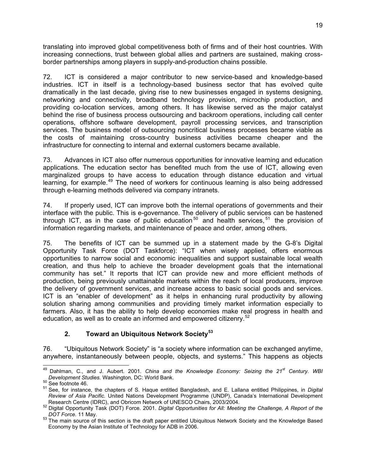translating into improved global competitiveness both of firms and of their host countries. With increasing connections, trust between global allies and partners are sustained, making crossborder partnerships among players in supply-and-production chains possible.

72. ICT is considered a major contributor to new service-based and knowledge-based industries. ICT in itself is a technology-based business sector that has evolved quite dramatically in the last decade, giving rise to new businesses engaged in systems designing, networking and connectivity, broadband technology provision, microchip production, and providing co-location services, among others. It has likewise served as the major catalyst behind the rise of business process outsourcing and backroom operations, including call center operations, offshore software development, payroll processing services, and transcription services. The business model of outsourcing noncritical business processes became viable as the costs of maintaining cross-country business activities became cheaper and the infrastructure for connecting to internal and external customers became available.

73. Advances in ICT also offer numerous opportunities for innovative learning and education applications. The education sector has benefited much from the use of ICT, allowing even marginalized groups to have access to education through distance education and virtual learning, for example.<sup>49</sup> The need of workers for continuous learning is also being addressed through e-learning methods delivered via company intranets.

74. If properly used, ICT can improve both the internal operations of governments and their interface with the public. This is e-governance. The delivery of public services can be hastened through ICT, as in the case of public education<sup>50</sup> and health services,<sup>51</sup> the provision of information regarding markets, and maintenance of peace and order, among others.

75. The benefits of ICT can be summed up in a statement made by the G-8's Digital Opportunity Task Force (DOT Taskforce): "ICT when wisely applied, offers enormous opportunities to narrow social and economic inequalities and support sustainable local wealth creation, and thus help to achieve the broader development goals that the international community has set." It reports that ICT can provide new and more efficient methods of production, being previously unattainable markets within the reach of local producers, improve the delivery of government services, and increase access to basic social goods and services. ICT is an "enabler of development" as it helps in enhancing rural productivity by allowing solution sharing among communities and providing timely market information especially to farmers. Also, it has the ability to help develop economies make real progress in health and education, as well as to create an informed and empowered citizenry.<sup>52</sup>

#### **2. Toward an Ubiquitous Network Society<sup>53</sup>**

76. "Ubiquitous Network Society" is "a society where information can be exchanged anytime, anywhere, instantaneously between people, objects, and systems." This happens as objects

 $\overline{a}$ 49 Dahlman, C., and J. Aubert. 2001. *China and the Knowledge Economy: Seizing the 21st Century. WBI Development Studies.* Washington, DC: World Bank.<br><sup>50</sup> See footnote 46.<br><sup>51</sup> See, for instance, the chapters of S. Haque entitled Bangladesh, and E. Lallana entitled Philippines, in *Digital* 

*Review of Asia Pacific.* United Nations Development Programme (UNDP), Canada's International Development

Research Centre (IDRC), and Obricom Network of UNESCO Chairs, 2003/2004.<br><sup>52</sup> Digital Opportunity Task (DOT) Force. 2001. *Digital Opportunities for All: Meeting the Challenge, A Report of the* 

*DOT Force.* 11 May.<br><sup>53</sup> The main source of this section is the draft paper entitled Ubiquitous Network Society and the Knowledge Based Economy by the Asian Institute of Technology for ADB in 2006.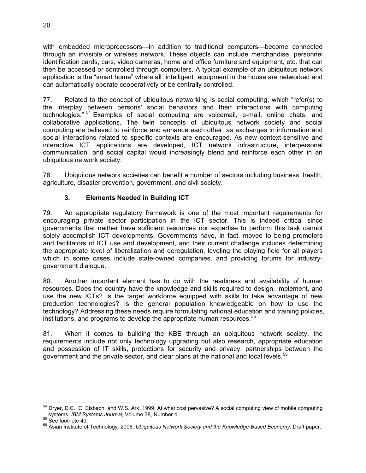with embedded microprocessors—in addition to traditional computers—become connected through an invisible or wireless network. These objects can include merchandise, personnel identification cards, cars, video cameras, home and office furniture and equipment, etc. that can then be accessed or controlled through computers. A typical example of an ubiquitous network application is the "smart home" where all "intelligent" equipment in the house are networked and can automatically operate cooperatively or be centrally controlled.

77. Related to the concept of ubiquitous networking is social computing, which "refer(s) to the interplay between persons' social behaviors and their interactions with computing technologies." <sup>54</sup> Examples of social computing are voicemail, e-mail, online chats, and collaborative applications. The twin concepts of ubiquitous network society and social computing are believed to reinforce and enhance each other, as exchanges in information and social interactions related to specific contexts are encouraged. As new context-sensitive and interactive ICT applications are developed, ICT network infrastructure, interpersonal communication, and social capital would increasingly blend and reinforce each other in an ubiquitous network society.

78. Ubiquitous network societies can benefit a number of sectors including business, health, agriculture, disaster prevention, government, and civil society.

#### **3. Elements Needed in Building ICT**

79. An appropriate regulatory framework is one of the most important requirements for encouraging private sector participation in the ICT sector. This is indeed critical since governments that neither have sufficient resources nor expertise to perform this task cannot solely accomplish ICT developments. Governments have, in fact, moved to being promoters and facilitators of ICT use and development, and their current challenge includes determining the appropriate level of liberalization and deregulation, leveling the playing field for all players which in some cases include state-owned companies, and providing forums for industrygovernment dialogue.

80. Another important element has to do with the readiness and availability of human resources. Does the country have the knowledge and skills required to design, implement, and use the new ICTs? Is the target workforce equipped with skills to take advantage of new production technologies? Is the general population knowledgeable on how to use the technology? Addressing these needs require formulating national education and training policies, institutions, and programs to develop the appropriate human resources.<sup>55</sup>

81. When it comes to building the KBE through an ubiquitous network society, the requirements include not only technology upgrading but also research, appropriate education and possession of IT skills, protections for security and privacy, partnerships between the government and the private sector, and clear plans at the national and local levels.<sup>56</sup>

 <sup>54</sup> Dryer, D.C., C. Eisbach, and W.S. Ark. 1999. At what cost pervasive? A social computing view of mobile computing systems. *IBM Systems Journal*, Volume 38, Number 4.<br><sup>55</sup> See footnote 49.<br><sup>56</sup> Asian Institute of Technology. 2006. *Ubiquitous Network Society and the Knowledge-Based Economy*. Draft paper.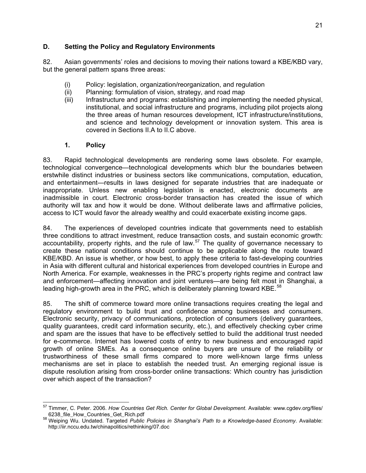#### **D. Setting the Policy and Regulatory Environments**

82. Asian governments' roles and decisions to moving their nations toward a KBE/KBD vary, but the general pattern spans three areas:

- (i) Policy: legislation, organization/reorganization, and regulation
- (ii) Planning: formulation of vision, strategy, and road map
- (iii) Infrastructure and programs: establishing and implementing the needed physical, institutional, and social infrastructure and programs, including pilot projects along the three areas of human resources development, ICT infrastructure/institutions, and science and technology development or innovation system. This area is covered in Sections II.A to II.C above.

#### **1. Policy**

83. Rapid technological developments are rendering some laws obsolete. For example, technological convergence—technological developments which blur the boundaries between erstwhile distinct industries or business sectors like communications, computation, education, and entertainment—results in laws designed for separate industries that are inadequate or inappropriate. Unless new enabling legislation is enacted, electronic documents are inadmissible in court. Electronic cross-border transaction has created the issue of which authority will tax and how it would be done. Without deliberate laws and affirmative policies, access to ICT would favor the already wealthy and could exacerbate existing income gaps.

84. The experiences of developed countries indicate that governments need to establish three conditions to attract investment, reduce transaction costs, and sustain economic growth: accountability, property rights, and the rule of law. $57$  The quality of governance necessary to create these national conditions should continue to be applicable along the route toward KBE/KBD. An issue is whether, or how best, to apply these criteria to fast-developing countries in Asia with different cultural and historical experiences from developed countries in Europe and North America. For example, weaknesses in the PRC's property rights regime and contract law and enforcement—affecting innovation and joint ventures—are being felt most in Shanghai, a leading high-growth area in the PRC, which is deliberately planning toward KBE. $^{58}$ 

85. The shift of commerce toward more online transactions requires creating the legal and regulatory environment to build trust and confidence among businesses and consumers. Electronic security, privacy of communications, protection of consumers (delivery guarantees, quality guarantees, credit card information security, etc.), and effectively checking cyber crime and spam are the issues that have to be effectively settled to build the additional trust needed for e-commerce. Internet has lowered costs of entry to new business and encouraged rapid growth of online SMEs. As a consequence online buyers are unsure of the reliability or trustworthiness of these small firms compared to more well-known large firms unless mechanisms are set in place to establish the needed trust. An emerging regional issue is dispute resolution arising from cross-border online transactions: Which country has jurisdiction over which aspect of the transaction?

<sup>57</sup> Timmer, C. Peter. 2006. *How Countries Get Rich. Center for Global Development*. Available: www.cgdev.org/files/

<sup>6238</sup>\_file\_How\_Countries\_Get\_Rich.pdf 58 Weiping Wu. Undated. Targeted *Public Policies in Shanghai's Path to a Knowledge-based Economy*. Available: http://iir.nccu.edu.tw/chinapolitics/rethinking/07.doc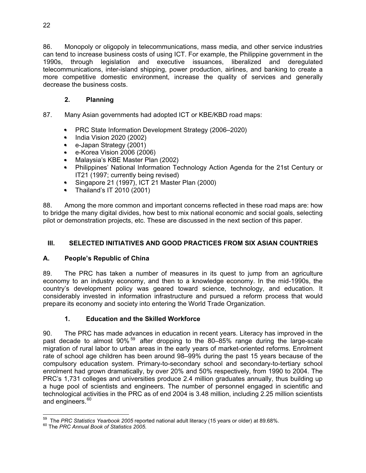86. Monopoly or oligopoly in telecommunications, mass media, and other service industries can tend to increase business costs of using ICT. For example, the Philippine government in the 1990s, through legislation and executive issuances, liberalized and deregulated telecommunications, inter-island shipping, power production, airlines, and banking to create a more competitive domestic environment, increase the quality of services and generally decrease the business costs.

#### **2. Planning**

- 87. Many Asian governments had adopted ICT or KBE/KBD road maps:
	- PRC State Information Development Strategy (2006–2020)
	- India Vision 2020 (2002)
	- e-Japan Strategy (2001)
	- $\bullet$  e-Korea Vision 2006 (2006)
	- Malaysia's KBE Master Plan (2002)
	- Philippines' National Information Technology Action Agenda for the 21st Century or IT21 (1997; currently being revised)
	- Singapore 21 (1997), ICT 21 Master Plan (2000)
	- Thailand's IT 2010 (2001)

88. Among the more common and important concerns reflected in these road maps are: how to bridge the many digital divides, how best to mix national economic and social goals, selecting pilot or demonstration projects, etc. These are discussed in the next section of this paper.

## **III. SELECTED INITIATIVES AND GOOD PRACTICES FROM SIX ASIAN COUNTRIES**

#### **A. People's Republic of China**

89. The PRC has taken a number of measures in its quest to jump from an agriculture economy to an industry economy, and then to a knowledge economy. In the mid-1990s, the country's development policy was geared toward science, technology, and education. It considerably invested in information infrastructure and pursued a reform process that would prepare its economy and society into entering the World Trade Organization.

#### **1. Education and the Skilled Workforce**

90. The PRC has made advances in education in recent years. Literacy has improved in the past decade to almost 90%<sup>59</sup> after dropping to the 80–85% range during the large-scale migration of rural labor to urban areas in the early years of market-oriented reforms. Enrolment rate of school age children has been around 98–99% during the past 15 years because of the compulsory education system. Primary-to-secondary school and secondary-to-tertiary school enrolment had grown dramatically, by over 20% and 50% respectively, from 1990 to 2004. The PRC's 1,731 colleges and universities produce 2.4 million graduates annually, thus building up a huge pool of scientists and engineers. The number of personnel engaged in scientific and technological activities in the PRC as of end 2004 is 3.48 million, including 2.25 million scientists and engineers.<sup>60</sup>

 <sup>59</sup> The *PRC Statistics Yearbook 2005* reported national adult literacy (15 years or older) at 89.68%.<br><sup>60</sup> The *PRC Annual Book of Statistics 2005*.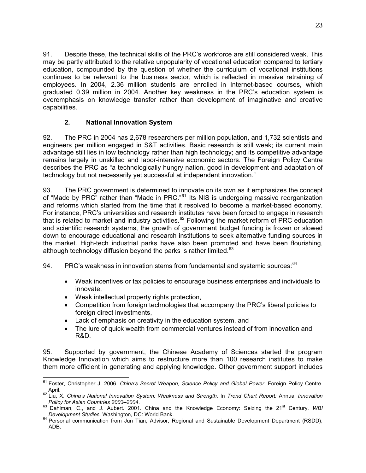91. Despite these, the technical skills of the PRC's workforce are still considered weak. This may be partly attributed to the relative unpopularity of vocational education compared to tertiary education, compounded by the question of whether the curriculum of vocational institutions continues to be relevant to the business sector, which is reflected in massive retraining of employees. In 2004, 2.36 million students are enrolled in Internet-based courses, which graduated 0.39 million in 2004. Another key weakness in the PRC's education system is overemphasis on knowledge transfer rather than development of imaginative and creative capabilities.

#### **2. National Innovation System**

92. The PRC in 2004 has 2,678 researchers per million population, and 1,732 scientists and engineers per million engaged in S&T activities. Basic research is still weak; its current main advantage still lies in low technology rather than high technology; and its competitive advantage remains largely in unskilled and labor-intensive economic sectors. The Foreign Policy Centre describes the PRC as "a technologically hungry nation, good in development and adaptation of technology but not necessarily yet successful at independent innovation."

93. The PRC government is determined to innovate on its own as it emphasizes the concept of "Made by PRC" rather than "Made in PRC."<sup>61</sup> Its NIS is undergoing massive reorganization and reforms which started from the time that it resolved to become a market-based economy. For instance, PRC's universities and research institutes have been forced to engage in research that is related to market and industry activities.<sup>62</sup> Following the market reform of PRC education and scientific research systems, the growth of government budget funding is frozen or slowed down to encourage educational and research institutions to seek alternative funding sources in the market. High-tech industrial parks have also been promoted and have been flourishing, although technology diffusion beyond the parks is rather limited. $63$ 

94. PRC's weakness in innovation stems from fundamental and systemic sources: <sup>64</sup>

- Weak incentives or tax policies to encourage business enterprises and individuals to innovate,
- Weak intellectual property rights protection,
- Competition from foreign technologies that accompany the PRC's liberal policies to foreign direct investments,
- Lack of emphasis on creativity in the education system, and
- The lure of quick wealth from commercial ventures instead of from innovation and R&D.

95. Supported by government, the Chinese Academy of Sciences started the program Knowledge Innovation which aims to restructure more than 100 research institutes to make them more efficient in generating and applying knowledge. Other government support includes

 $\overline{a}$ 61 Foster, Christopher J. 2006. *China's Secret Weapon, Science Policy and Global Power*. Foreign Policy Centre. April. 62 Liu, X. *China's National Innovation System: Weakness and Strength*. In *Trend Chart Report:* Annual *Innovation* 

*Policy for Asian Countries 2003–2004*. 63 Dahlman, C., and J. Aubert. 2001. China and the Knowledge Economy: Seizing the 21st Century. *WBI* 

*Development Studies*. Washington, DC: World Bank.<br><sup>64</sup> Personal communication from Jun Tian, Advisor, Regional and Sustainable Development Department (RSDD),

ADB.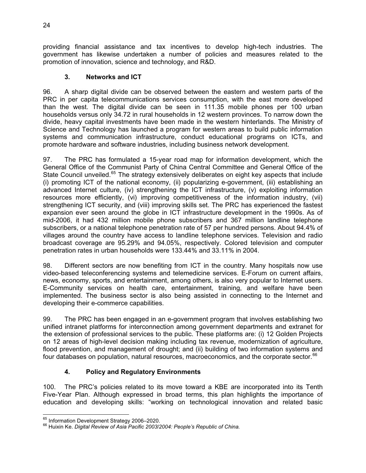providing financial assistance and tax incentives to develop high-tech industries. The government has likewise undertaken a number of policies and measures related to the promotion of innovation, science and technology, and R&D.

#### **3. Networks and ICT**

96. A sharp digital divide can be observed between the eastern and western parts of the PRC in per capita telecommunications services consumption, with the east more developed than the west. The digital divide can be seen in 111.35 mobile phones per 100 urban households versus only 34.72 in rural households in 12 western provinces. To narrow down the divide, heavy capital investments have been made in the western hinterlands. The Ministry of Science and Technology has launched a program for western areas to build public information systems and communication infrastructure, conduct educational programs on ICTs, and promote hardware and software industries, including business network development.

97. The PRC has formulated a 15-year road map for information development, which the General Office of the Communist Party of China Central Committee and General Office of the State Council unveiled.<sup>65</sup> The strategy extensively deliberates on eight key aspects that include (i) promoting ICT of the national economy, (ii) popularizing e-government, (iii) establishing an advanced Internet culture, (iv) strengthening the ICT infrastructure, (v) exploiting information resources more efficiently, (vi) improving competitiveness of the information industry, (vii) strengthening ICT security, and (viii) improving skills set. The PRC has experienced the fastest expansion ever seen around the globe in ICT infrastructure development in the 1990s. As of mid-2006, it had 432 million mobile phone subscribers and 367 million landline telephone subscribers, or a national telephone penetration rate of 57 per hundred persons. About 94.4% of villages around the country have access to landline telephone services. Television and radio broadcast coverage are 95.29% and 94.05%, respectively. Colored television and computer penetration rates in urban households were 133.44% and 33.11% in 2004.

98. Different sectors are now benefiting from ICT in the country. Many hospitals now use video-based teleconferencing systems and telemedicine services. E-Forum on current affairs, news, economy, sports, and entertainment, among others, is also very popular to Internet users. E-Community services on health care, entertainment, training, and welfare have been implemented. The business sector is also being assisted in connecting to the Internet and developing their e-commerce capabilities.

99. The PRC has been engaged in an e-government program that involves establishing two unified intranet platforms for interconnection among government departments and extranet for the extension of professional services to the public. These platforms are: (i) 12 Golden Projects on 12 areas of high-level decision making including tax revenue, modernization of agriculture, flood prevention, and management of drought; and (ii) building of two information systems and four databases on population, natural resources, macroeconomics, and the corporate sector.<sup>66</sup>

#### **4. Policy and Regulatory Environments**

100. The PRC's policies related to its move toward a KBE are incorporated into its Tenth Five-Year Plan. Although expressed in broad terms, this plan highlights the importance of education and developing skills: "working on technological innovation and related basic

<sup>65</sup> Information Development Strategy 2006-2020.

<sup>&</sup>lt;sup>66</sup> Huixin Ke. *Digital Review of Asia Pacific 2003/2004: People's Republic of China.*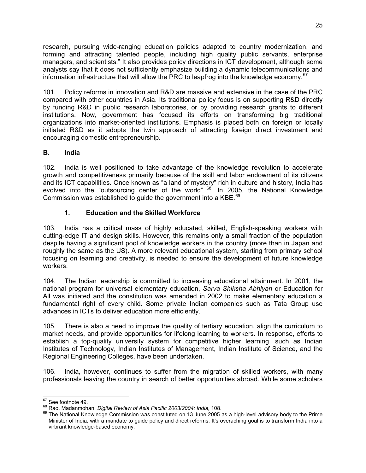research, pursuing wide-ranging education policies adapted to country modernization, and forming and attracting talented people, including high quality public servants, enterprise managers, and scientists." It also provides policy directions in ICT development, although some analysts say that it does not sufficiently emphasize building a dynamic telecommunications and information infrastructure that will allow the PRC to leapfrog into the knowledge economy. $67$ 

101. Policy reforms in innovation and R&D are massive and extensive in the case of the PRC compared with other countries in Asia. Its traditional policy focus is on supporting R&D directly by funding R&D in public research laboratories, or by providing research grants to different institutions. Now, government has focused its efforts on transforming big traditional organizations into market-oriented institutions. Emphasis is placed both on foreign or locally initiated R&D as it adopts the twin approach of attracting foreign direct investment and encouraging domestic entrepreneurship.

#### **B. India**

102. India is well positioned to take advantage of the knowledge revolution to accelerate growth and competitiveness primarily because of the skill and labor endowment of its citizens and its ICT capabilities. Once known as "a land of mystery" rich in culture and history, India has evolved into the "outsourcing center of the world". <sup>68</sup> In 2005, the National Knowledge Commission was established to quide the government into a KBE.<sup>69</sup>

#### **1. Education and the Skilled Workforce**

103. India has a critical mass of highly educated, skilled, English-speaking workers with cutting-edge IT and design skills. However, this remains only a small fraction of the population despite having a significant pool of knowledge workers in the country (more than in Japan and roughly the same as the US). A more relevant educational system, starting from primary school focusing on learning and creativity, is needed to ensure the development of future knowledge workers.

104. The Indian leadership is committed to increasing educational attainment. In 2001, the national program for universal elementary education, *Sarva Shiksha Abhiyan* or Education for All was initiated and the constitution was amended in 2002 to make elementary education a fundamental right of every child. Some private Indian companies such as Tata Group use advances in ICTs to deliver education more efficiently.

105. There is also a need to improve the quality of tertiary education, align the curriculum to market needs, and provide opportunities for lifelong learning to workers. In response, efforts to establish a top-quality university system for competitive higher learning, such as Indian Institutes of Technology, Indian Institutes of Management, Indian Institute of Science, and the Regional Engineering Colleges, have been undertaken.

106. India, however, continues to suffer from the migration of skilled workers, with many professionals leaving the country in search of better opportunities abroad. While some scholars

 $67$  See footnote 49.

<sup>&</sup>lt;sup>68</sup> Rao, Madanmohan. *Digital Review of Asia Pacific 2003/2004: India,* 108.<br><sup>69</sup> The National Knowledge Commission was constituted on 13 June 2005 as a high-level advisory body to the Prime Minister of India, with a mandate to guide policy and direct reforms. It's overaching goal is to transform India into a virbrant knowledge-based economy.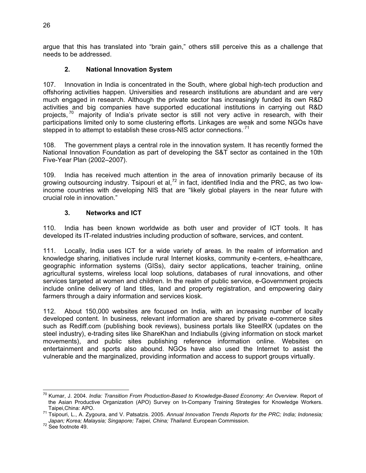argue that this has translated into "brain gain," others still perceive this as a challenge that needs to be addressed.

#### **2. National Innovation System**

107. Innovation in India is concentrated in the South, where global high-tech production and offshoring activities happen. Universities and research institutions are abundant and are very much engaged in research. Although the private sector has increasingly funded its own R&D activities and big companies have supported educational institutions in carrying out R&D projects,  $70$  majority of India's private sector is still not very active in research, with their participations limited only to some clustering efforts. Linkages are weak and some NGOs have stepped in to attempt to establish these cross-NIS actor connections.<sup>71</sup>

108. The government plays a central role in the innovation system. It has recently formed the National Innovation Foundation as part of developing the S&T sector as contained in the 10th Five-Year Plan (2002–2007).

109. India has received much attention in the area of innovation primarily because of its growing outsourcing industry. Tsipouri et al,<sup>72</sup> in fact, identified India and the PRC, as two lowincome countries with developing NIS that are "likely global players in the near future with crucial role in innovation."

#### **3. Networks and ICT**

110. India has been known worldwide as both user and provider of ICT tools. It has developed its IT-related industries including production of software, services, and content.

111. Locally, India uses ICT for a wide variety of areas. In the realm of information and knowledge sharing, initiatives include rural Internet kiosks, community e-centers, e-healthcare, geographic information systems (GISs), dairy sector applications, teacher training, online agricultural systems, wireless local loop solutions, databases of rural innovations, and other services targeted at women and children. In the realm of public service, e-Government projects include online delivery of land titles, land and property registration, and empowering dairy farmers through a dairy information and services kiosk.

112. About 150,000 websites are focused on India, with an increasing number of locally developed content. In business, relevant information are shared by private e-commerce sites such as Rediff.com (publishing book reviews), business portals like SteelRX (updates on the steel industry), e-trading sites like ShareKhan and Indiabulls (giving information on stock market movements), and public sites publishing reference information online. Websites on entertainment and sports also abound. NGOs have also used the Internet to assist the vulnerable and the marginalized, providing information and access to support groups virtually.

 70 Kumar, J. 2004. *India: Transition From Production-Based to Knowledge-Based Economy: An Overview.* Report of the Asian Productive Organization (APO) Survey on In-Company Training Strategies for Knowledge Workers.

Taipei,China: APO.<br><sup>71</sup> Tsipouri, L., A. Zygoura, and V. Patsatzis. 2005. *Annual Innovation Trends Reports for the PRC; India; Indonesia; Japan; Korea; Malaysia; Singapore; Taipei, China; Thailand*. European Commission. 72 See footnote 49.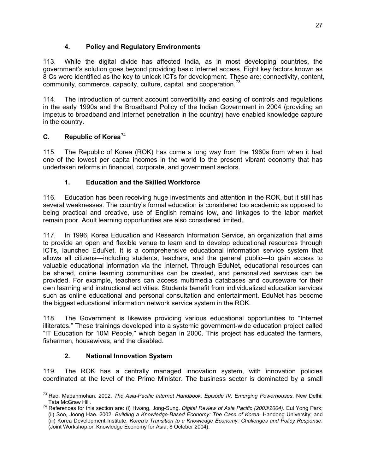#### **4. Policy and Regulatory Environments**

113. While the digital divide has affected India, as in most developing countries, the government's solution goes beyond providing basic Internet access. Eight key factors known as 8 Cs were identified as the key to unlock ICTs for development. These are: connectivity, content, community, commerce, capacity, culture, capital, and cooperation.<sup>73</sup>

114. The introduction of current account convertibility and easing of controls and regulations in the early 1990s and the Broadband Policy of the Indian Government in 2004 (providing an impetus to broadband and Internet penetration in the country) have enabled knowledge capture in the country.

#### **C. Republic of Korea**<sup>74</sup>

115. The Republic of Korea (ROK) has come a long way from the 1960s from when it had one of the lowest per capita incomes in the world to the present vibrant economy that has undertaken reforms in financial, corporate, and government sectors.

#### **1. Education and the Skilled Workforce**

116. Education has been receiving huge investments and attention in the ROK, but it still has several weaknesses. The country's formal education is considered too academic as opposed to being practical and creative, use of English remains low, and linkages to the labor market remain poor. Adult learning opportunities are also considered limited.

117. In 1996, Korea Education and Research Information Service, an organization that aims to provide an open and flexible venue to learn and to develop educational resources through ICTs, launched EduNet. It is a comprehensive educational information service system that allows all citizens—including students, teachers, and the general public—to gain access to valuable educational information via the Internet. Through EduNet, educational resources can be shared, online learning communities can be created, and personalized services can be provided. For example, teachers can access multimedia databases and courseware for their own learning and instructional activities. Students benefit from individualized education services such as online educational and personal consultation and entertainment. EduNet has become the biggest educational information network service system in the ROK.

118. The Government is likewise providing various educational opportunities to "Internet illiterates." These trainings developed into a systemic government-wide education project called "IT Education for 10M People," which began in 2000. This project has educated the farmers, fishermen, housewives, and the disabled.

#### **2. National Innovation System**

119. The ROK has a centrally managed innovation system, with innovation policies coordinated at the level of the Prime Minister. The business sector is dominated by a small

 73 Rao, Madanmohan. 2002. *The Asia-Pacific Internet Handbook, Episode IV: Emerging Powerhouses*. New Delhi:

Tata McGraw Hill. 74 References for this section are: (i) Hwang, Jong-Sung. *Digital Review of Asia Pacific (2003/2004)*. Eul Yong Park; (ii) Soo, Joong Hae. 2002. *Building a Knowledge-Based Economy: The Case of Korea*. Handong University; and (iii) Korea Development Institute. *Korea's Transition to a Knowledge Economy: Challenges and Policy Response*. (Joint Workshop on Knowledge Economy for Asia, 8 October 2004).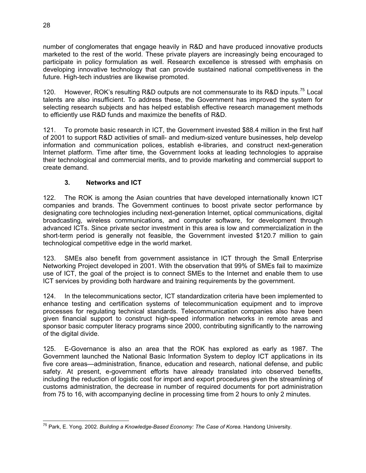number of conglomerates that engage heavily in R&D and have produced innovative products marketed to the rest of the world. These private players are increasingly being encouraged to participate in policy formulation as well. Research excellence is stressed with emphasis on developing innovative technology that can provide sustained national competitiveness in the future. High-tech industries are likewise promoted.

120. However, ROK's resulting R&D outputs are not commensurate to its R&D inputs.<sup>75</sup> Local talents are also insufficient. To address these, the Government has improved the system for selecting research subjects and has helped establish effective research management methods to efficiently use R&D funds and maximize the benefits of R&D.

121. To promote basic research in ICT, the Government invested \$88.4 million in the first half of 2001 to support R&D activities of small- and medium-sized venture businesses, help develop information and communication polices, establish e-libraries, and construct next-generation Internet platform. Time after time, the Government looks at leading technologies to appraise their technological and commercial merits, and to provide marketing and commercial support to create demand.

#### **3. Networks and ICT**

122. The ROK is among the Asian countries that have developed internationally known ICT companies and brands. The Government continues to boost private sector performance by designating core technologies including next-generation Internet, optical communications, digital broadcasting, wireless communications, and computer software, for development through advanced ICTs. Since private sector investment in this area is low and commercialization in the short-term period is generally not feasible, the Government invested \$120.7 million to gain technological competitive edge in the world market.

123. SMEs also benefit from government assistance in ICT through the Small Enterprise Networking Project developed in 2001. With the observation that 99% of SMEs fail to maximize use of ICT, the goal of the project is to connect SMEs to the Internet and enable them to use ICT services by providing both hardware and training requirements by the government.

124. In the telecommunications sector, ICT standardization criteria have been implemented to enhance testing and certification systems of telecommunication equipment and to improve processes for regulating technical standards. Telecommunication companies also have been given financial support to construct high-speed information networks in remote areas and sponsor basic computer literacy programs since 2000, contributing significantly to the narrowing of the digital divide.

125. E-Governance is also an area that the ROK has explored as early as 1987. The Government launched the National Basic Information System to deploy ICT applications in its five core areas—administration, finance, education and research, national defense, and public safety. At present, e-government efforts have already translated into observed benefits, including the reduction of logistic cost for import and export procedures given the streamlining of customs administration, the decrease in number of required documents for port administration from 75 to 16, with accompanying decline in processing time from 2 hours to only 2 minutes.

 75 Park, E. Yong. 2002. *Building a Knowledge-Based Economy: The Case of Korea*. Handong University.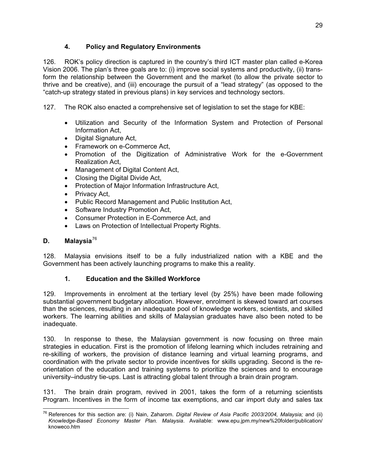#### **4. Policy and Regulatory Environments**

126. ROK's policy direction is captured in the country's third ICT master plan called e-Korea Vision 2006. The plan's three goals are to: (i) improve social systems and productivity, (ii) transform the relationship between the Government and the market (to allow the private sector to thrive and be creative), and (iii) encourage the pursuit of a "lead strategy" (as opposed to the "catch-up strategy stated in previous plans) in key services and technology sectors.

- 127. The ROK also enacted a comprehensive set of legislation to set the stage for KBE:
	- Utilization and Security of the Information System and Protection of Personal Information Act,
	- Digital Signature Act,
	- Framework on e-Commerce Act,
	- Promotion of the Digitization of Administrative Work for the e-Government Realization Act,
	- Management of Digital Content Act,
	- Closing the Digital Divide Act,
	- Protection of Major Information Infrastructure Act,
	- $\bullet$  Privacy Act,
	- Public Record Management and Public Institution Act,
	- Software Industry Promotion Act,
	- Consumer Protection in E-Commerce Act, and
	- Laws on Protection of Intellectual Property Rights.

#### **D. Malaysia**<sup>76</sup>

128. Malaysia envisions itself to be a fully industrialized nation with a KBE and the Government has been actively launching programs to make this a reality.

#### **1. Education and the Skilled Workforce**

129. Improvements in enrolment at the tertiary level (by 25%) have been made following substantial government budgetary allocation. However, enrolment is skewed toward art courses than the sciences, resulting in an inadequate pool of knowledge workers, scientists, and skilled workers. The learning abilities and skills of Malaysian graduates have also been noted to be inadequate.

130. In response to these, the Malaysian government is now focusing on three main strategies in education. First is the promotion of lifelong learning which includes retraining and re-skilling of workers, the provision of distance learning and virtual learning programs, and coordination with the private sector to provide incentives for skills upgrading. Second is the reorientation of the education and training systems to prioritize the sciences and to encourage university–industry tie-ups. Last is attracting global talent through a brain drain program.

131. The brain drain program, revived in 2001, takes the form of a returning scientists Program. Incentives in the form of income tax exemptions, and car import duty and sales tax

 $\overline{a}$ 76 References for this section are: (i) Nain, Zaharom. *Digital Review of Asia Pacific 2003/2004, Malaysia;* and (ii) *Knowledge-Based Economy Master Plan. Malaysia*. Available: www.epu.jpm.my/new%20folder/publication/ knoweco.htm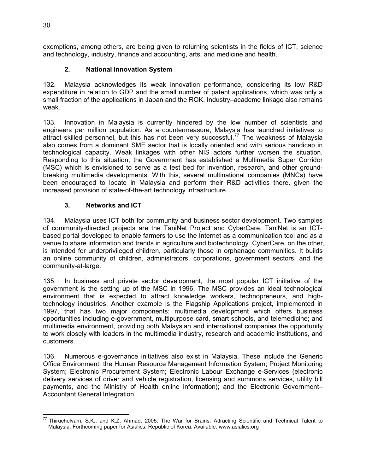exemptions, among others, are being given to returning scientists in the fields of ICT, science and technology, industry, finance and accounting, arts, and medicine and health.

#### **2. National Innovation System**

132. Malaysia acknowledges its weak innovation performance, considering its low R&D expenditure in relation to GDP and the small number of patent applications, which was only a small fraction of the applications in Japan and the ROK. Industry–academe linkage also remains weak.

133. Innovation in Malaysia is currently hindered by the low number of scientists and engineers per million population. As a countermeasure, Malaysia has launched initiatives to attract skilled personnel, but this has not been very successful.<sup>77</sup> The weakness of Malaysia also comes from a dominant SME sector that is locally oriented and with serious handicap in technological capacity. Weak linkages with other NIS actors further worsen the situation. Responding to this situation, the Government has established a Multimedia Super Corridor (MSC) which is envisioned to serve as a test bed for invention, research, and other groundbreaking multimedia developments. With this, several multinational companies (MNCs) have been encouraged to locate in Malaysia and perform their R&D activities there, given the increased provision of state-of-the-art technology infrastructure.

#### **3. Networks and ICT**

134. Malaysia uses ICT both for community and business sector development. Two samples of community-directed projects are the TaniNet Project and CyberCare. TaniNet is an ICTbased portal developed to enable farmers to use the Internet as a communication tool and as a venue to share information and trends in agriculture and biotechnology. CyberCare, on the other, is intended for underprivileged children, particularly those in orphanage communities. It builds an online community of children, administrators, corporations, government sectors, and the community-at-large.

135. In business and private sector development, the most popular ICT initiative of the government is the setting up of the MSC in 1996. The MSC provides an ideal technological environment that is expected to attract knowledge workers, technopreneurs, and hightechnology industries. Another example is the Flagship Applications project, implemented in 1997, that has two major components: multimedia development which offers business opportunities including e-government, multipurpose card, smart schools, and telemedicine; and multimedia environment, providing both Malaysian and international companies the opportunity to work closely with leaders in the multimedia industry, research and academic institutions, and customers.

136. Numerous e-governance initiatives also exist in Malaysia. These include the Generic Office Environment; the Human Resource Management Information System; Project Monitoring System; Electronic Procurement System; Electronic Labour Exchange e-Services (electronic delivery services of driver and vehicle registration, licensing and summons services, utility bill payments, and the Ministry of Health online information); and the Electronic Government– Accountant General Integration.

<sup>-</sup> $^{77}$  Thiruchelvam, S.K., and K.Z. Ahmad. 2005. The War for Brains: Attracting Scientific and Technical Talent to Malaysia. Forthcoming paper for Asialics, Republic of Korea. Available: www.asialics.org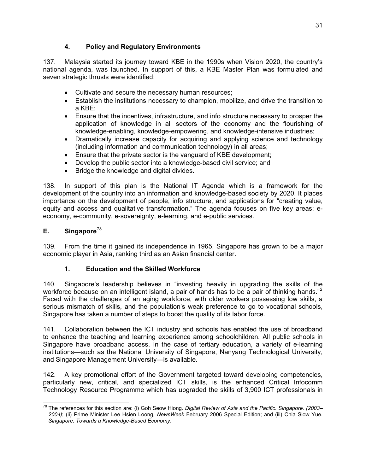#### **4. Policy and Regulatory Environments**

137. Malaysia started its journey toward KBE in the 1990s when Vision 2020, the country's national agenda, was launched. In support of this, a KBE Master Plan was formulated and seven strategic thrusts were identified:

- Cultivate and secure the necessary human resources;
- Establish the institutions necessary to champion, mobilize, and drive the transition to a KBE;
- Ensure that the incentives, infrastructure, and info structure necessary to prosper the application of knowledge in all sectors of the economy and the flourishing of knowledge-enabling, knowledge-empowering, and knowledge-intensive industries;
- Dramatically increase capacity for acquiring and applying science and technology (including information and communication technology) in all areas;
- Ensure that the private sector is the vanguard of KBE development;
- Develop the public sector into a knowledge-based civil service; and
- Bridge the knowledge and digital divides.

138. In support of this plan is the National IT Agenda which is a framework for the development of the country into an information and knowledge-based society by 2020. It places importance on the development of people, info structure, and applications for "creating value, equity and access and qualitative transformation." The agenda focuses on five key areas: eeconomy, e-community, e-sovereignty, e-learning, and e-public services.

#### **E. Singapore**<sup>78</sup>

139. From the time it gained its independence in 1965, Singapore has grown to be a major economic player in Asia, ranking third as an Asian financial center.

#### **1. Education and the Skilled Workforce**

140. Singapore's leadership believes in "investing heavily in upgrading the skills of the workforce because on an intelligent island, a pair of hands has to be a pair of thinking hands."<sup>2</sup> Faced with the challenges of an aging workforce, with older workers possessing low skills, a serious mismatch of skills, and the population's weak preference to go to vocational schools, Singapore has taken a number of steps to boost the quality of its labor force.

141. Collaboration between the ICT industry and schools has enabled the use of broadband to enhance the teaching and learning experience among schoolchildren. All public schools in Singapore have broadband access. In the case of tertiary education, a variety of e-learning institutions—such as the National University of Singapore, Nanyang Technological University, and Singapore Management University—is available.

142. A key promotional effort of the Government targeted toward developing competencies, particularly new, critical, and specialized ICT skills, is the enhanced Critical Infocomm Technology Resource Programme which has upgraded the skills of 3,900 ICT professionals in

<sup>-</sup>78 The references for this section are: (i) Goh Seow Hiong. *Digital Review of Asia and the Pacific. Singapore. (2003– 2004)*; (ii) Prime Minister Lee Hsien Loong, *NewsWeek* February 2006 Special Edition; and (iii) Chia Siow Yue. *Singapore: Towards a Knowledge-Based Economy*.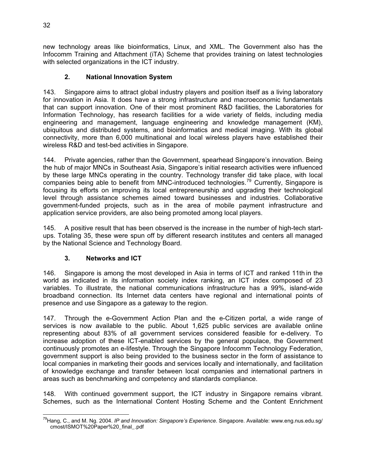new technology areas like bioinformatics, Linux, and XML. The Government also has the Infocomm Training and Attachment (iTA) Scheme that provides training on latest technologies with selected organizations in the ICT industry.

#### **2. National Innovation System**

143. Singapore aims to attract global industry players and position itself as a living laboratory for innovation in Asia. It does have a strong infrastructure and macroeconomic fundamentals that can support innovation. One of their most prominent R&D facilities, the Laboratories for Information Technology, has research facilities for a wide variety of fields, including media engineering and management, language engineering and knowledge management (KM), ubiquitous and distributed systems, and bioinformatics and medical imaging. With its global connectivity, more than 6,000 multinational and local wireless players have established their wireless R&D and test-bed activities in Singapore.

144. Private agencies, rather than the Government, spearhead Singapore's innovation. Being the hub of major MNCs in Southeast Asia, Singapore's initial research activities were influenced by these large MNCs operating in the country. Technology transfer did take place, with local companies being able to benefit from MNC-introduced technologies.79 Currently, Singapore is focusing its efforts on improving its local entrepreneurship and upgrading their technological level through assistance schemes aimed toward businesses and industries. Collaborative government-funded projects, such as in the area of mobile payment infrastructure and application service providers, are also being promoted among local players.

145. A positive result that has been observed is the increase in the number of high-tech startups. Totaling 35, these were spun off by different research institutes and centers all managed by the National Science and Technology Board.

#### **3. Networks and ICT**

146. Singapore is among the most developed in Asia in terms of ICT and ranked 11th in the world as indicated in its information society index ranking, an ICT index composed of 23 variables. To illustrate, the national communications infrastructure has a 99%, island-wide broadband connection. Its Internet data centers have regional and international points of presence and use Singapore as a gateway to the region.

147. Through the e-Government Action Plan and the e-Citizen portal, a wide range of services is now available to the public. About 1,625 public services are available online representing about 83% of all government services considered feasible for e-delivery. To increase adoption of these ICT-enabled services by the general populace, the Government continuously promotes an e-lifestyle. Through the Singapore Infocomm Technology Federation, government support is also being provided to the business sector in the form of assistance to local companies in marketing their goods and services locally and internationally, and facilitation of knowledge exchange and transfer between local companies and international partners in areas such as benchmarking and competency and standards compliance.

148. With continued government support, the ICT industry in Singapore remains vibrant. Schemes, such as the International Content Hosting Scheme and the Content Enrichment

<sup>-</sup>79Hang, C., and M. Ng. 2004. *IP and Innovation: Singapore's Experience*. Singapore. Available: www.eng.nus.edu.sg/ cmost/ISMOT%20Paper%20\_final\_.pdf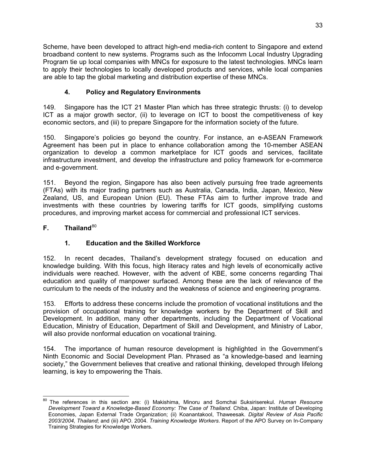Scheme, have been developed to attract high-end media-rich content to Singapore and extend broadband content to new systems. Programs such as the Infocomm Local Industry Upgrading Program tie up local companies with MNCs for exposure to the latest technologies. MNCs learn to apply their technologies to locally developed products and services, while local companies are able to tap the global marketing and distribution expertise of these MNCs.

## **4. Policy and Regulatory Environments**

149. Singapore has the ICT 21 Master Plan which has three strategic thrusts: (i) to develop ICT as a major growth sector, (ii) to leverage on ICT to boost the competitiveness of key economic sectors, and (iii) to prepare Singapore for the information society of the future.

150. Singapore's policies go beyond the country. For instance, an e-ASEAN Framework Agreement has been put in place to enhance collaboration among the 10-member ASEAN organization to develop a common marketplace for ICT goods and services, facilitate infrastructure investment, and develop the infrastructure and policy framework for e-commerce and e-government.

151. Beyond the region, Singapore has also been actively pursuing free trade agreements (FTAs) with its major trading partners such as Australia, Canada, India, Japan, Mexico, New Zealand, US, and European Union (EU). These FTAs aim to further improve trade and investments with these countries by lowering tariffs for ICT goods, simplifying customs procedures, and improving market access for commercial and professional ICT services.

#### **F.** Thailand<sup>80</sup>

#### **1. Education and the Skilled Workforce**

152. In recent decades, Thailand's development strategy focused on education and knowledge building. With this focus, high literacy rates and high levels of economically active individuals were reached. However, with the advent of KBE, some concerns regarding Thai education and quality of manpower surfaced. Among these are the lack of relevance of the curriculum to the needs of the industry and the weakness of science and engineering programs.

153. Efforts to address these concerns include the promotion of vocational institutions and the provision of occupational training for knowledge workers by the Department of Skill and Development. In addition, many other departments, including the Department of Vocational Education, Ministry of Education, Department of Skill and Development, and Ministry of Labor, will also provide nonformal education on vocational training.

154. The importance of human resource development is highlighted in the Government's Ninth Economic and Social Development Plan. Phrased as "a knowledge-based and learning society," the Government believes that creative and rational thinking, developed through lifelong learning, is key to empowering the Thais.

 $\overline{a}$ 80 The references in this section are: (i) Makishima, Minoru and Somchai Suksiriserekul. *Human Resource Development Toward a Knowledge-Based Economy: The Case of Thailand*. Chiba, Japan: Institute of Developing Economies, Japan External Trade Organization; (ii) Koanantakool, Thaweesak. *Digital Review of Asia Pacific 2003/2004, Thailand*; and (iii) APO. 2004. *Training Knowledge Workers*. Report of the APO Survey on In-Company Training Strategies for Knowledge Workers.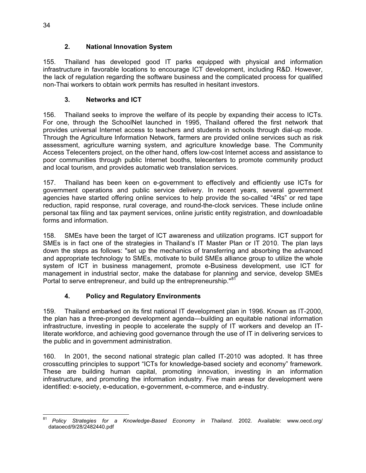#### **2. National Innovation System**

155. Thailand has developed good IT parks equipped with physical and information infrastructure in favorable locations to encourage ICT development, including R&D. However, the lack of regulation regarding the software business and the complicated process for qualified non-Thai workers to obtain work permits has resulted in hesitant investors.

#### **3. Networks and ICT**

156. Thailand seeks to improve the welfare of its people by expanding their access to ICTs. For one, through the SchoolNet launched in 1995, Thailand offered the first network that provides universal Internet access to teachers and students in schools through dial-up mode. Through the Agriculture Information Network, farmers are provided online services such as risk assessment, agriculture warning system, and agriculture knowledge base. The Community Access Telecenters project, on the other hand, offers low-cost Internet access and assistance to poor communities through public Internet booths, telecenters to promote community product and local tourism, and provides automatic web translation services.

157. Thailand has been keen on e-government to effectively and efficiently use ICTs for government operations and public service delivery. In recent years, several government agencies have started offering online services to help provide the so-called "4Rs" or red tape reduction, rapid response, rural coverage, and round-the-clock services. These include online personal tax filing and tax payment services, online juristic entity registration, and downloadable forms and information.

158. SMEs have been the target of ICT awareness and utilization programs. ICT support for SMEs is in fact one of the strategies in Thailand's IT Master Plan or IT 2010. The plan lays down the steps as follows: "set up the mechanics of transferring and absorbing the advanced and appropriate technology to SMEs, motivate to build SMEs alliance group to utilize the whole system of ICT in business management, promote e-Business development, use ICT for management in industrial sector, make the database for planning and service, develop SMEs Portal to serve entrepreneur, and build up the entrepreneurship."<sup>81</sup>

#### **4. Policy and Regulatory Environments**

159. Thailand embarked on its first national IT development plan in 1996. Known as IT-2000, the plan has a three-pronged development agenda—building an equitable national information infrastructure, investing in people to accelerate the supply of IT workers and develop an ITliterate workforce, and achieving good governance through the use of IT in delivering services to the public and in government administration.

160. In 2001, the second national strategic plan called IT-2010 was adopted. It has three crosscutting principles to support "ICTs for knowledge-based society and economy" framework. These are building human capital, promoting innovation, investing in an information infrastructure, and promoting the information industry. Five main areas for development were identified: e-society, e-education, e-government, e-commerce, and e-industry.

<sup>81</sup> <sup>81</sup> *Policy Strategies for a Knowledge-Based Economy in Thailand*. 2002. Available: www.oecd.org/ dataoecd/9/28/2482440.pdf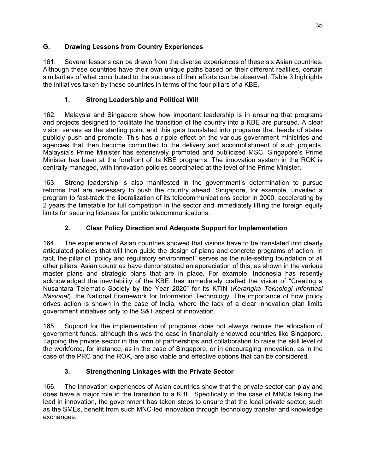#### **G. Drawing Lessons from Country Experiences**

161. Several lessons can be drawn from the diverse experiences of these six Asian countries. Although these countries have their own unique paths based on their different realities, certain similarities of what contributed to the success of their efforts can be observed. Table 3 highlights the initiatives taken by these countries in terms of the four pillars of a KBE.

#### **1. Strong Leadership and Political Will**

162. Malaysia and Singapore show how important leadership is in ensuring that programs and projects designed to facilitate the transition of the country into a KBE are pursued. A clear vision serves as the starting point and this gets translated into programs that heads of states publicly push and promote. This has a ripple effect on the various government ministries and agencies that then become committed to the delivery and accomplishment of such projects. Malaysia's Prime Minister has extensively promoted and publicized MSC. Singapore's Prime Minister has been at the forefront of its KBE programs. The innovation system in the ROK is centrally managed, with innovation policies coordinated at the level of the Prime Minister.

163. Strong leadership is also manifested in the government's determination to pursue reforms that are necessary to push the country ahead. Singapore, for example, unveiled a program to fast-track the liberalization of its telecommunications sector in 2000, accelerating by 2 years the timetable for full competition in the sector and immediately lifting the foreign equity limits for securing licenses for public telecommunications.

#### **2. Clear Policy Direction and Adequate Support for Implementation**

164. The experience of Asian countries showed that visions have to be translated into clearly articulated policies that will then guide the design of plans and concrete programs of action. In fact, the pillar of "policy and regulatory environment" serves as the rule-setting foundation of all other pillars. Asian countries have demonstrated an appreciation of this, as shown in the various master plans and strategic plans that are in place. For example, Indonesia has recently acknowledged the inevitability of the KBE, has immediately crafted the vision of "Creating a Nusantara Telematic Society by the Year 2020" for its KTIN (*Kerangka Teknologi Informasi Nasional*), the National Framework for Information Technology. The importance of how policy drives action is shown in the case of India, where the lack of a clear innovation plan limits government initiatives only to the S&T aspect of innovation.

165. Support for the implementation of programs does not always require the allocation of government funds, although this was the case in financially endowed countries like Singapore. Tapping the private sector in the form of partnerships and collaboration to raise the skill level of the workforce, for instance, as in the case of Singapore, or in encouraging innovation, as in the case of the PRC and the ROK, are also viable and effective options that can be considered.

#### **3. Strengthening Linkages with the Private Sector**

166. The innovation experiences of Asian countries show that the private sector can play and does have a major role in the transition to a KBE. Specifically in the case of MNCs taking the lead in innovation, the government has taken steps to ensure that the local private sector, such as the SMEs, benefit from such MNC-led innovation through technology transfer and knowledge exchanges.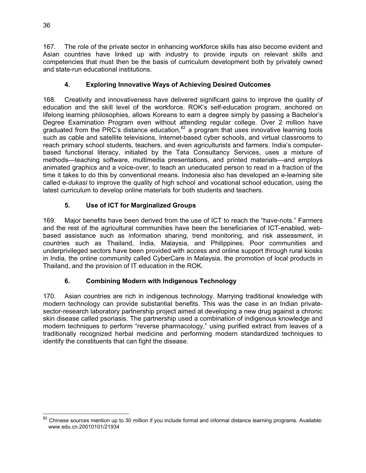167. The role of the private sector in enhancing workforce skills has also become evident and Asian countries have linked up with industry to provide inputs on relevant skills and competencies that must then be the basis of curriculum development both by privately owned and state-run educational institutions.

#### **4. Exploring Innovative Ways of Achieving Desired Outcomes**

168. Creativity and innovativeness have delivered significant gains to improve the quality of education and the skill level of the workforce. ROK's self-education program, anchored on lifelong learning philosophies, allows Koreans to earn a degree simply by passing a Bachelor's Degree Examination Program even without attending regular college. Over 2 million have graduated from the PRC's distance education,  $82$  a program that uses innovative learning tools such as cable and satellite televisions, Internet-based cyber schools, and virtual classrooms to reach primary school students, teachers, and even agriculturists and farmers. India's computerbased functional literacy, initiated by the Tata Consultancy Services, uses a mixture of methods—teaching software, multimedia presentations, and printed materials—and employs animated graphics and a voice-over, to teach an uneducated person to read in a fraction of the time it takes to do this by conventional means. Indonesia also has developed an e-learning site called e-*dukasi* to improve the quality of high school and vocational school education, using the latest curriculum to develop online materials for both students and teachers.

## **5. Use of ICT for Marginalized Groups**

169. Major benefits have been derived from the use of ICT to reach the "have-nots." Farmers and the rest of the agricultural communities have been the beneficiaries of ICT-enabled, webbased assistance such as information sharing, trend monitoring, and risk assessment, in countries such as Thailand, India, Malaysia, and Philippines. Poor communities and underprivileged sectors have been provided with access and online support through rural kiosks in India, the online community called CyberCare in Malaysia, the promotion of local products in Thailand, and the provision of IT education in the ROK.

#### **6. Combining Modern with Indigenous Technology**

170. Asian countries are rich in indigenous technology. Marrying traditional knowledge with modern technology can provide substantial benefits. This was the case in an Indian privatesector-research laboratory partnership project aimed at developing a new drug against a chronic skin disease called psoriasis. The partnership used a combination of indigenous knowledge and modern techniques to perform "reverse pharmacology," using purified extract from leaves of a traditionally recognized herbal medicine and performing modern standardized techniques to identify the constituents that can fight the disease.

<sup>-</sup><sup>82</sup> Chinese sources mention up to 30 million if you include formal and informal distance learning programs. Available: www.edu.cn.20010101/21934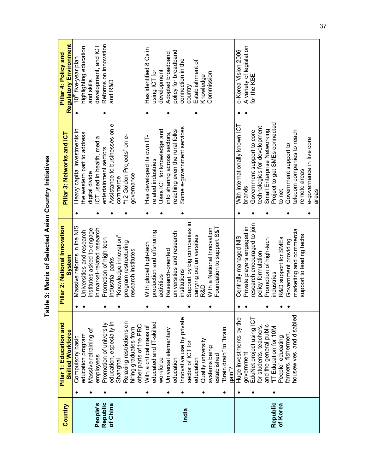|          | Pillar 1: Education and   |                                                |                                    | Pillar 4: Policy and            |
|----------|---------------------------|------------------------------------------------|------------------------------------|---------------------------------|
| Country  | <b>Skilled Workforce</b>  | Pillar 2: National Innovation<br><b>System</b> | Pillar 3: Networks and ICT         | <b>Regulatory Environment</b>   |
|          | Compulsory basic          | Massive reforms in the NIS                     | Heavy capital investments in       | 10 <sup>th</sup> five-year plan |
|          | education program         | Universities and research                      | the western part to address        | highlighting education          |
|          | Massive retraining of     | nstitutes asked to engage                      | digital divide                     | and skills                      |
| People's | employees                 | in market-related research                     | CT used in health, media,          | development, and ICT            |
| Republic | Promotion of university   | Promotion of high-tech                         | entertainment sectors              | Reforms on innovation           |
| of China | education, especially in  | industrial parks                               | Assistance to businesses on e-     | and R&D                         |
|          | Shanghai                  | "Knowledge innovation"                         | commerce                           |                                 |
|          | Relaxing restrictions on  | program restructuring                          | "12 Golden Projects" on e-         |                                 |
|          | hiring graduates from     | research institutes                            | governance                         |                                 |
|          | other parts of the PRC    |                                                |                                    |                                 |
|          | With a critical mass of   | With global high-tech                          | Has developed its own IT-          | Has identified 8 Cs in          |
|          | educated and IT-skilled   | production and offshoring                      | elated industries                  | using ICT for                   |
|          | workforce                 | activities                                     | Jses ICT for knowledge and         | development                     |
|          | Universal elementary      | Research-oriented                              | nfo sharing across sectors,        | Adopted broadband               |
|          | education                 | universities and research                      | eaching even the rural folks       | policy for broadband            |
| India    | Innovative use by private | nstitutions                                    | Some e-government services         | connection in the               |
|          | sector of ICT for         | Support by big companies in                    |                                    | country                         |
|          | education                 | carrying out universities'                     |                                    | Establishment of                |
|          | Quality university        | R&D                                            |                                    | Knowledge                       |
|          | systems being             | With a National Innovation                     |                                    | Commission                      |
|          | established               | Foundation to support S&T                      |                                    |                                 |
|          | "Brain drain" to "brain   |                                                |                                    |                                 |
|          | gain <sup>"?</sup>        |                                                |                                    |                                 |
|          | Huge investments by the   | Centrally managed NIS                          | With internationally known ICT     | e-Korea Vision 2006             |
|          | government                | Private players engaged in                     | brands                             | A variety of legislation        |
|          | EduNet project using ICT  | research encouraged to join                    | Government support to core         | for the KBE                     |
|          | for students, teachers    | policy formulation                             | echnologies for development        |                                 |
|          | and the general public    | Promotion of high-tech                         | Small Enterprise Networking        |                                 |
| Republic | "IT Education for 10M     | ndustries                                      | Project to get SMEs connected      |                                 |
| of Korea | People" educating         | R&D support for SMEs                           | to net                             |                                 |
|          | farmers, fishermen        | Government providing                           | Government support to              |                                 |
|          | housewives, and disabled  | marketing and commercial                       | elecom companies to reach          |                                 |
|          |                           | support to leading techs                       | emote areas                        |                                 |
|          |                           |                                                | e-governance in five core<br>areas |                                 |
|          |                           |                                                |                                    |                                 |

Table 3: Matrix of Selected Asian Country Initiatives **Table 3: Matrix of Selected Asian Country Initiatives**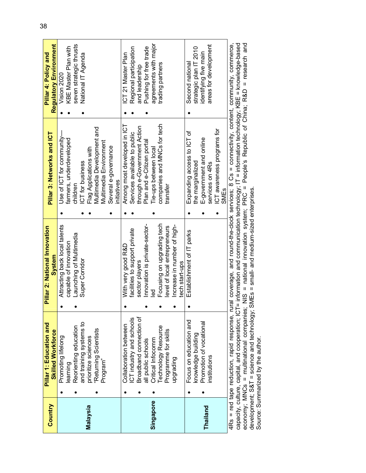| Country   | Pillar 1: Education and<br><b>Skilled Workforce</b> |                          | Pillar 2: National Innovation<br>System                                                                                                     | Pillar 3: Networks and ICT   | <b>Regulatory Environment</b><br>Pillar 4: Policy and |
|-----------|-----------------------------------------------------|--------------------------|---------------------------------------------------------------------------------------------------------------------------------------------|------------------------------|-------------------------------------------------------|
|           | Promoting lifelong                                  |                          | Attracting back local talents                                                                                                               | Use of ICT for community-    | Vision 2020                                           |
|           | learning                                            |                          | capable of innovation                                                                                                                       | farmers, underdeveloped      | KBE Master Plan with                                  |
|           |                                                     | Reorienting education    | Launching of Multimedia                                                                                                                     | children                     | seven strategic thrusts                               |
|           |                                                     | and training systems to  | Super Corridor                                                                                                                              | ICT for business             | National IT Agenda                                    |
| Malaysia  | prioritize sciences                                 |                          |                                                                                                                                             | Flag Applications with       |                                                       |
|           | "Returning Scientists                               |                          |                                                                                                                                             | Multimedia Development and   |                                                       |
|           | Program"                                            |                          |                                                                                                                                             | Multimedia Environment       |                                                       |
|           |                                                     |                          |                                                                                                                                             | Several e-governance         |                                                       |
|           |                                                     |                          |                                                                                                                                             | initiatives                  |                                                       |
|           |                                                     | Collaboration between    | With very good R&D                                                                                                                          | Among most developed in ICT  | ICT 21 Master Plan                                    |
|           |                                                     | ICT industry and schools | facilities to support private                                                                                                               | Services available to public | Regional participation                                |
|           |                                                     | Broadband connection of  | sector players                                                                                                                              | through e-Government Action  | and leadership                                        |
|           | all public schools                                  |                          | Innovation is private-sector-                                                                                                               | Plan and e-Citizen portal    | Pushing for free trade                                |
| Singapore | Critical Infocomm                                   |                          | $\frac{1}{6}$                                                                                                                               | Tie-ups between local        | agreements with major                                 |
|           |                                                     | Technology Resource      | Focusing on upgrading tech                                                                                                                  | companies and MNCs for tech  | trading partners                                      |
|           | Programme for skills                                |                          | level of local entrepreneurs                                                                                                                | transfer                     |                                                       |
|           | pgrading                                            |                          | Increase in number of high-                                                                                                                 |                              |                                                       |
|           |                                                     |                          | tech start-ups                                                                                                                              |                              |                                                       |
|           |                                                     | Focus on education and   | Establishment of IT parks                                                                                                                   | Expanding access to ICT of   | Second national                                       |
|           | knowledge building                                  |                          |                                                                                                                                             | the marginalized             | strategic plan IT 2010                                |
| Thailand  |                                                     | Promotion of vocational  |                                                                                                                                             | E-government and online      | identifying five main                                 |
|           | institutions                                        |                          |                                                                                                                                             | services on 4Rs              | areas for development                                 |
|           |                                                     |                          |                                                                                                                                             | ICT awareness programs for   |                                                       |
|           |                                                     |                          |                                                                                                                                             | SMEs                         |                                                       |
|           |                                                     |                          | 4Rs = red tape reduction, rapid response, rural coverage, and round-the-clock services; 8 Cs = connectivity, content, community, commerce,  |                              |                                                       |
|           |                                                     |                          | capacity outfure capital and connecation: ICT= information and communication technology: IT = information technology: KBE = knowledge-based |                              |                                                       |

capacity, culture, capital, and cooperation; i∪i = information and communication technology; i = information technology; KBE = knowledge-pased<br>economy; MNCs = multinational companies; NIS = national innovation system; PRC capacity, culture, capital, and cooperation; ICT= information and communication technology; IT = information technology; KBE = knowledge-based economy; MNCs = multinational companies; NIS = national innovation system; PRC = People's Republic of China; R&D = research and development; S&T = science and technology; SMEs = small- and medium-sized enterprises. Source: Summarized by the author.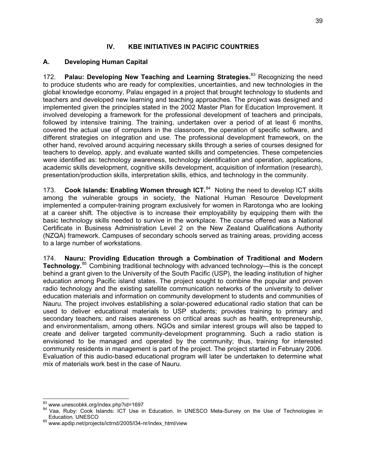#### **IV. KBE INITIATIVES IN PACIFIC COUNTRIES**

#### **A. Developing Human Capital**

172. **Palau: Developing New Teaching and Learning Strategies.**83 Recognizing the need to produce students who are ready for complexities, uncertainties, and new technologies in the global knowledge economy, Palau engaged in a project that brought technology to students and teachers and developed new learning and teaching approaches. The project was designed and implemented given the principles stated in the 2002 Master Plan for Education Improvement. It involved developing a framework for the professional development of teachers and principals, followed by intensive training. The training, undertaken over a period of at least 6 months, covered the actual use of computers in the classroom, the operation of specific software, and different strategies on integration and use. The professional development framework, on the other hand, revolved around acquiring necessary skills through a series of courses designed for teachers to develop, apply, and evaluate wanted skills and competencies. These competencies were identified as: technology awareness, technology identification and operation, applications, academic skills development, cognitive skills development, acquisition of information (research), presentation/production skills, interpretation skills, ethics, and technology in the community.

173. **Cook Islands: Enabling Women through ICT.**84 Noting the need to develop ICT skills among the vulnerable groups in society, the National Human Resource Development implemented a computer-training program exclusively for women in Rarotonga who are looking at a career shift. The objective is to increase their employability by equipping them with the basic technology skills needed to survive in the workplace. The course offered was a National Certificate in Business Administration Level 2 on the New Zealand Qualifications Authority (NZQA) framework. Campuses of secondary schools served as training areas, providing access to a large number of workstations.

174. **Nauru: Providing Education through a Combination of Traditional and Modern Technology.**<sup>85</sup> Combining traditional technology with advanced technology—this is the concept behind a grant given to the University of the South Pacific (USP), the leading institution of higher education among Pacific island states. The project sought to combine the popular and proven radio technology and the existing satellite communication networks of the university to deliver education materials and information on community development to students and communities of Nauru. The project involves establishing a solar-powered educational radio station that can be used to deliver educational materials to USP students; provides training to primary and secondary teachers; and raises awareness on critical areas such as health, entrepreneurship, and environmentalism, among others. NGOs and similar interest groups will also be tapped to create and deliver targeted community-development programming. Such a radio station is envisioned to be managed and operated by the community; thus, training for interested community residents in management is part of the project. The project started in February 2006. Evaluation of this audio-based educational program will later be undertaken to determine what mix of materials work best in the case of Nauru.

<sup>&</sup>lt;sup>83</sup> www.unescobkk.org/index.php?id=1697

<sup>84</sup> Waa, Ruby: Cook Islands: ICT Use in Education. In UNESCO Meta-Survey on the Use of Technologies in Education. UNESCO

<sup>85</sup> www.apdip.net/projects/ictrnd/2005/l34-nr/index\_html/view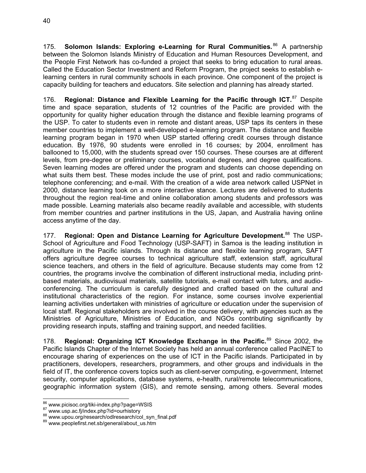175. **Solomon Islands: Exploring e-Learning for Rural Communities. <sup>86</sup> A partnership** between the Solomon Islands Ministry of Education and Human Resources Development, and the People First Network has co-funded a project that seeks to bring education to rural areas. Called the Education Sector Investment and Reform Program, the project seeks to establish elearning centers in rural community schools in each province. One component of the project is capacity building for teachers and educators. Site selection and planning has already started.

176. **Regional: Distance and Flexible Learning for the Pacific through ICT.**<sup>87</sup> Despite time and space separation, students of 12 countries of the Pacific are provided with the opportunity for quality higher education through the distance and flexible learning programs of the USP. To cater to students even in remote and distant areas, USP taps its centers in these member countries to implement a well-developed e-learning program. The distance and flexible learning program began in 1970 when USP started offering credit courses through distance education. By 1976, 90 students were enrolled in 16 courses; by 2004, enrollment has ballooned to 15,000, with the students spread over 150 courses. These courses are at different levels, from pre-degree or preliminary courses, vocational degrees, and degree qualifications. Seven learning modes are offered under the program and students can choose depending on what suits them best. These modes include the use of print, post and radio communications; telephone conferencing; and e-mail. With the creation of a wide area network called USPNet in 2000, distance learning took on a more interactive stance. Lectures are delivered to students throughout the region real-time and online collaboration among students and professors was made possible. Learning materials also became readily available and accessible, with students from member countries and partner institutions in the US, Japan, and Australia having online access anytime of the day.

177. **Regional: Open and Distance Learning for Agriculture Development.**<sup>88</sup> The USP-School of Agriculture and Food Technology (USP-SAFT) in Samoa is the leading institution in agriculture in the Pacific islands. Through its distance and flexible learning program, SAFT offers agriculture degree courses to technical agriculture staff, extension staff, agricultural science teachers, and others in the field of agriculture. Because students may come from 12 countries, the programs involve the combination of different instructional media, including printbased materials, audiovisual materials, satellite tutorials, e-mail contact with tutors, and audioconferencing. The curriculum is carefully designed and crafted based on the cultural and institutional characteristics of the region. For instance, some courses involve experiential learning activities undertaken with ministries of agriculture or education under the supervision of local staff. Regional stakeholders are involved in the course delivery, with agencies such as the Ministries of Agriculture, Ministries of Education, and NGOs contributing significantly by providing research inputs, staffing and training support, and needed facilities.

178. **Regional: Organizing ICT Knowledge Exchange in the Pacific.**<sup>89</sup> Since 2002, the Pacific Islands Chapter of the Internet Society has held an annual conference called PacINET to encourage sharing of experiences on the use of ICT in the Pacific islands. Participated in by practitioners, developers, researchers, programmers, and other groups and individuals in the field of IT, the conference covers topics such as client-server computing, e-government, Internet security, computer applications, database systems, e-health, rural/remote telecommunications, geographic information system (GIS), and remote sensing, among others. Several modes

<sup>86</sup> www.picisoc.org/tiki-index.php?page=WSIS

<sup>87</sup> www.usp.ac.fj/index.php?id=ourhistory<br>88 www.upou.org/research/odlresearch/col\_syn\_final.pdf<br>89 www.peoplefirst.net.sb/general/about\_us.htm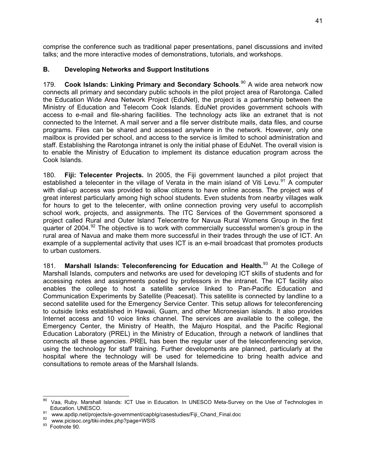comprise the conference such as traditional paper presentations, panel discussions and invited talks; and the more interactive modes of demonstrations, tutorials, and workshops.

#### **B. Developing Networks and Support Institutions**

179. **Cook Islands: Linking Primary and Secondary Schools**. 90 A wide area network now connects all primary and secondary public schools in the pilot project area of Rarotonga. Called the Education Wide Area Network Project (EduNet), the project is a partnership between the Ministry of Education and Telecom Cook Islands. EduNet provides government schools with access to e-mail and file-sharing facilities. The technology acts like an extranet that is not connected to the Internet. A mail server and a file server distribute mails, data files, and course programs. Files can be shared and accessed anywhere in the network. However, only one mailbox is provided per school, and access to the service is limited to school administration and staff. Establishing the Rarotonga intranet is only the initial phase of EduNet. The overall vision is to enable the Ministry of Education to implement its distance education program across the Cook Islands.

180. **Fiji: Telecenter Projects.** In 2005, the Fiji government launched a pilot project that established a telecenter in the village of Verata in the main island of Viti Levu.<sup>91</sup> A computer with dial-up access was provided to allow citizens to have online access. The project was of great interest particularly among high school students. Even students from nearby villages walk for hours to get to the telecenter, with online connection proving very useful to accomplish school work, projects, and assignments. The ITC Services of the Government sponsored a project called Rural and Outer Island Telecentre for Navua Rural Womens Group in the first quarter of 2004. $92$  The objective is to work with commercially successful women's group in the rural area of Navua and make them more successful in their trades through the use of ICT. An example of a supplemental activity that uses ICT is an e-mail broadcast that promotes products to urban customers.

181. **Marshall Islands: Teleconferencing for Education and Health.**<sup>93</sup> At the College of Marshall Islands, computers and networks are used for developing ICT skills of students and for accessing notes and assignments posted by professors in the intranet. The ICT facility also enables the college to host a satellite service linked to Pan-Pacific Education and Communication Experiments by Satellite (Peacesat). This satellite is connected by landline to a second satellite used for the Emergency Service Center. This setup allows for teleconferencing to outside links established in Hawaii, Guam, and other Micronesian islands. It also provides Internet access and 10 voice links channel. The services are available to the college, the Emergency Center, the Ministry of Health, the Majuro Hospital, and the Pacific Regional Education Laboratory (PREL) in the Ministry of Education, through a network of landlines that connects all these agencies. PREL has been the regular user of the teleconferencing service, using the technology for staff training. Further developments are planned, particularly at the hospital where the technology will be used for telemedicine to bring health advice and consultations to remote areas of the Marshall Islands.

 $90\,$ Vaa, Ruby. Marshall Islands: ICT Use in Education. In UNESCO Meta-Survey on the Use of Technologies in Education. UNESCO.

Education. UNESCO.<br>
91 www.apdip.net/projects/e-government/capblg/casestudies/Fiji\_Chand\_Final.doc<br>
92 www.picisoc.org/tiki-index.php?page=WSIS<br>
93 Footnote 90.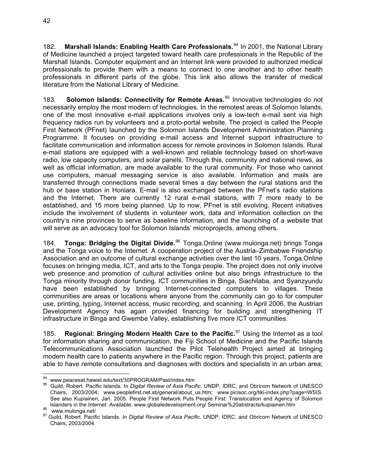182. **Marshall Islands: Enabling Health Care Professionals.**<sup>94</sup> In 2001, the National Library of Medicine launched a project targeted toward health care professionals in the Republic of the Marshall Islands. Computer equipment and an Internet link were provided to authorized medical professionals to provide them with a means to connect to one another and to other health professionals in different parts of the globe. This link also allows the transfer of medical literature from the National Library of Medicine.

183. **Solomon Islands: Connectivity for Remote Areas.**<sup>95</sup> Innovative technologies do not necessarily employ the most modern of technologies. In the remotest areas of Solomon Islands, one of the most innovative e-mail applications involves only a low-tech e-mail sent via high frequency radios run by volunteers and a proto-portal website. The project is called the People First Network (PFnet) launched by the Solomon Islands Development Administration Planning Programme. It focuses on providing e-mail access and Internet support infrastructure to facilitate communication and information access for remote provinces in Solomon Islands. Rural e-mail stations are equipped with a well-known and reliable technology based on short-wave radio, low capacity computers, and solar panels. Through this, community and national news, as well as official information, are made available to the rural community. For those who cannot use computers, manual messaging service is also available. Information and mails are transferred through connections made several times a day between the rural stations and the hub or base station in Honiara. E-mail is also exchanged between the PFnet's radio stations and the Internet. There are currently 12 rural e-mail stations, with 7 more ready to be established, and 15 more being planned. Up to now, PFnet is still evolving. Recent initiatives include the involvement of students in volunteer work, data and information collection on the country's nine provinces to serve as baseline information, and the launching of a website that will serve as an advocacy tool for Solomon Islands' microprojects, among others.

184. **Tonga: Bridging the Digital Divide.**<sup>96</sup> Tonga.Online (www.mulonga.net) brings Tonga and the Tonga voice to the Internet. A cooperation project of the Austria–Zimbabwe Friendship Association and an outcome of cultural exchange activities over the last 10 years, Tonga.Online focuses on bringing media, ICT, and arts to the Tonga people. The project does not only involve web presence and promotion of cultural activities online but also brings infrastructure to the Tonga minority through donor funding. ICT communities in Binga, Siachilaba, and Syanzyundu have been established by bringing Internet-connected computers to villages. These communities are areas or locations where anyone from the community can go to for computer use, printing, typing, Internet access, music recording, and scanning. In April 2006, the Austrian Development Agency has again provided financing for building and strengthening IT infrastructure in Binga and Gwembe Valley, establishing five more ICT communities.

185. **Regional: Bringing Modern Health Care to the Pacific.**<sup>97</sup> Using the Internet as a tool for information sharing and communication, the Fiji School of Medicine and the Pacific Islands Telecommunications Association launched the Pilot Telehealth Project aimed at bringing modern health care to patients anywhere in the Pacific region. Through this project, patients are able to have remote consultations and diagnoses with doctors and specialists in an urban area;

<sup>94</sup> www.peacesat.hawaii.edu/text/30PROGRAM/Past/index.htm

<sup>&</sup>lt;sup>95</sup> Guild, Robert. Pacific Islands. In *Digital Review of Asia Pacific*. UNDP, IDRC, and Obricom Network of UNESCO Chairs, 2003/2004; www.peoplefirst.net.sb/general/about\_us.htm; www.picisoc.org/tiki-index.php?page=WSIS. See also Kupiainen, Jari. 2005. People First Network Puts People First: Translocation and Agency of Solomon

<sup>&</sup>lt;sup>96</sup> Islanders in the Internet. Available: www.globaledevelopment.org/ Seminar%20abstracts/kupiainen.htm<br><sup>96</sup> www.mulonga.net/<br><sup>97</sup> Guild, Robert. Pacific Islands. *In Digital Review of Asia Pacific*. UNDP, IDRC, and Obric Chairs, 2003/2004.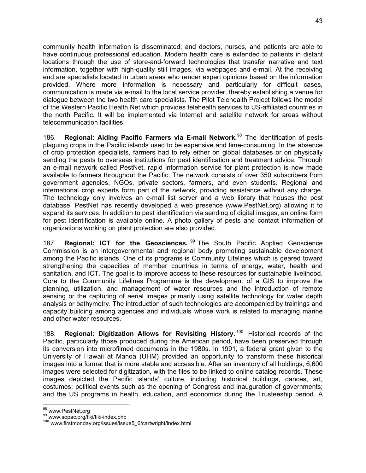community health information is disseminated; and doctors, nurses, and patients are able to have continuous professional education. Modern health care is extended to patients in distant locations through the use of store-and-forward technologies that transfer narrative and text information, together with high-quality still images, via webpages and e-mail. At the receiving end are specialists located in urban areas who render expert opinions based on the information provided. Where more information is necessary and particularly for difficult cases, communication is made via e-mail to the local service provider, thereby establishing a venue for dialogue between the two health care specialists. The Pilot Telehealth Project follows the model of the Western Pacific Health Net which provides telehealth services to US-affiliated countries in the north Pacific. It will be implemented via Internet and satellite network for areas without telecommunication facilities.

186. **Regional: Aiding Pacific Farmers via E-mail Network.**<sup>98</sup> The identification of pests plaguing crops in the Pacific islands used to be expensive and time-consuming. In the absence of crop protection specialists, farmers had to rely either on global databases or on physically sending the pests to overseas institutions for pest identification and treatment advice. Through an e-mail network called PestNet, rapid information service for plant protection is now made available to farmers throughout the Pacific. The network consists of over 350 subscribers from government agencies, NGOs, private sectors, farmers, and even students. Regional and international crop experts form part of the network, providing assistance without any charge. The technology only involves an e-mail list server and a web library that houses the pest database. PestNet has recently developed a web presence (www.PestNet.org) allowing it to expand its services. In addition to pest identification via sending of digital images, an online form for pest identification is available online. A photo gallery of pests and contact information of organizations working on plant protection are also provided.

187. **Regional: ICT for the Geosciences.** <sup>99</sup> The South Pacific Applied Geoscience Commission is an intergovernmental and regional body promoting sustainable development among the Pacific islands. One of its programs is Community Lifelines which is geared toward strengthening the capacities of member countries in terms of energy, water, health and sanitation, and ICT. The goal is to improve access to these resources for sustainable livelihood. Core to the Community Lifelines Programme is the development of a GIS to improve the planning, utilization, and management of water resources and the introduction of remote sensing or the capturing of aerial images primarily using satellite technology for water depth analysis or bathymetry. The introduction of such technologies are accompanied by trainings and capacity building among agencies and individuals whose work is related to managing marine and other water resources.

188. **Regional: Digitization Allows for Revisiting History.** <sup>100</sup> Historical records of the Pacific, particularly those produced during the American period, have been preserved through its conversion into microfilmed documents in the 1980s. In 1991, a federal grant given to the University of Hawaii at Manoa (UHM) provided an opportunity to transform these historical images into a format that is more stable and accessible. After an inventory of all holdings, 6,600 images were selected for digitization, with the files to be linked to online catalog records. These images depicted the Pacific islands' culture, including historical buildings, dances, art, costumes; political events such as the opening of Congress and inauguration of governments; and the US programs in health, education, and economics during the Trusteeship period. A

 $\overline{1}$ 

<sup>&</sup>lt;sup>98</sup> www.PestNet.org<br><sup>99</sup> www.sopac.org/tiki/tiki-index.php<br><sup>100</sup> www.firstmonday.org/issues/issue5\_6/cartwright/index.html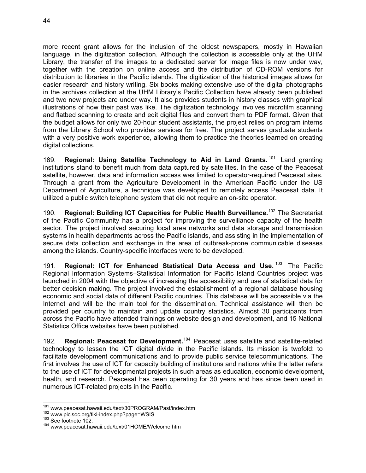more recent grant allows for the inclusion of the oldest newspapers, mostly in Hawaiian language, in the digitization collection. Although the collection is accessible only at the UHM Library, the transfer of the images to a dedicated server for image files is now under way, together with the creation on online access and the distribution of CD-ROM versions for distribution to libraries in the Pacific islands. The digitization of the historical images allows for easier research and history writing. Six books making extensive use of the digital photographs in the archives collection at the UHM Library's Pacific Collection have already been published and two new projects are under way. It also provides students in history classes with graphical illustrations of how their past was like. The digitization technology involves microfilm scanning and flatbed scanning to create and edit digital files and convert them to PDF format. Given that the budget allows for only two 20-hour student assistants, the project relies on program interns from the Library School who provides services for free. The project serves graduate students with a very positive work experience, allowing them to practice the theories learned on creating digital collections.

189. **Regional: Using Satellite Technology to Aid in Land Grants.** <sup>101</sup> Land granting institutions stand to benefit much from data captured by satellites. In the case of the Peacesat satellite, however, data and information access was limited to operator-required Peacesat sites. Through a grant from the Agriculture Development in the American Pacific under the US Department of Agriculture, a technique was developed to remotely access Peacesat data. It utilized a public switch telephone system that did not require an on-site operator.

190. **Regional: Building ICT Capacities for Public Health Surveillance.**<sup>102</sup> The Secretariat of the Pacific Community has a project for improving the surveillance capacity of the health sector. The project involved securing local area networks and data storage and transmission systems in health departments across the Pacific islands, and assisting in the implementation of secure data collection and exchange in the area of outbreak-prone communicable diseases among the islands. Country-specific interfaces were to be developed.

191. **Regional: ICT for Enhanced Statistical Data Access and Use.** 103 The Pacific Regional Information Systems–Statistical Information for Pacific Island Countries project was launched in 2004 with the objective of increasing the accessibility and use of statistical data for better decision making. The project involved the establishment of a regional database housing economic and social data of different Pacific countries. This database will be accessible via the Internet and will be the main tool for the dissemination. Technical assistance will then be provided per country to maintain and update country statistics. Almost 30 participants from across the Pacific have attended trainings on website design and development, and 15 National Statistics Office websites have been published.

192. **Regional: Peacesat for Development.**<sup>104</sup> Peacesat uses satellite and satellite-related technology to lessen the ICT digital divide in the Pacific islands. Its mission is twofold: to facilitate development communications and to provide public service telecommunications. The first involves the use of ICT for capacity building of institutions and nations while the latter refers to the use of ICT for developmental projects in such areas as education, economic development, health, and research. Peacesat has been operating for 30 years and has since been used in numerous ICT-related projects in the Pacific.

<sup>-</sup><sup>101</sup> www.peacesat.hawaii.edu/text/30PROGRAM/Past/index.htm  $^{102}$  www.picisoc.org/tiki-index.php?page=WSIS  $^{103}$  See footnote 102.  $^{104}$  www.peacesat.hawaii.edu/text/01HOME/Welcome.htm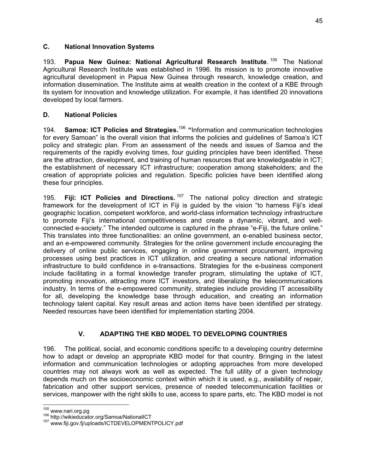#### **C. National Innovation Systems**

193. **Papua New Guinea: National Agricultural Research Institute**. <sup>105</sup> The National Agricultural Research Institute was established in 1996. Its mission is to promote innovative agricultural development in Papua New Guinea through research, knowledge creation, and information dissemination. The Institute aims at wealth creation in the context of a KBE through its system for innovation and knowledge utilization. For example, it has identified 20 innovations developed by local farmers.

#### **D. National Policies**

194. **Samoa: ICT Policies and Strategies.**<sup>106</sup> **"**Information and communication technologies for every Samoan" is the overall vision that informs the policies and guidelines of Samoa's ICT policy and strategic plan. From an assessment of the needs and issues of Samoa and the requirements of the rapidly evolving times, four guiding principles have been identified. These are the attraction, development, and training of human resources that are knowledgeable in ICT; the establishment of necessary ICT infrastructure; cooperation among stakeholders; and the creation of appropriate policies and regulation. Specific policies have been identified along these four principles.

195. **Fiji: ICT Policies and Directions.** <sup>107</sup> The national policy direction and strategic framework for the development of ICT in Fiji is guided by the vision "to harness Fiji's ideal geographic location, competent workforce, and world-class information technology infrastructure to promote Fiji's international competitiveness and create a dynamic, vibrant, and wellconnected e-society." The intended outcome is captured in the phrase "e-Fiji, the future online." This translates into three functionalities: an online government, an e-enabled business sector, and an e-empowered community. Strategies for the online government include encouraging the delivery of online public services, engaging in online government procurement, improving processes using best practices in ICT utilization, and creating a secure national information infrastructure to build confidence in e-transactions. Strategies for the e-business component include facilitating in a formal knowledge transfer program, stimulating the uptake of ICT, promoting innovation, attracting more ICT investors, and liberalizing the telecommunications industry. In terms of the e-empowered community, strategies include providing IT accessibility for all, developing the knowledge base through education, and creating an information technology talent capital. Key result areas and action items have been identified per strategy. Needed resources have been identified for implementation starting 2004.

#### **V. ADAPTING THE KBD MODEL TO DEVELOPING COUNTRIES**

196. The political, social, and economic conditions specific to a developing country determine how to adapt or develop an appropriate KBD model for that country. Bringing in the latest information and communication technologies or adopting approaches from more developed countries may not always work as well as expected. The full utility of a given technology depends much on the socioeconomic context within which it is used, e.g., availability of repair, fabrication and other support services, presence of needed telecommunication facilities or services, manpower with the right skills to use, access to spare parts, etc. The KBD model is not

 $105$  www.nari.org.pg

<sup>106</sup> http://wikieducator.org/Samoa/NationalICT<br><sup>107</sup> www.fiji.gov.fj/uploads/ICTDEVELOPMENTPOLICY.pdf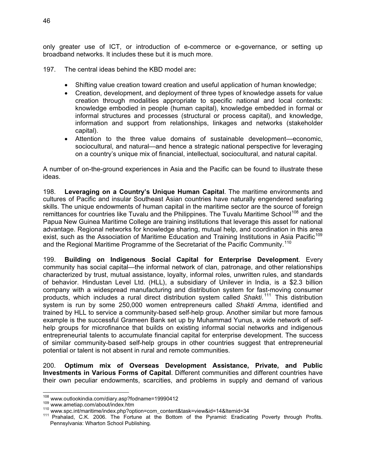only greater use of ICT, or introduction of e-commerce or e-governance, or setting up broadband networks. It includes these but it is much more.

- 197. The central ideas behind the KBD model are**:**
	- Shifting value creation toward creation and useful application of human knowledge;
	- Creation, development, and deployment of three types of knowledge assets for value creation through modalities appropriate to specific national and local contexts: knowledge embodied in people (human capital), knowledge embedded in formal or informal structures and processes (structural or process capital), and knowledge, information and support from relationships, linkages and networks (stakeholder capital).
	- Attention to the three value domains of sustainable development—economic, sociocultural, and natural—and hence a strategic national perspective for leveraging on a country's unique mix of financial, intellectual, sociocultural, and natural capital.

A number of on-the-ground experiences in Asia and the Pacific can be found to illustrate these ideas.

198. **Leveraging on a Country's Unique Human Capital**. The maritime environments and cultures of Pacific and insular Southeast Asian countries have naturally engendered seafaring skills. The unique endowments of human capital in the maritime sector are the source of foreign remittances for countries like Tuvalu and the Philippines. The Tuvalu Maritime School<sup>108</sup> and the Papua New Guinea Maritime College are training institutions that leverage this asset for national advantage. Regional networks for knowledge sharing, mutual help, and coordination in this area exist, such as the Association of Maritime Education and Training Institutions in Asia Pacific<sup>109</sup> and the Regional Maritime Programme of the Secretariat of the Pacific Community.<sup>110</sup>

199. **Building on Indigenous Social Capital for Enterprise Development**. Every community has social capital—the informal network of clan, patronage, and other relationships characterized by trust, mutual assistance, loyalty, informal roles, unwritten rules, and standards of behavior. Hindustan Level Ltd. (HLL), a subsidiary of Unilever in India, is a \$2.3 billion company with a widespread manufacturing and distribution system for fast-moving consumer products, which includes a rural direct distribution system called *Shakti*. 111 This distribution system is run by some 250,000 women entrepreneurs called *Shakti Amma*, identified and trained by HLL to service a community-based self-help group. Another similar but more famous example is the successful Grameen Bank set up by Muhammad Yunus, a wide network of selfhelp groups for microfinance that builds on existing informal social networks and indigenous entrepreneurial talents to accumulate financial capital for enterprise development. The success of similar community-based self-help groups in other countries suggest that entrepreneurial potential or talent is not absent in rural and remote communities.

200. **Optimum mix of Overseas Development Assistance, Private, and Public Investments in Various Forms of Capital**. Different communities and different countries have their own peculiar endowments, scarcities, and problems in supply and demand of various

 $108$  www.outlookindia.com/diary.asp?fodname=19990412

<sup>109</sup> www.ametiap.com/about/index.htm<br>109 www.ametiap.com/about/index.htm<br><sup>110</sup> www.spc.int/maritime/index.php?option=com\_content&task=view&id=14&Itemid=34<br><sup>111</sup> Prahalad, C.K. 2006. The Fortune at the Bottom of the Pyramid: Pennsylvania: Wharton School Publishing.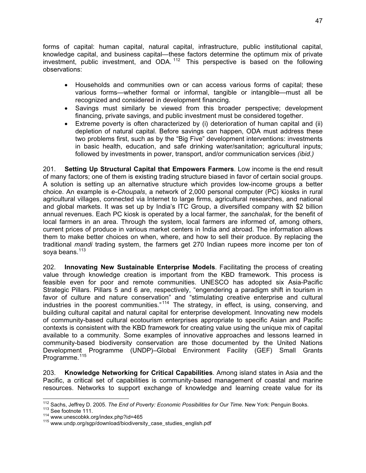forms of capital: human capital, natural capital, infrastructure, public institutional capital, knowledge capital, and business capital—these factors determine the optimum mix of private investment, public investment, and ODA. 112 This perspective is based on the following observations:

- Households and communities own or can access various forms of capital; these various forms—whether formal or informal, tangible or intangible—must all be recognized and considered in development financing.
- Savings must similarly be viewed from this broader perspective; development financing, private savings, and public investment must be considered together.
- Extreme poverty is often characterized by (i) deterioration of human capital and (ii) depletion of natural capital. Before savings can happen, ODA must address these two problems first, such as by the "Big Five" development interventions: investments in basic health, education, and safe drinking water/sanitation; agricultural inputs; followed by investments in power, transport, and/or communication services *(ibid.)*

201. **Setting Up Structural Capital that Empowers Farmers**. Low income is the end result of many factors; one of them is existing trading structure biased in favor of certain social groups. A solution is setting up an alternative structure which provides low-income groups a better choice. An example is *e-Choupals*, a network of 2,000 personal computer (PC) kiosks in rural agricultural villages, connected via Internet to large firms, agricultural researches, and national and global markets. It was set up by India's ITC Group, a diversified company with \$2 billion annual revenues. Each PC kiosk is operated by a local farmer, the *sanchalak*, for the benefit of local farmers in an area. Through the system, local farmers are informed of, among others, current prices of produce in various market centers in India and abroad. The information allows them to make better choices on when, where, and how to sell their produce. By replacing the traditional *mandi* trading system, the farmers get 270 Indian rupees more income per ton of soya beans.<sup>113</sup>

202. **Innovating New Sustainable Enterprise Models**. Facilitating the process of creating value through knowledge creation is important from the KBD framework. This process is feasible even for poor and remote communities. UNESCO has adopted six Asia-Pacific Strategic Pillars. Pillars 5 and 6 are, respectively, "engendering a paradigm shift in tourism in favor of culture and nature conservation" and "stimulating creative enterprise and cultural industries in the poorest communities." 114 The strategy, in effect, is using, conserving, and building cultural capital and natural capital for enterprise development. Innovating new models of community-based cultural ecotourism enterprises appropriate to specific Asian and Pacific contexts is consistent with the KBD framework for creating value using the unique mix of capital available to a community. Some examples of innovative approaches and lessons learned in community-based biodiversity conservation are those documented by the United Nations Development Programme (UNDP)–Global Environment Facility (GEF) Small Grants Programme.<sup>115</sup>

203. **Knowledge Networking for Critical Capabilities**. Among island states in Asia and the Pacific, a critical set of capabilities is community-based management of coastal and marine resources. Networks to support exchange of knowledge and learning create value for its

 <sup>112</sup> Sachs, Jeffrey D. 2005. *The End of Poverty: Economic Possibilities for Our Time*. New York: Penguin Books.<br><sup>113</sup> See footnote 111.<br><sup>114</sup> www.unescobkk.org/index.php?id=465<br><sup>115</sup> www.undp.org/sgp/download/biodiversit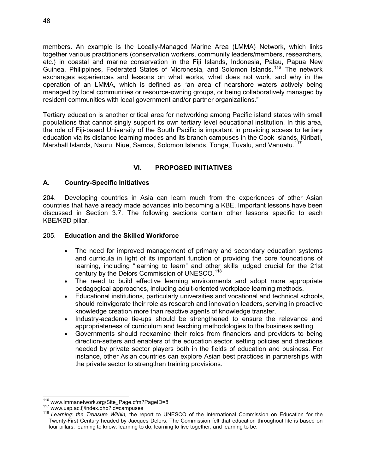members. An example is the Locally-Managed Marine Area (LMMA) Network, which links together various practitioners (conservation workers, community leaders/members, researchers, etc.) in coastal and marine conservation in the Fiji Islands, Indonesia, Palau, Papua New Guinea, Philippines, Federated States of Micronesia, and Solomon Islands.<sup>116</sup> The network exchanges experiences and lessons on what works, what does not work, and why in the operation of an LMMA, which is defined as "an area of nearshore waters actively being managed by local communities or resource-owning groups, or being collaboratively managed by resident communities with local government and/or partner organizations."

Tertiary education is another critical area for networking among Pacific island states with small populations that cannot singly support its own tertiary level educational institution. In this area, the role of Fiji-based University of the South Pacific is important in providing access to tertiary education via its distance learning modes and its branch campuses in the Cook Islands, Kiribati, Marshall Islands, Nauru, Niue, Samoa, Solomon Islands, Tonga, Tuvalu, and Vanuatu.<sup>117</sup>

#### **VI. PROPOSED INITIATIVES**

#### **A. Country-Specific Initiatives**

204. Developing countries in Asia can learn much from the experiences of other Asian countries that have already made advances into becoming a KBE. Important lessons have been discussed in Section 3.7. The following sections contain other lessons specific to each KBE/KBD pillar.

#### 205. **Education and the Skilled Workforce**

- The need for improved management of primary and secondary education systems and curricula in light of its important function of providing the core foundations of learning, including "learning to learn" and other skills judged crucial for the 21st century by the Delors Commission of UNESCO.<sup>118</sup>
- The need to build effective learning environments and adopt more appropriate pedagogical approaches, including adult-oriented workplace learning methods.
- Educational institutions, particularly universities and vocational and technical schools, should reinvigorate their role as research and innovation leaders, serving in proactive knowledge creation more than reactive agents of knowledge transfer.
- Industry-academe tie-ups should be strengthened to ensure the relevance and appropriateness of curriculum and teaching methodologies to the business setting.
- Governments should reexamine their roles from financiers and providers to being direction-setters and enablers of the education sector, setting policies and directions needed by private sector players both in the fields of education and business. For instance, other Asian countries can explore Asian best practices in partnerships with the private sector to strengthen training provisions.

<sup>&</sup>lt;sup>116</sup> www.lmmanetwork.org/Site\_Page.cfm?PageID=8

<sup>117</sup> www.usp.ac.fj/index.php?id=campuses<br><sup>118</sup> Learning: the Treasure Within, the report to UNESCO of the International Commission on Education for the Twenty-First Century headed by Jacques Delors. The Commission felt that education throughout life is based on four pillars: learning to know, learning to do, learning to live together, and learning to be.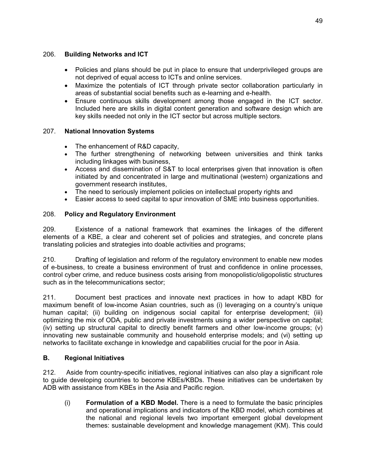#### 206. **Building Networks and ICT**

- Policies and plans should be put in place to ensure that underprivileged groups are not deprived of equal access to ICTs and online services.
- Maximize the potentials of ICT through private sector collaboration particularly in areas of substantial social benefits such as e-learning and e-health.
- Ensure continuous skills development among those engaged in the ICT sector. Included here are skills in digital content generation and software design which are key skills needed not only in the ICT sector but across multiple sectors.

#### 207. **National Innovation Systems**

- The enhancement of R&D capacity,
- The further strengthening of networking between universities and think tanks including linkages with business,
- Access and dissemination of S&T to local enterprises given that innovation is often initiated by and concentrated in large and multinational (western) organizations and government research institutes,
- The need to seriously implement policies on intellectual property rights and
- Easier access to seed capital to spur innovation of SME into business opportunities.

#### 208. **Policy and Regulatory Environment**

209. Existence of a national framework that examines the linkages of the different elements of a KBE, a clear and coherent set of policies and strategies, and concrete plans translating policies and strategies into doable activities and programs;

210. Drafting of legislation and reform of the regulatory environment to enable new modes of e-business, to create a business environment of trust and confidence in online processes, control cyber crime, and reduce business costs arising from monopolistic/oligopolistic structures such as in the telecommunications sector;

211. Document best practices and innovate next practices in how to adapt KBD for maximum benefit of low-income Asian countries, such as (i) leveraging on a country's unique human capital; (ii) building on indigenous social capital for enterprise development; (iii) optimizing the mix of ODA, public and private investments using a wider perspective on capital; (iv) setting up structural capital to directly benefit farmers and other low-income groups; (v) innovating new sustainable community and household enterprise models; and (vi) setting up networks to facilitate exchange in knowledge and capabilities crucial for the poor in Asia.

#### **B. Regional Initiatives**

212. Aside from country-specific initiatives, regional initiatives can also play a significant role to guide developing countries to become KBEs/KBDs. These initiatives can be undertaken by ADB with assistance from KBEs in the Asia and Pacific region.

(i) **Formulation of a KBD Model.** There is a need to formulate the basic principles and operational implications and indicators of the KBD model, which combines at the national and regional levels two important emergent global development themes: sustainable development and knowledge management (KM). This could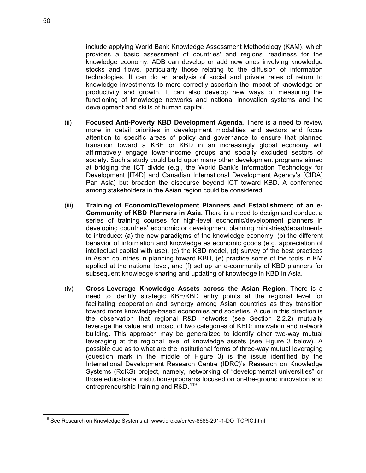include applying World Bank Knowledge Assessment Methodology (KAM), which provides a basic assessment of countries' and regions' readiness for the knowledge economy. ADB can develop or add new ones involving knowledge stocks and flows, particularly those relating to the diffusion of information technologies. It can do an analysis of social and private rates of return to knowledge investments to more correctly ascertain the impact of knowledge on productivity and growth. It can also develop new ways of measuring the functioning of knowledge networks and national innovation systems and the development and skills of human capital.

- (ii) **Focused Anti-Poverty KBD Development Agenda.** There is a need to review more in detail priorities in development modalities and sectors and focus attention to specific areas of policy and governance to ensure that planned transition toward a KBE or KBD in an increasingly global economy will affirmatively engage lower-income groups and socially excluded sectors of society. Such a study could build upon many other development programs aimed at bridging the ICT divide (e.g., the World Bank's Information Technology for Development [IT4D] and Canadian International Development Agency's [CIDA] Pan Asia) but broaden the discourse beyond ICT toward KBD. A conference among stakeholders in the Asian region could be considered.
- (iii) **Training of Economic/Development Planners and Establishment of an e-Community of KBD Planners in Asia.** There is a need to design and conduct a series of training courses for high-level economic/development planners in developing countries' economic or development planning ministries/departments to introduce: (a) the new paradigms of the knowledge economy, (b) the different behavior of information and knowledge as economic goods (e.g. appreciation of intellectual capital with use), (c) the KBD model, (d) survey of the best practices in Asian countries in planning toward KBD, (e) practice some of the tools in KM applied at the national level, and (f) set up an e-community of KBD planners for subsequent knowledge sharing and updating of knowledge in KBD in Asia.
- (iv) **Cross-Leverage Knowledge Assets across the Asian Region.** There is a need to identify strategic KBE/KBD entry points at the regional level for facilitating cooperation and synergy among Asian countries as they transition toward more knowledge-based economies and societies. A cue in this direction is the observation that regional R&D networks (see Section 2.2.2) mutually leverage the value and impact of two categories of KBD: innovation and network building. This approach may be generalized to identify other two-way mutual leveraging at the regional level of knowledge assets (see Figure 3 below). A possible cue as to what are the institutional forms of three-way mutual leveraging (question mark in the middle of Figure 3) is the issue identified by the International Development Research Centre (IDRC)'s Research on Knowledge Systems (RoKS) project, namely, networking of "developmental universities" or those educational institutions/programs focused on on-the-ground innovation and entrepreneurship training and R&D.<sup>119</sup>

<sup>-</sup><sup>119</sup> See Research on Knowledge Systems at: www.idrc.ca/en/ev-8685-201-1-DO\_TOPIC.html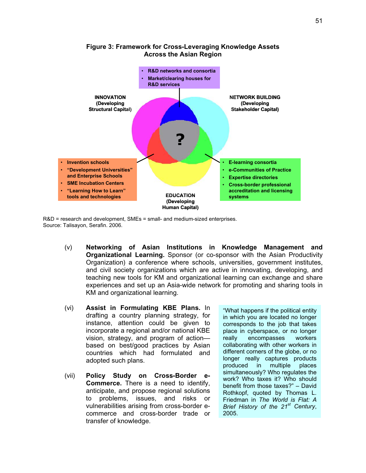

#### **Figure 3: Framework for Cross-Leveraging Knowledge Assets Across the Asian Region**

R&D = research and development, SMEs = small- and medium-sized enterprises. Source: Talisayon, Serafin. 2006.

- (v) **Networking of Asian Institutions in Knowledge Management and Organizational Learning.** Sponsor (or co-sponsor with the Asian Productivity Organization) a conference where schools, universities, government institutes, and civil society organizations which are active in innovating, developing, and teaching new tools for KM and organizational learning can exchange and share experiences and set up an Asia-wide network for promoting and sharing tools in KM and organizational learning.
- (vi) **Assist in Formulating KBE Plans.** In drafting a country planning strategy, for instance, attention could be given to incorporate a regional and/or national KBE vision, strategy, and program of action based on best/good practices by Asian countries which had formulated and adopted such plans.
- (vii) **Policy Study on Cross-Border e-Commerce.** There is a need to identify, anticipate, and propose regional solutions to problems, issues, and risks or vulnerabilities arising from cross-border ecommerce and cross-border trade or transfer of knowledge.

"What happens if the political entity in which you are located no longer corresponds to the job that takes place in cyberspace, or no longer really encompasses workers collaborating with other workers in different corners of the globe, or no longer really captures products produced in multiple places simultaneously? Who regulates the work? Who taxes it? Who should benefit from those taxes?" – David Rothkopf, quoted by Thomas L. Friedman in *The World is Flat: A Brief History of the 21st Century*, 2005.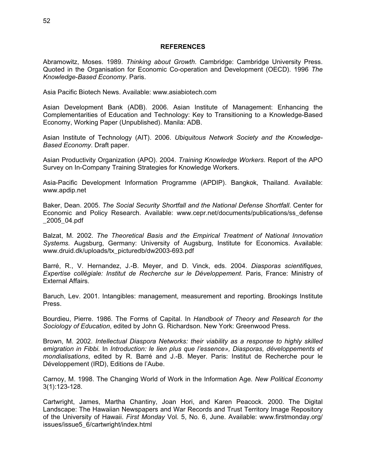#### **REFERENCES**

Abramowitz, Moses. 1989. *Thinking about Growth*. Cambridge: Cambridge University Press. Quoted in the Organisation for Economic Co-operation and Development (OECD). 1996 *The Knowledge-Based Economy.* Paris.

Asia Pacific Biotech News. Available: www.asiabiotech.com

Asian Development Bank (ADB). 2006. Asian Institute of Management: Enhancing the Complementarities of Education and Technology: Key to Transitioning to a Knowledge-Based Economy, Working Paper (Unpublished). Manila: ADB.

Asian Institute of Technology (AIT). 2006. *Ubiquitous Network Society and the Knowledge-Based Economy*. Draft paper.

Asian Productivity Organization (APO). 2004. *Training Knowledge Workers*. Report of the APO Survey on In-Company Training Strategies for Knowledge Workers.

Asia-Pacific Development Information Programme (APDIP). Bangkok, Thailand. Available: www.apdip.net

Baker, Dean. 2005. *The Social Security Shortfall and the National Defense Shortfall*. Center for Economic and Policy Research. Available: www.cepr.net/documents/publications/ss\_defense \_2005\_04.pdf

Balzat, M. 2002. *The Theoretical Basis and the Empirical Treatment of National Innovation Systems.* Augsburg, Germany: University of Augsburg, Institute for Economics. Available: www.druid.dk/uploads/tx\_picturedb/dw2003-693.pdf

Barré, R., V. Hernandez, J.-B. Meyer, and D. Vinck, eds. 2004. *Diasporas scientifiques, Expertise collégiale: Institut de Recherche sur le Développement*. Paris, France: Ministry of External Affairs.

Baruch, Lev. 2001. Intangibles: management, measurement and reporting. Brookings Institute Press.

Bourdieu, Pierre. 1986. The Forms of Capital. In *Handbook of Theory and Research for the Sociology of Education*, edited by John G. Richardson. New York: Greenwood Press.

Brown, M. 2002. *Intellectual Diaspora Networks: their viability as a response to highly skilled emigration in Fibbi.* In *Introduction: le lien plus que l'essence», Diasporas, développements et mondialisations*, edited by R. Barré and J.-B. Meyer. Paris: Institut de Recherche pour le Développement (IRD), Editions de l'Aube.

Carnoy, M. 1998. The Changing World of Work in the Information Age*. New Political Economy* 3(1):123-128.

Cartwright, James, Martha Chantiny, Joan Hori, and Karen Peacock. 2000. The Digital Landscape: The Hawaiian Newspapers and War Records and Trust Territory Image Repository of the University of Hawaii. *First Monday* Vol. 5, No. 6, June. Available: www.firstmonday.org/ issues/issue5\_6/cartwright/index.html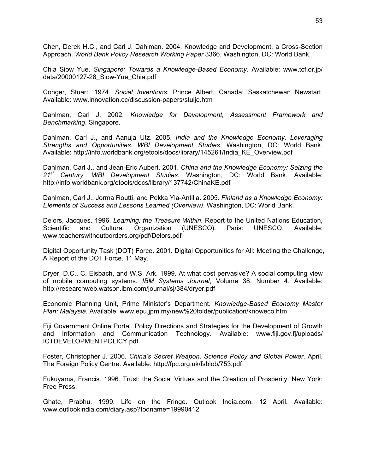Chen, Derek H.C., and Carl J. Dahlman. 2004. Knowledge and Development, a Cross-Section Approach. *World Bank Policy Research Working Paper* 3366. Washington, DC: World Bank.

Chia Siow Yue. *Singapore: Towards a Knowledge-Based Economy*. Available: www.tcf.or.jp/ data/20000127-28\_Siow-Yue\_Chia.pdf

Conger, Stuart. 1974. *Social Inventions*. Prince Albert, Canada: Saskatchewan Newstart. Available: www.innovation.cc/discussion-papers/stuije.htm

Dahlman, Carl J. 2002. *Knowledge for Development, Assessment Framework and Benchmarking*. Singapore.

Dahlman, Carl J., and Aanuja Utz. 2005. *India and the Knowledge Economy. Leveraging Strengths and Opportunities. WBI Development Studies*, Washington, DC: World Bank. Available: http://info.worldbank.org/etools/docs/library/145261/India\_KE\_Overview.pdf

Dahlman, Carl J., and Jean-Eric Aubert. 2001. *China and the Knowledge Economy: Seizing the 21st Century. WBI Development Studies.* Washington, DC: World Bank. Available: http://info.worldbank.org/etools/docs/library/137742/ChinaKE.pdf

Dahlman, Carl J., Jorma Routti, and Pekka Yla-Antilla. 2005. *Finland as a Knowledge Economy: Elements of Success and Lessons Learned (Overview)*. Washington, DC: World Bank.

Delors, Jacques. 1996. *Learning: the Treasure Within*. Report to the United Nations Education, Scientific and Cultural Organization (UNESCO). Paris: UNESCO. Available: www.teacherswithoutborders.org/pdf/Delors.pdf

Digital Opportunity Task (DOT) Force. 2001. Digital Opportunities for All: Meeting the Challenge, A Report of the DOT Force. 11 May.

Dryer, D.C., C. Eisbach, and W.S. Ark. 1999. At what cost pervasive? A social computing view of mobile computing systems. *IBM Systems Journal*, Volume 38, Number 4. Available: http://researchweb.watson.ibm.com/journal/sj/384/dryer.pdf

Economic Planning Unit, Prime Minister's Department. *Knowledge-Based Economy Master Plan: Malaysia*. Available: www.epu.jpm.my/new%20folder/publication/knoweco.htm

Fiji Government Online Portal. Policy Directions and Strategies for the Development of Growth and Information and Communication Technology. Available: www.fiji.gov.fj/uploads/ ICTDEVELOPMENTPOLICY.pdf

Foster, Christopher J. 2006. *China's Secret Weapon, Science Policy and Global Power*. April. The Foreign Policy Centre. Available: http://fpc.org.uk/fsblob/753.pdf

Fukuyama, Francis. 1996. Trust: the Social Virtues and the Creation of Prosperity. New York: Free Press.

Ghate, Prabhu. 1999. Life on the Fringe. Outlook India.com. 12 April. Available: www.outlookindia.com/diary.asp?fodname=19990412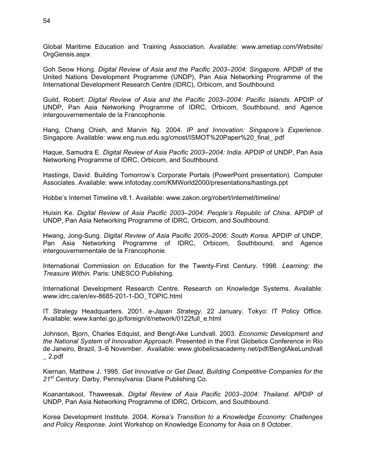Global Maritime Education and Training Association. Available: www.ametiap.com/Website/ OrgGensis.aspx

Goh Seow Hiong. *Digital Review of Asia and the Pacific 2003–2004: Singapore.* APDIP of the United Nations Development Programme (UNDP), Pan Asia Networking Programme of the International Development Research Centre (IDRC), Orbicom, and Southbound.

Guild, Robert: *Digital Review of Asia and the Pacific 2003–2004: Pacific Islands*. APDIP of UNDP, Pan Asia Networking Programme of IDRC, Orbicom, Southbound, and Agence intergouvernementale de la Francophonie.

Hang, Chang Chieh, and Marvin Ng. 2004. *IP and Innovation: Singapore's Experience*. Singapore. Available: www.eng.nus.edu.sg/cmost/ISMOT%20Paper%20\_final\_.pdf

Haque, Samudra E. *Digital Review of Asia Pacific 2003*–*2004: India*. APDIP of UNDP, Pan Asia Networking Programme of IDRC, Orbicom, and Southbound.

Hastings, David. Building Tomorrow's Corporate Portals (PowerPoint presentation). Computer Associates. Available: www.infotoday.com/KMWorld2000/presentations/hastings.ppt

Hobbe's Internet Timeline v8.1. Available: www.zakon.org/robert/internet/timeline/

Huixin Ke. *Digital Review of Asia Pacific 2003–2004: People's Republic of China*. APDIP of UNDP, Pan Asia Networking Programme of IDRC, Orbicom, and Southbound.

Hwang, Jong-Sung. *Digital Review of Asia Pacific 2005–2006: South Korea.* APDIP of UNDP, Pan Asia Networking Programme of IDRC, Orbicom, Southbound, and Agence intergouvernementale de la Francophonie.

International Commission on Education for the Twenty-First Century. 1998. *Learning: the Treasure Within.* Paris: UNESCO Publishing.

International Development Research Centre. Research on Knowledge Systems. Available: www.idrc.ca/en/ev-8685-201-1-DO\_TOPIC.html

IT Strategy Headquarters. 2001. *e-Japan Strategy*. 22 January. Tokyo: IT Policy Office. Available: www.kantei.go.jp/foreign/it/network/0122full\_e.html

Johnson, Bjorn, Charles Edquist, and Bengt-Ake Lundvall. 2003. *Economic Development and the National System of Innovation Approach*. Presented in the First Globelics Conference in Rio de Janeiro, Brazil, 3–6 November. Available: www.globelicsacademy.net/pdf/BengtAkeLundvall  $\_$  2.pdf

Kiernan, Matthew J. 1995. *Get Innovative or Get Dead, Building Competitive Companies for the 21st Century*. Darby, Pennsylvania: Diane Publishing Co.

Koanantakool, Thaweesak. *Digital Review of Asia Pacific 2003–2004: Thailand*. APDIP of UNDP, Pan Asia Networking Programme of IDRC, Orbicom, and Southbound.

Korea Development Institute. 2004. *Korea's Transition to a Knowledge Economy: Challenges and Policy Response*. Joint Workshop on Knowledge Economy for Asia on 8 October.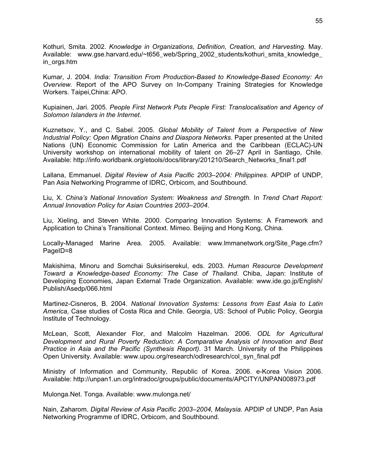Kothuri, Smita. 2002. *Knowledge in Organizations, Definition, Creation, and Harvesting*. May. Available: www.gse.harvard.edu/~t656\_web/Spring\_2002\_students/kothuri\_smita\_knowledge\_ in\_orgs.htm

Kumar, J. 2004. *India: Transition From Production-Based to Knowledge-Based Economy: An Overview.* Report of the APO Survey on In-Company Training Strategies for Knowledge Workers. Taipei,China: APO.

Kupiainen, Jari. 2005. *People First Network Puts People First: Translocalisation and Agency of Solomon Islanders in the Internet*.

Kuznetsov, Y., and C. Sabel. 2005. *Global Mobility of Talent from a Perspective of New Industrial Policy: Open Migration Chains and Diaspora Networks*. Paper presented at the United Nations (UN) Economic Commission for Latin America and the Caribbean (ECLAC)-UN University workshop on international mobility of talent on 26–27 April in Santiago, Chile. Available: http://info.worldbank.org/etools/docs/library/201210/Search\_Networks\_final1.pdf

Lallana, Emmanuel. *Digital Review of Asia Pacific 2003*–*2004: Philippines*. APDIP of UNDP, Pan Asia Networking Programme of IDRC, Orbicom, and Southbound.

Liu, X. *China's National Innovation System: Weakness and Strength.* In *Trend Chart Report: Annual Innovation Policy for Asian Countries 2003–2004*.

Liu, Xieling, and Steven White. 2000. Comparing Innovation Systems: A Framework and Application to China's Transitional Context. Mimeo. Beijing and Hong Kong, China.

Locally-Managed Marine Area. 2005. Available: www.lmmanetwork.org/Site\_Page.cfm? PageID=8

Makishima, Minoru and Somchai Suksiriserekul, eds. 2003. *Human Resource Development Toward a Knowledge-based Economy: The Case of Thailand*. Chiba, Japan: Institute of Developing Economies, Japan External Trade Organization. Available: www.ide.go.jp/English/ Publish/Asedp/066.html

Martinez-Cisneros, B. 2004. *National Innovation Systems: Lessons from East Asia to Latin America*, Case studies of Costa Rica and Chile. Georgia, US: School of Public Policy, Georgia Institute of Technology.

McLean, Scott, Alexander Flor, and Malcolm Hazelman. 2006. *ODL for Agricultural Development and Rural Poverty Reduction: A Comparative Analysis of Innovation and Best Practice in Asia and the Pacific (Synthesis Report)*. 31 March. University of the Philippines Open University. Available: www.upou.org/research/odlresearch/col\_syn\_final.pdf

Ministry of Information and Community, Republic of Korea. 2006. e-Korea Vision 2006. Available: http://unpan1.un.org/intradoc/groups/public/documents/APCITY/UNPAN008973.pdf

Mulonga.Net. Tonga. Available: www.mulonga.net/

Nain, Zaharom. *Digital Review of Asia Pacific 2003–2004, Malaysia*. APDIP of UNDP, Pan Asia Networking Programme of IDRC, Orbicom, and Southbound.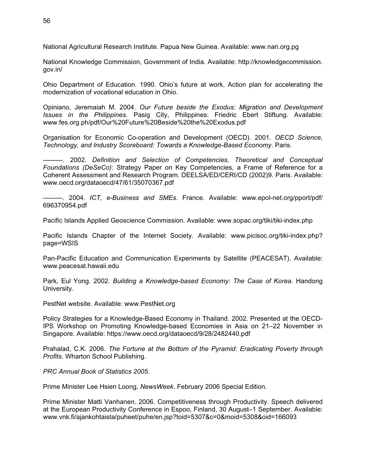National Agricultural Research Institute. Papua New Guinea. Available: www.nari.org.pg

National Knowledge Commission, Government of India. Available: http://knowledgecommission. gov.in/

Ohio Department of Education. 1990. Ohio's future at work, Action plan for accelerating the modernization of vocational education in Ohio.

Opiniano, Jeremaiah M. 2004. *Our Future beside the Exodus: Migration and Development Issues in the Philippines*. Pasig City, Philippines: Friedric Ebert Stiftung. Available: www.fes.org.ph/pdf/Our%20Future%20Beside%20the%20Exodus.pdf

Organisation for Economic Co-operation and Development (OECD). 2001. *OECD Science, Technology, and Industry Scoreboard: Towards a Knowledge-Based Economy*. Paris.

———. 2002. *Definition and Selection of Competencies, Theoretical and Conceptual Foundations (DeSeCo)*: Strategy Paper on Key Competencies, a Frame of Reference for a Coherent Assessment and Research Program. DEELSA/ED/CERI/CD (2002)9. Paris. Available: www.oecd.org/dataoecd/47/61/35070367.pdf

———. 2004. *ICT, e-Business and SMEs*. France. Available: www.epol-net.org/pport/pdf/ 696370954.pdf

Pacific Islands Applied Geoscience Commission. Available: www.sopac.org/tiki/tiki-index.php

Pacific Islands Chapter of the Internet Society. Available: www.picisoc.org/tiki-index.php? page=WSIS

Pan-Pacific Education and Communication Experiments by Satellite (PEACESAT). Available: www.peacesat.hawaii.edu

Park, Eul Yong. 2002. *Building a Knowledge-based Economy: The Case of Korea*. Handong University.

PestNet website. Available: www.PestNet.org

Policy Strategies for a Knowledge-Based Economy in Thailand. 2002. Presented at the OECD-IPS Workshop on Promoting Knowledge-based Economies in Asia on 21–22 November in Singapore. Available: https://www.oecd.org/dataoecd/9/28/2482440.pdf

Prahalad, C.K. 2006. *The Fortune at the Bottom of the Pyramid: Eradicating Poverty through Profits*. Wharton School Publishing.

*PRC Annual Book of Statistics 2005*.

Prime Minister Lee Hsien Loong, *NewsWeek*. February 2006 Special Edition.

Prime Minister Matti Vanhanen. 2006. Competitiveness through Productivity. Speech delivered at the European Productivity Conference in Espoo, Finland, 30 August–1 September. Available: www.vnk.fi/ajankohtaista/puheet/puhe/en.jsp?toid=5307&c=0&moid=5308&oid=166093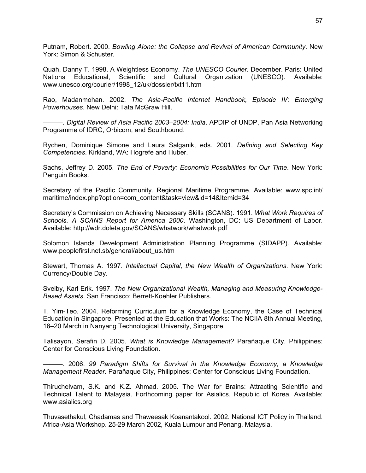Putnam, Robert. 2000. *Bowling Alone: the Collapse and Revival of American Community*. New York: Simon & Schuster.

Quah, Danny T. 1998. A Weightless Economy. *The UNESCO Courier*. December. Paris: United Nations Educational, Scientific and Cultural Organization (UNESCO). Available: www.unesco.org/courier/1998\_12/uk/dossier/txt11.htm

Rao, Madanmohan. 2002. *The Asia-Pacific Internet Handbook, Episode IV: Emerging Powerhouses*. New Delhi: Tata McGraw Hill.

———. *Digital Review of Asia Pacific 2003*–*2004: India*. APDIP of UNDP, Pan Asia Networking Programme of IDRC, Orbicom, and Southbound.

Rychen, Dominique Simone and Laura Salganik, eds. 2001. *Defining and Selecting Key Competencies*. Kirkland, WA: Hogrefe and Huber.

Sachs, Jeffrey D. 2005. *The End of Poverty: Economic Possibilities for Our Time*. New York: Penguin Books.

Secretary of the Pacific Community. Regional Maritime Programme. Available: www.spc.int/ maritime/index.php?option=com\_content&task=view&id=14&Itemid=34

Secretary's Commission on Achieving Necessary Skills (SCANS). 1991. *What Work Requires of Schools. A SCANS Report for America 2000*. Washington, DC: US Department of Labor. Available: http://wdr.doleta.gov/SCANS/whatwork/whatwork.pdf

Solomon Islands Development Administration Planning Programme (SIDAPP). Available: www.peoplefirst.net.sb/general/about\_us.htm

Stewart, Thomas A. 1997. *Intellectual Capital, the New Wealth of Organizations*. New York: Currency/Double Day.

Sveiby, Karl Erik. 1997. *The New Organizational Wealth, Managing and Measuring Knowledge-Based Assets*. San Francisco: Berrett-Koehler Publishers.

T. Yim-Teo. 2004. Reforming Curriculum for a Knowledge Economy, the Case of Technical Education in Singapore. Presented at the Education that Works: The NCIIA 8th Annual Meeting, 18–20 March in Nanyang Technological University, Singapore.

Talisayon, Serafin D. 2005. *What is Knowledge Management?* Parañaque City, Philippines: Center for Conscious Living Foundation.

———. 2006. *99 Paradigm Shifts for Survival in the Knowledge Economy, a Knowledge Management Reader.* Parañaque City, Philippines: Center for Conscious Living Foundation.

Thiruchelvam, S.K. and K.Z. Ahmad. 2005. The War for Brains: Attracting Scientific and Technical Talent to Malaysia. Forthcoming paper for Asialics, Republic of Korea. Available: www.asialics.org

Thuvasethakul, Chadamas and Thaweesak Koanantakool. 2002. National ICT Policy in Thailand. Africa-Asia Workshop. 25-29 March 2002, Kuala Lumpur and Penang, Malaysia.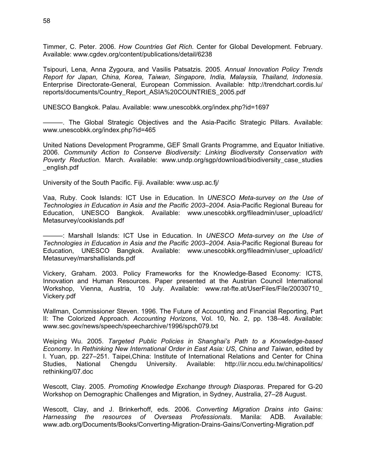Timmer, C. Peter. 2006. *How Countries Get Rich.* Center for Global Development. February. Available: www.cgdev.org/content/publications/detail/6238

Tsipouri, Lena, Anna Zygoura, and Vasilis Patsatzis. 2005. *Annual Innovation Policy Trends Report for Japan, China, Korea, Taiwan, Singapore, India, Malaysia, Thailand, Indonesia*. Enterprise Directorate-General, European Commission. Available: http://trendchart.cordis.lu/ reports/documents/Country\_Report\_ASIA%20COUNTRIES\_2005.pdf

UNESCO Bangkok. Palau. Available: www.unescobkk.org/index.php?id=1697

———. The Global Strategic Objectives and the Asia-Pacific Strategic Pillars. Available: www.unescobkk.org/index.php?id=465

United Nations Development Programme, GEF Small Grants Programme, and Equator Initiative. 2006. *Community Action to Conserve Biodiversity: Linking Biodiversity Conservation with Poverty Reduction.* March. Available: www.undp.org/sgp/download/biodiversity\_case\_studies \_english.pdf

University of the South Pacific. Fiji. Available: www.usp.ac.fj/

Vaa, Ruby. Cook Islands: ICT Use in Education. In *UNESCO Meta-survey on the Use of Technologies in Education in Asia and the Pacific 2003–2004*. Asia-Pacific Regional Bureau for Education, UNESCO Bangkok. Available: www.unescobkk.org/fileadmin/user\_upload/ict/ Metasurvey/cookislands.pdf

———: Marshall Islands: ICT Use in Education. In *UNESCO Meta-survey on the Use of Technologies in Education in Asia and the Pacific 2003–2004*. Asia-Pacific Regional Bureau for Education, UNESCO Bangkok. Available: www.unescobkk.org/fileadmin/user\_upload/ict/ Metasurvey/marshallislands.pdf

Vickery, Graham. 2003. Policy Frameworks for the Knowledge-Based Economy: ICTS, Innovation and Human Resources. Paper presented at the Austrian Council International Workshop, Vienna, Austria, 10 July. Available: www.rat-fte.at/UserFiles/File/20030710\_ Vickery.pdf

Wallman, Commissioner Steven. 1996. The Future of Accounting and Financial Reporting, Part II: The Colorized Approach. *Accounting Horizons*, Vol. 10, No. 2, pp. 138–48. Available: www.sec.gov/news/speech/speecharchive/1996/spch079.txt

Weiping Wu. 2005. *Targeted Public Policies in Shanghai's Path to a Knowledge-based Economy*. In *Rethinking New International Order in East Asia: US, China and Taiwan*, edited by I. Yuan, pp. 227–251. Taipei,China: Institute of International Relations and Center for China Studies, National Chengdu University. Available: http://iir.nccu.edu.tw/chinapolitics/ rethinking/07.doc

Wescott, Clay. 2005. *Promoting Knowledge Exchange through Diasporas*. Prepared for G-20 Workshop on Demographic Challenges and Migration, in Sydney, Australia, 27–28 August.

Wescott, Clay, and J. Brinkerhoff, eds. 2006. *Converting Migration Drains into Gains: Harnessing the resources of Overseas Professionals*. Manila: ADB. Available: www.adb.org/Documents/Books/Converting-Migration-Drains-Gains/Converting-Migration.pdf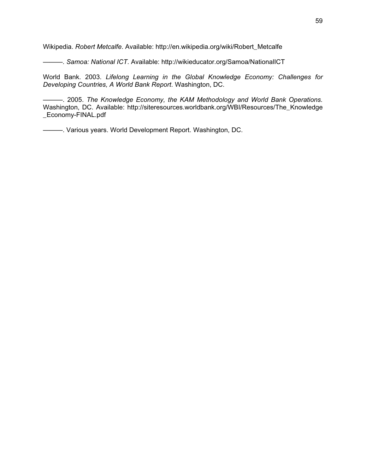Wikipedia. *Robert Metcalfe*. Available: http://en.wikipedia.org/wiki/Robert\_Metcalfe

———. *Samoa: National ICT*. Available: http://wikieducator.org/Samoa/NationalICT

World Bank. 2003. *Lifelong Learning in the Global Knowledge Economy: Challenges for Developing Countries, A World Bank Report*. Washington, DC.

———. 2005. *The Knowledge Economy, the KAM Methodology and World Bank Operations.* Washington, DC. Available: http://siteresources.worldbank.org/WBI/Resources/The\_Knowledge \_Economy-FINAL.pdf

———. Various years. World Development Report. Washington, DC.